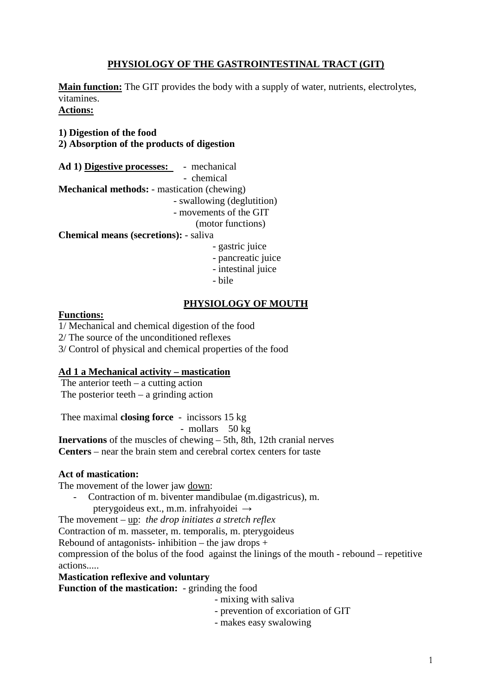# **PHYSIOLOGY OF THE GASTROINTESTINAL TRACT (GIT)**

**Main function:** The GIT provides the body with a supply of water, nutrients, electrolytes, vitamines. **Actions:**

**1) Digestion of the food 2) Absorption of the products of digestion**

**Ad 1) Digestive processes:** - mechanical - chemical **Mechanical methods:** - mastication (chewing) - swallowing (deglutition) - movements of the GIT (motor functions) **Chemical means (secretions):** - saliva - gastric juice

- 
- pancreatic juice - intestinal juice
- 
- bile

# **PHYSIOLOGY OF MOUTH**

# **Functions:**

1/ Mechanical and chemical digestion of the food

2/ The source of the unconditioned reflexes

3/ Control of physical and chemical properties of the food

# **Ad 1 a Mechanical activity – mastication**

The anterior teeth  $-$  a cutting action The posterior teeth  $-$  a grinding action

Thee maximal **closing force** - incissors 15 kg

- mollars 50 kg

**Inervations** of the muscles of chewing – 5th, 8th, 12th cranial nerves **Centers** – near the brain stem and cerebral cortex centers for taste

# **Act of mastication:**

The movement of the lower jaw down:

- Contraction of m. biventer mandibulae (m.digastricus), m.

pterygoideus ext., m.m. infrahyoidei →

The movement – up: *the drop initiates a stretch reflex*

Contraction of m. masseter, m. temporalis, m. pterygoideus

Rebound of antagonists- inhibition – the jaw drops  $+$ 

compression of the bolus of the food against the linings of the mouth - rebound – repetitive actions.....

**Mastication reflexive and voluntary**

**Function of the mastication:** - grinding the food

- mixing with saliva

- prevention of excoriation of GIT
- makes easy swalowing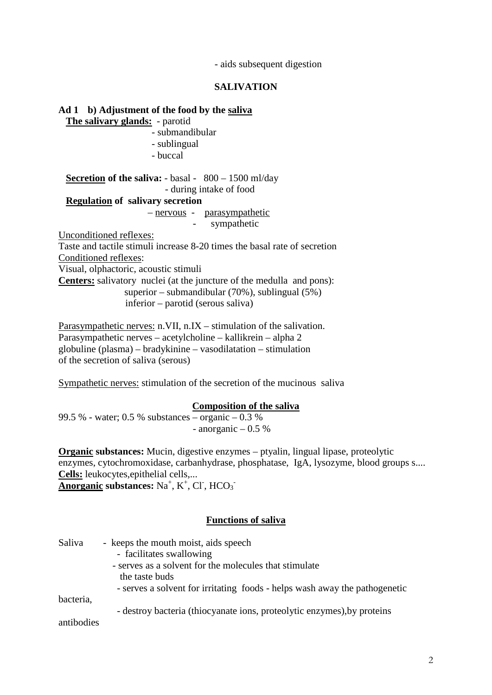- aids subsequent digestion

# **SALIVATION**

**Ad 1 b) Adjustment of the food by the saliva The salivary glands:** - parotid - submandibular - sublingual - buccal **Secretion of the saliva:** - basal - 800 – 1500 ml/day - during intake of food **Regulation of salivary secretion** – nervous - parasympathetic sympathetic Unconditioned reflexes: Taste and tactile stimuli increase 8-20 times the basal rate of secretion Conditioned reflexes: Visual, olphactoric, acoustic stimuli **Centers:** salivatory nuclei (at the juncture of the medulla and pons): superior – submandibular (70%), sublingual (5%) inferior – parotid (serous saliva)

Parasympathetic nerves: n.VII, n.IX – stimulation of the salivation. Parasympathetic nerves – acetylcholine – kallikrein – alpha 2 globuline (plasma) – bradykinine – vasodilatation – stimulation of the secretion of saliva (serous)

Sympathetic nerves: stimulation of the secretion of the mucinous saliva

### **Composition of the saliva**

99.5 % - water; 0.5 % substances  $\overline{\phantom{0}}$  - organic  $\overline{-}$  0.3 % - anorganic  $-0.5\%$ 

**Organic substances:** Mucin, digestive enzymes – ptyalin, lingual lipase, proteolytic enzymes, cytochromoxidase, carbanhydrase, phosphatase, IgA, lysozyme, blood groups s.... **Cells:** leukocytes,epithelial cells,... **Anorganic substances:** Na<sup>+</sup>, K<sup>+</sup>, Cl<sup>-</sup>, HCO<sub>3</sub><sup>-</sup>

#### **Functions of saliva**

| Saliva     | - keeps the mouth moist, aids speech                                       |
|------------|----------------------------------------------------------------------------|
|            | - facilitates swallowing                                                   |
|            | - serves as a solvent for the molecules that stimulate                     |
|            | the taste buds                                                             |
|            | - serves a solvent for irritating foods - helps wash away the pathogenetic |
| bacteria,  |                                                                            |
|            | - destroy bacteria (thiocyanate ions, proteolytic enzymes), by proteins    |
| antibodies |                                                                            |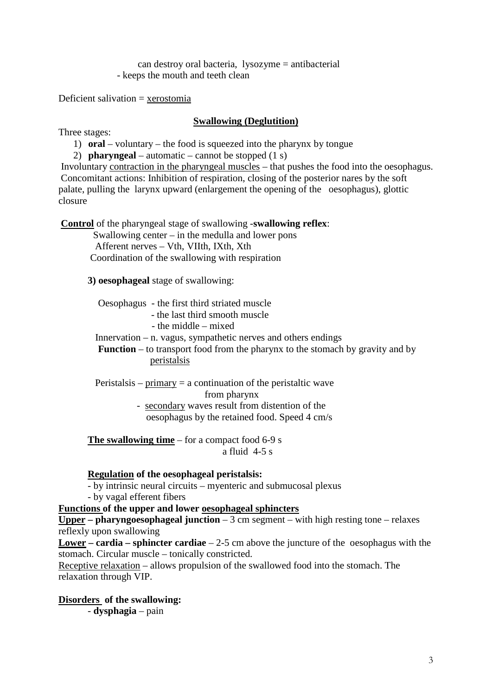can destroy oral bacteria, lysozyme = antibacterial - keeps the mouth and teeth clean

Deficient salivation = xerostomia

# **Swallowing (Deglutition)**

Three stages:

1) **oral** – voluntary – the food is squeezed into the pharynx by tongue

2) **pharyngeal** – automatic – cannot be stopped (1 s)

Involuntary contraction in the pharyngeal muscles – that pushes the food into the oesophagus. Concomitant actions: Inhibition of respiration, closing of the posterior nares by the soft palate, pulling the larynx upward (enlargement the opening of the oesophagus), glottic closure

**Control** of the pharyngeal stage of swallowing -**swallowing reflex**:

 Swallowing center – in the medulla and lower pons Afferent nerves – Vth, VIIth, IXth, Xth Coordination of the swallowing with respiration

**3) oesophageal** stage of swallowing:

Oesophagus - the first third striated muscle

- the last third smooth muscle

- the middle – mixed

Innervation – n. vagus, sympathetic nerves and others endings

 **Function** – to transport food from the pharynx to the stomach by gravity and by peristalsis

Peristalsis –  $\frac{p_{\text{r}}}{p_{\text{r}}}$  = a continuation of the peristaltic wave

from pharynx

 - secondary waves result from distention of the oesophagus by the retained food. Speed 4 cm/s

**The swallowing time** – for a compact food 6-9 s a fluid 4-5 s

## **Regulation of the oesophageal peristalsis:**

- by intrinsic neural circuits – myenteric and submucosal plexus

- by vagal efferent fibers

**Functions of the upper and lower oesophageal sphincters Upper – pharyngoesophageal junction** – 3 cm segment – with high resting tone – relaxes reflexly upon swallowing

**Lower – cardia – sphincter cardiae** – 2-5 cm above the juncture of the oesophagus with the stomach. Circular muscle – tonically constricted.

Receptive relaxation – allows propulsion of the swallowed food into the stomach. The relaxation through VIP.

### **Disorders of the swallowing:**

- **dysphagia** – pain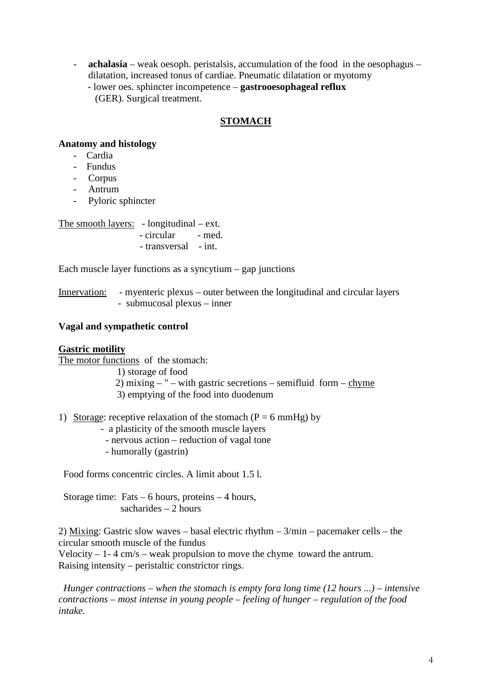- **achalasia** – weak oesoph. peristalsis, accumulation of the food in the oesophagus – dilatation, increased tonus of cardiae. Pneumatic dilatation or myotomy - lower oes. sphincter incompetence – **gastrooesophageal reflux** (GER). Surgical treatment.

# **STOMACH**

# **Anatomy and histology**

- Cardia
- Fundus
- Corpus
- Antrum
- Pyloric sphincter

The smooth layers: - longitudinal – ext.

| - circular | - med. |
|------------|--------|
|            |        |

- transversal - int.

Each muscle layer functions as a syncytium – gap junctions

Innervation: - myenteric plexus – outer between the longitudinal and circular layers - submucosal plexus – inner

# **Vagal and sympathetic control**

## **Gastric motility**

The motor functions of the stomach: 1) storage of food

- 2) mixing  $-$  " with gastric secretions semifluid form chyme
- 3) emptying of the food into duodenum
- 1) Storage: receptive relaxation of the stomach  $(P = 6 \text{ mmHg})$  by
	- a plasticity of the smooth muscle layers
		- nervous action reduction of vagal tone
	- humorally (gastrin)

Food forms concentric circles. A limit about 1.5 l.

Storage time: Fats  $-6$  hours, proteins  $-4$  hours, sacharides  $-2$  hours

2) Mixing: Gastric slow waves – basal electric rhythm – 3/min – pacemaker cells – the circular smooth muscle of the fundus

Velocity  $-1-4$  cm/s – weak propulsion to move the chyme toward the antrum. Raising intensity – peristaltic constrictor rings.

 *Hunger contractions – when the stomach is empty fora long time (12 hours ...) – intensive contractions – most intense in young people – feeling of hunger – regulation of the food intake.*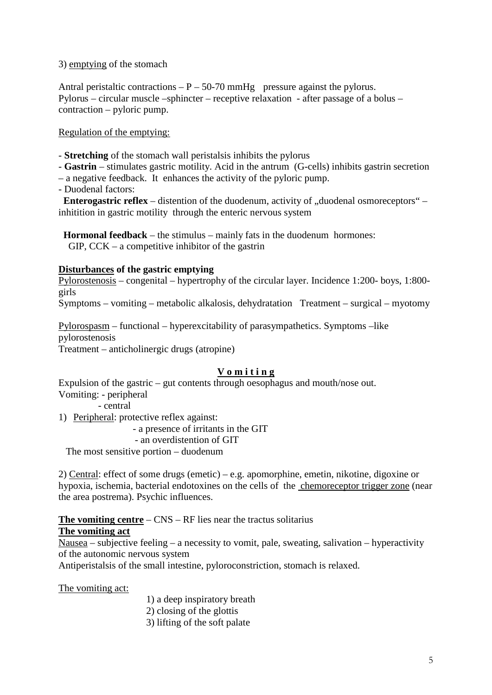# 3) emptying of the stomach

Antral peristaltic contractions  $-P - 50-70$  mmHg pressure against the pylorus. Pylorus – circular muscle –sphincter – receptive relaxation - after passage of a bolus – contraction – pyloric pump.

Regulation of the emptying:

- **Stretching** of the stomach wall peristalsis inhibits the pylorus

- **Gastrin** stimulates gastric motility. Acid in the antrum (G-cells) inhibits gastrin secretion
- a negative feedback. It enhances the activity of the pyloric pump.
- Duodenal factors:

**Enterogastric reflex** – distention of the duodenum, activity of "duodenal osmoreceptors" – inhitition in gastric motility through the enteric nervous system

 **Hormonal feedback** – the stimulus – mainly fats in the duodenum hormones:  $GIP, CCK - a$  competitive inhibitor of the gastrin

# **Disturbances of the gastric emptying**

Pylorostenosis – congenital – hypertrophy of the circular layer. Incidence 1:200- boys, 1:800 girls

Symptoms – vomiting – metabolic alkalosis, dehydratation Treatment – surgical – myotomy

Pylorospasm – functional – hyperexcitability of parasympathetics. Symptoms –like pylorostenosis Treatment – anticholinergic drugs (atropine)

# **V o m i t i n g**

Expulsion of the gastric – gut contents through oesophagus and mouth/nose out. Vomiting: - peripheral

- central

1) Peripheral: protective reflex against:

- a presence of irritants in the GIT

- an overdistention of GIT

The most sensitive portion – duodenum

2) Central: effect of some drugs (emetic) – e.g. apomorphine, emetin, nikotine, digoxine or hypoxia, ischemia, bacterial endotoxines on the cells of the chemoreceptor trigger zone (near the area postrema). Psychic influences.

# **The vomiting centre** – CNS – RF lies near the tractus solitarius

# **The vomiting act**

Nausea – subjective feeling – a necessity to vomit, pale, sweating, salivation – hyperactivity of the autonomic nervous system

Antiperistalsis of the small intestine, pyloroconstriction, stomach is relaxed.

The vomiting act:

- 1) a deep inspiratory breath
- 2) closing of the glottis
- 3) lifting of the soft palate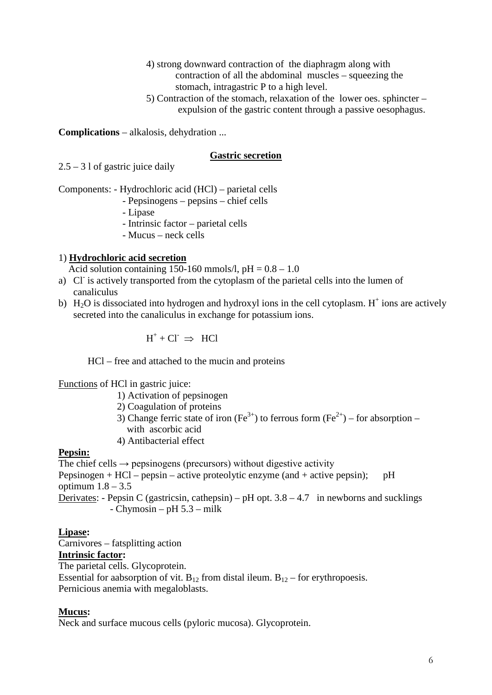4) strong downward contraction of the diaphragm along with contraction of all the abdominal muscles – squeezing the stomach, intragastric P to a high level.

 5) Contraction of the stomach, relaxation of the lower oes. sphincter – expulsion of the gastric content through a passive oesophagus.

**Complications** – alkalosis, dehydration ...

### **Gastric secretion**

 $2.5 - 31$  of gastric juice daily

Components: - Hydrochloric acid (HCl) – parietal cells

- Pepsinogens pepsins chief cells
- Lipase
- Intrinsic factor parietal cells
- Mucus neck cells

# 1) **Hydrochloric acid secretion**

Acid solution containing 150-160 mmols/l,  $pH = 0.8 - 1.0$ 

- a) Cl<sup>-</sup> is actively transported from the cytoplasm of the parietal cells into the lumen of canaliculus
- b) H<sub>2</sub>O is dissociated into hydrogen and hydroxyl ions in the cell cytoplasm. H<sup>+</sup> ions are actively secreted into the canaliculus in exchange for potassium ions.

$$
H^+ + Cl^- \;\; \Rightarrow \;\; HCl
$$

HCl – free and attached to the mucin and proteins

Functions of HCl in gastric juice:

- 1) Activation of pepsinogen
- 2) Coagulation of proteins
- 3) Change ferric state of iron (Fe<sup>3+</sup>) to ferrous form (Fe<sup>2+</sup>) for absorption with ascorbic acid
- 4) Antibacterial effect

### **Pepsin:**

The chief cells  $\rightarrow$  pepsinogens (precursors) without digestive activity Pepsinogen + HCl – pepsin – active proteolytic enzyme (and + active pepsin); pH optimum  $1.8 - 3.5$ Derivates: - Pepsin C (gastricsin, cathepsin) – pH opt.  $3.8 - 4.7$  in newborns and sucklings - Chymosin – pH 5.3 – milk

### **Lipase:**

Carnivores – fatsplitting action **Intrinsic factor:**

The parietal cells. Glycoprotein.

Essential for aabsorption of vit. B<sub>12</sub> from distal ileum. B<sub>12</sub> – for erythropoesis. Pernicious anemia with megaloblasts.

# **Mucus:**

Neck and surface mucous cells (pyloric mucosa). Glycoprotein.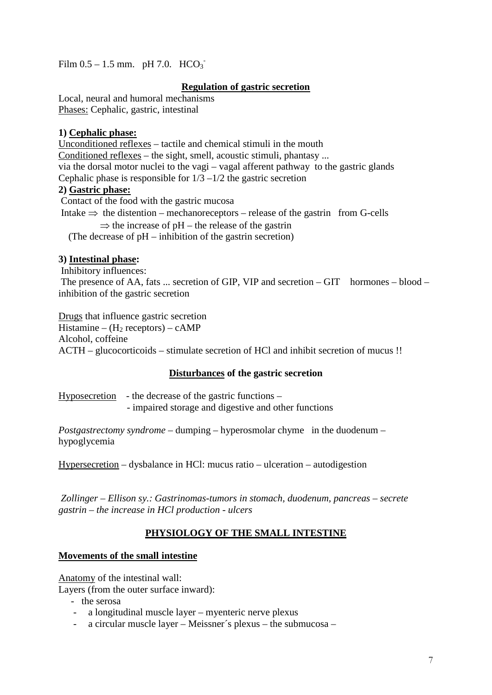Film  $0.5 - 1.5$  mm. pH 7.0.  $HCO_3$ <sup>-</sup>

# **Regulation of gastric secretion**

Local, neural and humoral mechanisms Phases: Cephalic, gastric, intestinal

# **1) Cephalic phase:**

Unconditioned reflexes – tactile and chemical stimuli in the mouth Conditioned reflexes – the sight, smell, acoustic stimuli, phantasy ... via the dorsal motor nuclei to the vagi – vagal afferent pathway to the gastric glands Cephalic phase is responsible for  $1/3 - 1/2$  the gastric secretion **2) Gastric phase:** Contact of the food with the gastric mucosa Intake  $\Rightarrow$  the distention – mechanoreceptors – release of the gastrin from G-cells

 $\Rightarrow$  the increase of pH – the release of the gastrin (The decrease of pH – inhibition of the gastrin secretion)

# **3) Intestinal phase:**

Inhibitory influences:

The presence of AA, fats ... secretion of GIP, VIP and secretion  $-GIT$  hormones  $-$  blood  $$ inhibition of the gastric secretion

Drugs that influence gastric secretion Histamine –  $(H_2$  receptors) – cAMP Alcohol, coffeine ACTH – glucocorticoids – stimulate secretion of HCl and inhibit secretion of mucus !!

# **Disturbances of the gastric secretion**

Hyposecretion - the decrease of the gastric functions – - impaired storage and digestive and other functions

*Postgastrectomy syndrome* – dumping – hyperosmolar chyme in the duodenum – hypoglycemia

Hypersecretion – dysbalance in HCl: mucus ratio – ulceration – autodigestion

*Zollinger – Ellison sy.: Gastrinomas-tumors in stomach, duodenum, pancreas – secrete gastrin – the increase in HCl production - ulcers*

# **PHYSIOLOGY OF THE SMALL INTESTINE**

# **Movements of the small intestine**

Anatomy of the intestinal wall:

Layers (from the outer surface inward):

- the serosa
- a longitudinal muscle layer myenteric nerve plexus
- a circular muscle layer Meissner´s plexus the submucosa –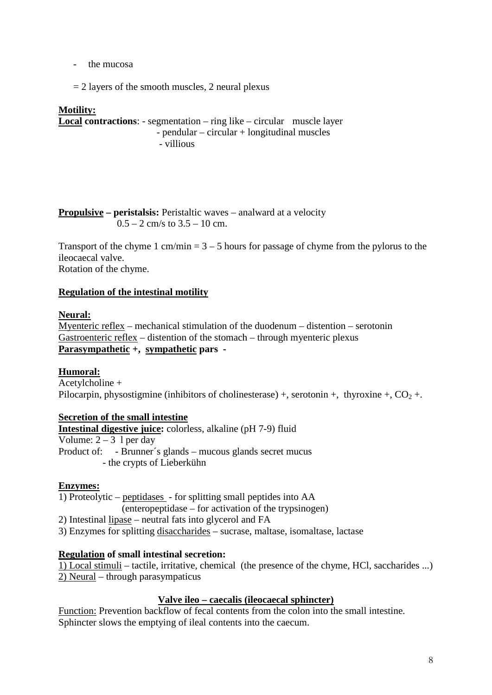- the mucosa

 $= 2$  layers of the smooth muscles, 2 neural plexus

### **Motility:**

**Local contractions**: - segmentation – ring like – circular muscle layer - pendular – circular + longitudinal muscles - villious

**Propulsive** – **peristalsis:** Peristaltic waves – analward at a velocity  $0.5 - 2$  cm/s to  $3.5 - 10$  cm.

Transport of the chyme  $1 \text{ cm/min} = 3 - 5 \text{ hours}$  for passage of chyme from the pylorus to the ileocaecal valve. Rotation of the chyme.

# **Regulation of the intestinal motility**

### **Neural:**

Myenteric reflex – mechanical stimulation of the duodenum – distention – serotonin Gastroenteric reflex – distention of the stomach – through myenteric plexus **Parasympathetic +, sympathetic pars -**

### **Humoral:**

Acetylcholine + Pilocarpin, physostigmine (inhibitors of cholinesterase) +, serotonin +, thyroxine +,  $CO<sub>2</sub>$  +.

### **Secretion of the small intestine**

**Intestinal digestive juice:** colorless, alkaline (pH 7-9) fluid Volume:  $2 - 3$  l per day Product of: - Brunner´s glands – mucous glands secret mucus - the crypts of Lieberkühn

### **Enzymes:**

1) Proteolytic – peptidases - for splitting small peptides into AA (enteropeptidase – for activation of the trypsinogen) 2) Intestinal lipase – neutral fats into glycerol and FA

3) Enzymes for splitting disaccharides – sucrase, maltase, isomaltase, lactase

### **Regulation of small intestinal secretion:**

1) Local stimuli – tactile, irritative, chemical (the presence of the chyme, HCl, saccharides ...) 2) Neural – through parasympaticus

### **Valve ileo – caecalis (ileocaecal sphincter)**

Function: Prevention backflow of fecal contents from the colon into the small intestine. Sphincter slows the emptying of ileal contents into the caecum.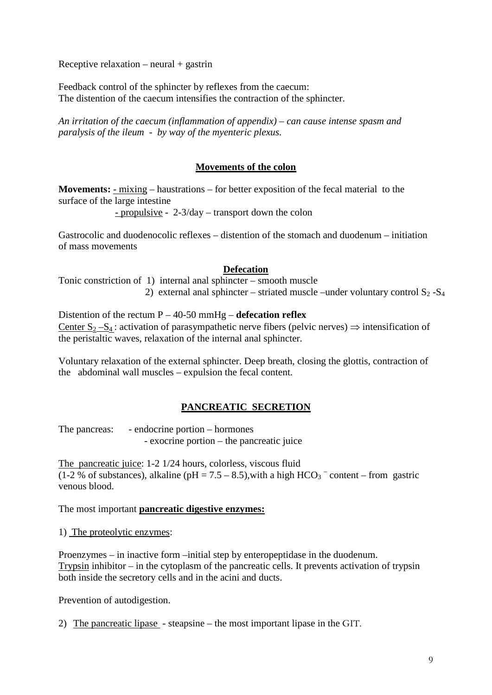Receptive relaxation – neural  $+$  gastrin

Feedback control of the sphincter by reflexes from the caecum: The distention of the caecum intensifies the contraction of the sphincter.

*An irritation of the caecum (inflammation of appendix) – can cause intense spasm and paralysis of the ileum - by way of the myenteric plexus.*

# **Movements of the colon**

**Movements:** - mixing – haustrations – for better exposition of the fecal material to the surface of the large intestine

- propulsive - 2-3/day – transport down the colon

Gastrocolic and duodenocolic reflexes – distention of the stomach and duodenum – initiation of mass movements

# **Defecation**

Tonic constriction of 1) internal anal sphincter – smooth muscle 2) external anal sphincter – striated muscle –under voluntary control  $S_2 - S_4$ 

Distention of the rectum P – 40-50 mmHg – **defecation reflex** Center  $S_2-S_4$ : activation of parasympathetic nerve fibers (pelvic nerves)  $\Rightarrow$  intensification of the peristaltic waves, relaxation of the internal anal sphincter.

Voluntary relaxation of the external sphincter. Deep breath, closing the glottis, contraction of the abdominal wall muscles – expulsion the fecal content.

# **PANCREATIC SECRETION**

The pancreas: - endocrine portion – hormones - exocrine portion – the pancreatic juice

The pancreatic juice: 1-2 1/24 hours, colorless, viscous fluid (1-2 % of substances), alkaline (pH =  $7.5 - 8.5$ ), with a high HCO<sub>3</sub><sup>-</sup> content – from gastric venous blood.

The most important **pancreatic digestive enzymes:**

### 1) The proteolytic enzymes:

Proenzymes – in inactive form –initial step by enteropeptidase in the duodenum. Trypsin inhibitor – in the cytoplasm of the pancreatic cells. It prevents activation of trypsin both inside the secretory cells and in the acini and ducts.

Prevention of autodigestion.

2) The pancreatic lipase - steapsine – the most important lipase in the GIT.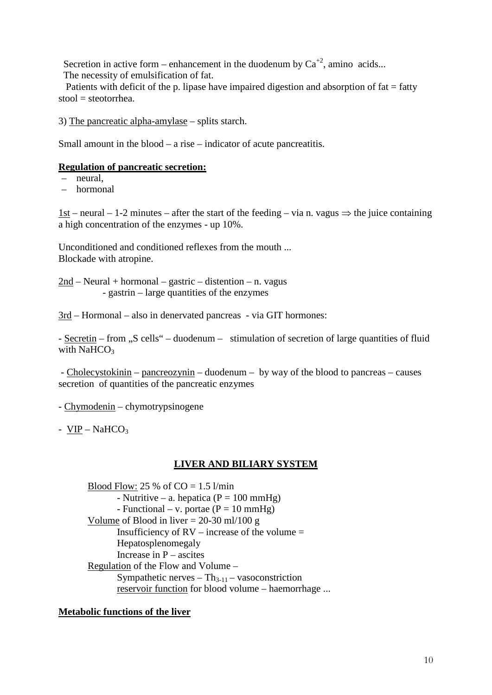Secretion in active form – enhancement in the duodenum by  $Ca^{+2}$ , amino acids... The necessity of emulsification of fat.

Patients with deficit of the p. lipase have impaired digestion and absorption of  $fat = fatty$  $stool = stectorhea$ .

3) The pancreatic alpha-amylase – splits starch.

Small amount in the blood – a rise – indicator of acute pancreatitis.

# **Regulation of pancreatic secretion:**

- neural,
- hormonal

1st – neural – 1-2 minutes – after the start of the feeding – via n. vagus  $\Rightarrow$  the juice containing a high concentration of the enzymes - up 10%.

Unconditioned and conditioned reflexes from the mouth ... Blockade with atropine.

2nd – Neural + hormonal – gastric – distention – n. vagus - gastrin – large quantities of the enzymes

3rd – Hormonal – also in denervated pancreas - via GIT hormones:

- Secretin – from "S cells" – duodenum – stimulation of secretion of large quantities of fluid with NaHCO<sub>3</sub>

- Cholecystokinin – pancreozynin – duodenum – by way of the blood to pancreas – causes secretion of quantities of the pancreatic enzymes

- Chymodenin – chymotrypsinogene

-  $VIP - NaHCO<sub>3</sub>$ 

### **LIVER AND BILIARY SYSTEM**

Blood Flow: 25 % of  $CO = 1.5$  l/min - Nutritive – a. hepatica ( $P = 100$  mmHg) - Functional – v. portae  $(P = 10 \text{ mmHg})$ Volume of Blood in liver  $= 20-30$  ml/100 g Insufficiency of  $RV -$  increase of the volume  $=$ Hepatosplenomegaly Increase in  $P$  – ascites Regulation of the Flow and Volume – Sympathetic nerves  $- Th_{3-11} - v$  asoconstriction reservoir function for blood volume – haemorrhage ...

# **Metabolic functions of the liver**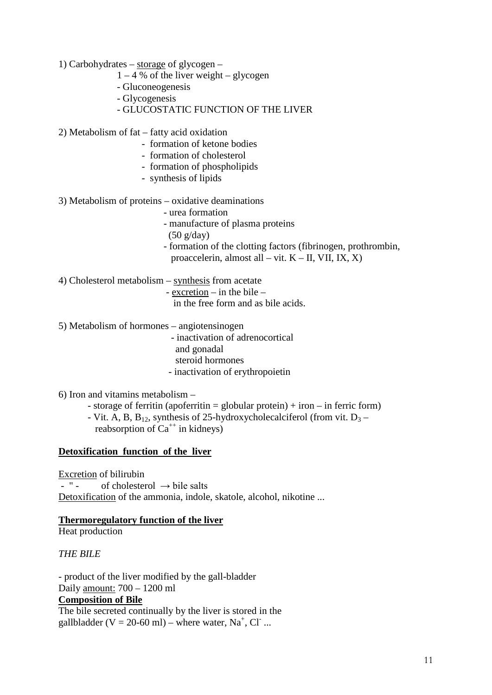1) Carbohydrates – storage of glycogen –

- $1 4$  % of the liver weight glycogen
- Gluconeogenesis
- Glycogenesis
- GLUCOSTATIC FUNCTION OF THE LIVER

2) Metabolism of fat – fatty acid oxidation

- formation of ketone bodies
- formation of cholesterol
- formation of phospholipids
- synthesis of lipids
- 3) Metabolism of proteins oxidative deaminations
	- urea formation
	- manufacture of plasma proteins
	- (50 g/day)
	- formation of the clotting factors (fibrinogen, prothrombin, proaccelerin, almost all – vit.  $K - II$ , VII, IX, X)
- 4) Cholesterol metabolism synthesis from acetate - excretion – in the bile –

in the free form and as bile acids.

- 5) Metabolism of hormones angiotensinogen
	- inactivation of adrenocortical
	- and gonadal
	- steroid hormones
	- inactivation of erythropoietin
- 6) Iron and vitamins metabolism
	- storage of ferritin (apoferritin = globular protein) + iron in ferric form)
	- Vit. A, B,  $B_{12}$ , synthesis of 25-hydroxycholecalciferol (from vit.  $D_3$  reabsorption of  $Ca^{++}$  in kidneys)

# **Detoxification function of the liver**

Excretion of bilirubin  $-$  " - of cholesterol  $\rightarrow$  bile salts Detoxification of the ammonia, indole, skatole, alcohol, nikotine ...

# **Thermoregulatory function of the liver**

Heat production

*THE BILE*

- product of the liver modified by the gall-bladder Daily amount: 700 – 1200 ml **Composition of Bile** The bile secreted continually by the liver is stored in the

gallbladder (V = 20-60 ml) – where water,  $Na^+$ , Cl ...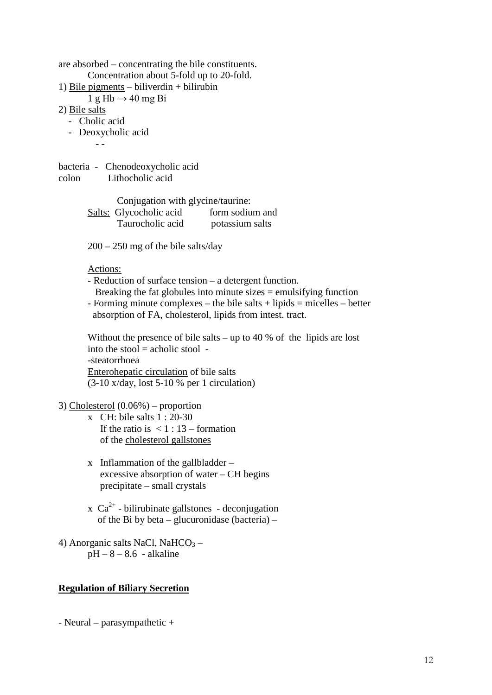are absorbed – concentrating the bile constituents. Concentration about 5-fold up to 20-fold. 1) Bile pigments – biliverdin + bilirubin  $1 g Hb \rightarrow 40 mg Bi$ 2) Bile salts - Cholic acid - Deoxycholic acid - -

bacteria - Chenodeoxycholic acid colon Lithocholic acid

> Conjugation with glycine/taurine: Salts: Glycocholic acid form sodium and Taurocholic acid potassium salts

200 – 250 mg of the bile salts/day

Actions:

- Reduction of surface tension a detergent function. Breaking the fat globules into minute sizes  $=$  emulsifying function
- $-$  Forming minute complexes the bile salts  $+$  lipids  $=$  micelles  $-$  better absorption of FA, cholesterol, lipids from intest. tract.

Without the presence of bile salts – up to 40 % of the lipids are lost into the stool  $=$  acholic stool  $-$ -steatorrhoea Enterohepatic circulation of bile salts (3-10 x/day, lost 5-10 % per 1 circulation)

3) Cholesterol (0.06%) – proportion

- x CH: bile salts 1 : 20-30 If the ratio is  $\leq 1$  : 13 – formation of the cholesterol gallstones
- x Inflammation of the gallbladder excessive absorption of water – CH begins precipitate – small crystals
- $x \text{ Ca}^{2+}$  bilirubinate gallstones deconjugation of the Bi by beta – glucuronidase (bacteria) –
- 4) Anorganic salts NaCl, NaHCO<sub>3</sub>  $pH - 8 - 8.6$  - alkaline

### **Regulation of Biliary Secretion**

- Neural – parasympathetic +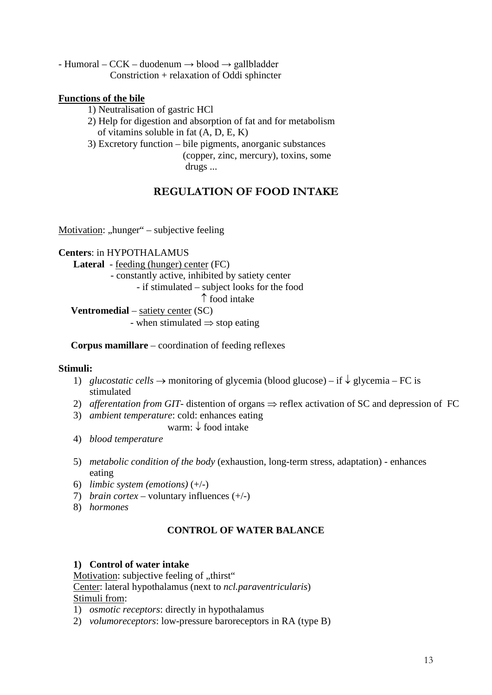- Humoral – CCK – duodenum  $\rightarrow$  blood  $\rightarrow$  gallbladder Constriction + relaxation of Oddi sphincter

# **Functions of the bile**

- 1) Neutralisation of gastric HCl
- 2) Help for digestion and absorption of fat and for metabolism of vitamins soluble in fat (A, D, E, K)

3) Excretory function – bile pigments, anorganic substances

 (copper, zinc, mercury), toxins, some drugs ...

# **REGULATION OF FOOD INTAKE**

Motivation: "hunger" – subjective feeling

### **Centers**: in HYPOTHALAMUS

 **Lateral** - feeding (hunger) center (FC)

- constantly active, inhibited by satiety center

- if stimulated – subject looks for the food

↑ food intake

**Ventromedial** – satiety center (SC)

- when stimulated  $\Rightarrow$  stop eating

 **Corpus mamillare** – coordination of feeding reflexes

### **Stimuli:**

- 1) *glucostatic cells* → monitoring of glycemia (blood glucose) if ↓ glycemia FC is stimulated
- 2) *afferentation from GIT* distention of organs  $\Rightarrow$  reflex activation of SC and depression of FC
- 3) *ambient temperature*: cold: enhances eating

warm: ↓ food intake

- 4) *blood temperature*
- 5) *metabolic condition of the body* (exhaustion, long-term stress, adaptation) enhances eating
- 6) *limbic system (emotions)* (+/-)
- 7) *brain cortex* voluntary influences (+/-)
- 8) *hormones*

# **CONTROL OF WATER BALANCE**

### **1) Control of water intake**

Motivation: subjective feeling of "thirst"

Center: lateral hypothalamus (next to *ncl.paraventricularis*) Stimuli from:

- 1) *osmotic receptors*: directly in hypothalamus
- 2) *volumoreceptors*: low-pressure baroreceptors in RA (type B)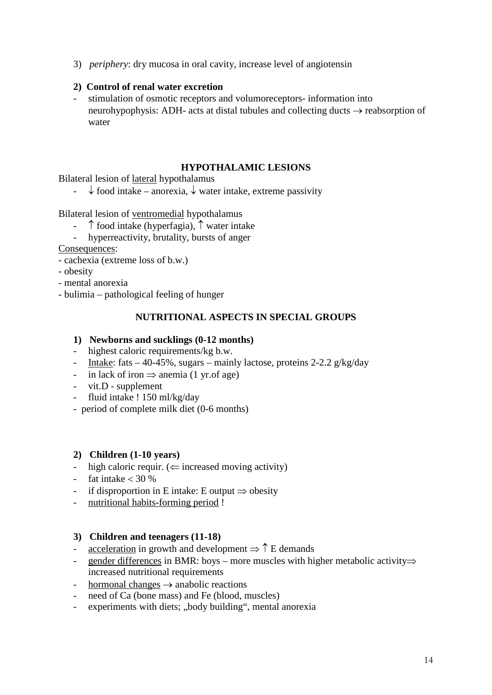3) *periphery*: dry mucosa in oral cavity, increase level of angiotensin

# **2) Control of renal water excretion**

- stimulation of osmotic receptors and volumoreceptors- information into neurohypophysis: ADH- acts at distal tubules and collecting ducts → reabsorption of water

# **HYPOTHALAMIC LESIONS**

Bilateral lesion of lateral hypothalamus

-  $\downarrow$  food intake – anorexia,  $\downarrow$  water intake, extreme passivity

# Bilateral lesion of ventromedial hypothalamus

- ↑ food intake (hyperfagia), ↑ water intake
- hyperreactivity, brutality, bursts of anger

Consequences:

- cachexia (extreme loss of b.w.)
- obesity
- mental anorexia
- bulimia pathological feeling of hunger

# **NUTRITIONAL ASPECTS IN SPECIAL GROUPS**

# **1) Newborns and sucklings (0-12 months)**

- highest caloric requirements/kg b.w.
- Intake: fats  $-40-45\%$ , sugars mainly lactose, proteins 2-2.2 g/kg/day
- in lack of iron  $\Rightarrow$  anemia (1 yr. of age)
- vit.D supplement
- fluid intake ! 150 ml/kg/day
- period of complete milk diet (0-6 months)

### **2) Children (1-10 years)**

- high caloric requir. ( $\Leftarrow$  increased moving activity)
- fat intake  $<$  30 %
- if disproportion in E intake: E output  $\Rightarrow$  obesity
- nutritional habits-forming period !

### **3) Children and teenagers (11-18)**

- acceleration in growth and development  $\Rightarrow \uparrow$  E demands
- gender differences in BMR: boys more muscles with higher metabolic activity $\Rightarrow$ increased nutritional requirements
- hormonal changes  $\rightarrow$  anabolic reactions
- need of Ca (bone mass) and Fe (blood, muscles)
- experiments with diets; "body building", mental anorexia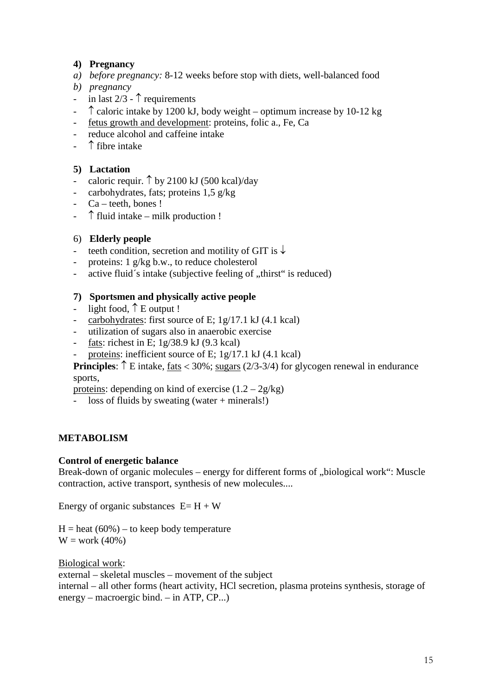# **4) Pregnancy**

- *a) before pregnancy:* 8-12 weeks before stop with diets, well-balanced food
- *b) pregnancy*
- in last  $2/3$   $\uparrow$  requirements
- $\hat{\uparrow}$  caloric intake by 1200 kJ, body weight optimum increase by 10-12 kg
- fetus growth and development: proteins, folic a., Fe, Ca
- reduce alcohol and caffeine intake
- $\uparrow$  fibre intake

# **5) Lactation**

- caloric requir.  $\uparrow$  by 2100 kJ (500 kcal)/day
- carbohydrates, fats; proteins 1,5 g/kg
- Ca teeth, bones !
- $\uparrow$  fluid intake milk production !

# 6) **Elderly people**

- teeth condition, secretion and motility of GIT is  $\downarrow$
- proteins:  $1 \frac{g}{kg}$  b.w., to reduce cholesterol
- active fluid's intake (subjective feeling of "thirst" is reduced)

# **7) Sportsmen and physically active people**

- light food,  $\uparrow$  E output !
- carbohydrates: first source of E; 1g/17.1 kJ (4.1 kcal)
- utilization of sugars also in anaerobic exercise
- fats: richest in E;  $1g/38.9$  kJ (9.3 kcal)
- proteins: inefficient source of E;  $1g/17.1$  kJ (4.1 kcal)

**Principles**: ↑ E intake, fats < 30%; sugars (2/3-3/4) for glycogen renewal in endurance sports,

proteins: depending on kind of exercise  $(1.2 - 2g/kg)$ 

- loss of fluids by sweating (water + minerals!)

# **METABOLISM**

### **Control of energetic balance**

Break-down of organic molecules – energy for different forms of "biological work": Muscle contraction, active transport, synthesis of new molecules....

Energy of organic substances  $E=H+W$ 

 $H =$  heat (60%) – to keep body temperature  $W = work (40%)$ 

Biological work: external – skeletal muscles – movement of the subject internal – all other forms (heart activity, HCl secretion, plasma proteins synthesis, storage of energy – macroergic bind. – in ATP, CP...)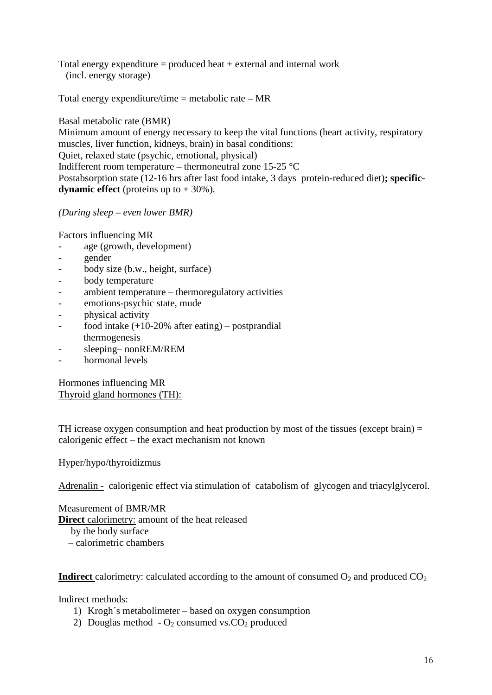Total energy expenditure  $=$  produced heat  $+$  external and internal work (incl. energy storage)

Total energy expenditure/time = metabolic rate  $- MR$ 

Basal metabolic rate (BMR) Minimum amount of energy necessary to keep the vital functions (heart activity, respiratory muscles, liver function, kidneys, brain) in basal conditions: Quiet, relaxed state (psychic, emotional, physical) Indifferent room temperature – thermoneutral zone 15-25 °C Postabsorption state (12-16 hrs after last food intake, 3 days protein-reduced diet)**; specificdynamic effect** (proteins up to  $+30\%$ ).

*(During sleep – even lower BMR)*

Factors influencing MR

- age (growth, development)
- gender
- body size (b.w., height, surface)
- body temperature
- ambient temperature thermoregulatory activities
- emotions-psychic state, mude
- physical activity
- food intake (+10-20% after eating) postprandial thermogenesis
- sleeping– nonREM/REM
- hormonal levels

Hormones influencing MR Thyroid gland hormones (TH):

TH icrease oxygen consumption and heat production by most of the tissues (except brain) = calorigenic effect – the exact mechanism not known

Hyper/hypo/thyroidizmus

Adrenalin - calorigenic effect via stimulation of catabolism of glycogen and triacylglycerol.

Measurement of BMR/MR **Direct** calorimetry: amount of the heat released by the body surface

– calorimetric chambers

**Indirect** calorimetry: calculated according to the amount of consumed  $O_2$  and produced  $CO_2$ 

Indirect methods:

- 1) Krogh´s metabolimeter based on oxygen consumption
- 2) Douglas method  $O_2$  consumed vs.CO<sub>2</sub> produced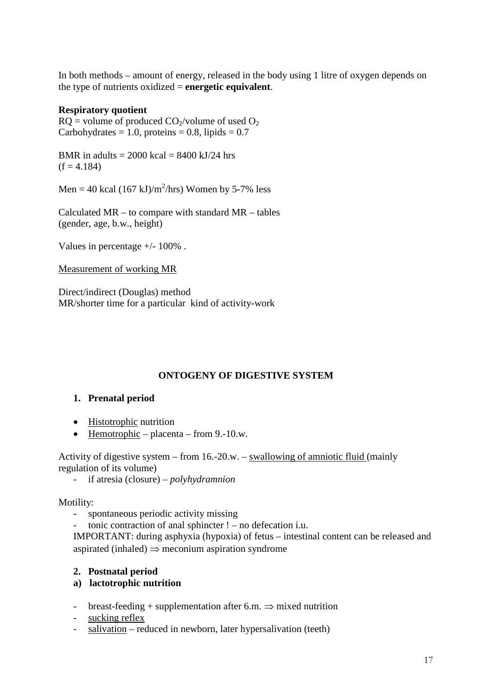In both methods – amount of energy, released in the body using 1 litre of oxygen depends on the type of nutrients oxidized = **energetic equivalent**.

# **Respiratory quotient**

 $RQ$  = volume of produced  $CO<sub>2</sub>/volume$  of used  $O<sub>2</sub>$ Carbohydrates = 1.0, proteins = 0.8, lipids =  $0.7$ 

BMR in adults  $= 2000$  kcal  $= 8400$  kJ/24 hrs  $(f = 4.184)$ 

Men = 40 kcal  $(167 \text{ kJ})/\text{m}^2/\text{hrs}$ ) Women by 5-7% less

Calculated MR – to compare with standard MR – tables (gender, age, b.w., height)

Values in percentage +/- 100% .

### Measurement of working MR

Direct/indirect (Douglas) method MR/shorter time for a particular kind of activity-work

# **ONTOGENY OF DIGESTIVE SYSTEM**

# **1. Prenatal period**

- Histotrophic nutrition
- Hemotrophic placenta from 9.-10.w.

Activity of digestive system – from 16.-20.w. – swallowing of amniotic fluid (mainly regulation of its volume)

- if atresia (closure) – *polyhydramnion*

Motility:

- spontaneous periodic activity missing
- tonic contraction of anal sphincter  $!$  no defecation i.u.

IMPORTANT: during asphyxia (hypoxia) of fetus – intestinal content can be released and aspirated (inhaled)  $\Rightarrow$  meconium aspiration syndrome

### **2. Postnatal period**

- **a) lactotrophic nutrition**
- breast-feeding + supplementation after 6.m.  $\Rightarrow$  mixed nutrition
- sucking reflex
- salivation reduced in newborn, later hypersalivation (teeth)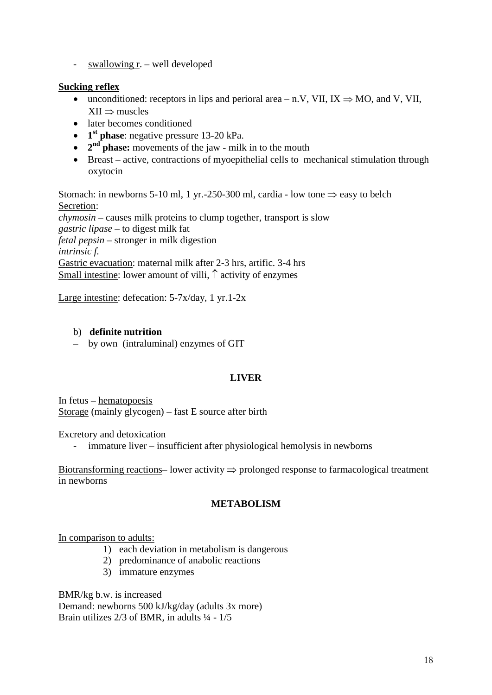- swallowing r. – well developed

# **Sucking reflex**

- unconditioned: receptors in lips and perioral area n.V, VII,  $IX \Rightarrow MO$ , and V, VII,  $XII \Rightarrow$  muscles
- later becomes conditioned
- **1st phase**: negative pressure 13-20 kPa.
- **2<sup>nd</sup> phase:** movements of the jaw milk in to the mouth
- Breast active, contractions of myoepithelial cells to mechanical stimulation through oxytocin

Stomach: in newborns 5-10 ml, 1 yr.-250-300 ml, cardia - low tone  $\Rightarrow$  easy to belch Secretion: *chymosin* – causes milk proteins to clump together, transport is slow *gastric lipase* – to digest milk fat *fetal pepsin* – stronger in milk digestion *intrinsic f.* Gastric evacuation: maternal milk after 2-3 hrs, artific. 3-4 hrs Small intestine: lower amount of villi, ↑ activity of enzymes

Large intestine: defecation: 5-7x/day, 1 yr.1-2x

# b) **definite nutrition**

– by own (intraluminal) enzymes of GIT

# **LIVER**

In fetus – hematopoesis Storage (mainly glycogen) – fast E source after birth

### Excretory and detoxication

- immature liver – insufficient after physiological hemolysis in newborns

Biotransforming reactions– lower activity ⇒ prolonged response to farmacological treatment in newborns

### **METABOLISM**

### In comparison to adults:

- 1) each deviation in metabolism is dangerous
- 2) predominance of anabolic reactions
- 3) immature enzymes

BMR/kg b.w. is increased Demand: newborns 500 kJ/kg/day (adults 3x more) Brain utilizes  $2/3$  of BMR, in adults  $\frac{1}{4}$  -  $1/5$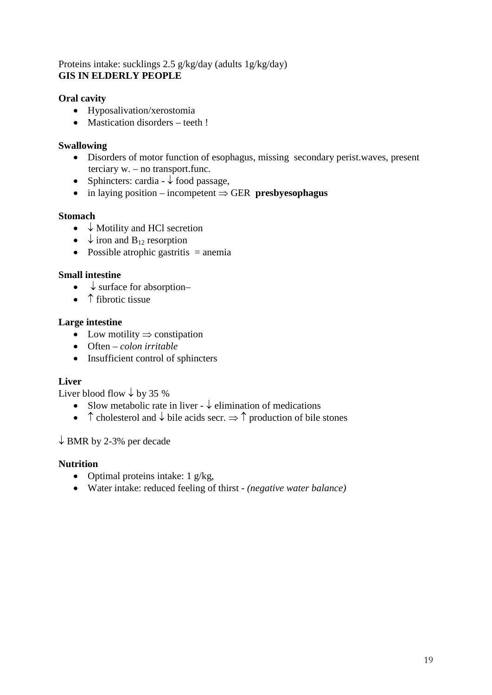# Proteins intake: sucklings 2.5 g/kg/day (adults 1g/kg/day) **GIS IN ELDERLY PEOPLE**

# **Oral cavity**

- Hyposalivation/xerostomia
- Mastication disorders teeth !

# **Swallowing**

- Disorders of motor function of esophagus, missing secondary perist.waves, present terciary w. – no transport.func.
- Sphincters: cardia  $\downarrow$  food passage,
- in laying position incompetent ⇒ GER **presbyesophagus**

# **Stomach**

- ↓ Motility and HCl secretion
- $\downarrow$  iron and B<sub>12</sub> resorption
- Possible atrophic gastritis  $=$  anemia

# **Small intestine**

- $\bullet\quad \downarrow$  surface for absorption-
- ↑ fibrotic tissue

# **Large intestine**

- Low motility  $\Rightarrow$  constipation
- Often *colon irritable*
- Insufficient control of sphincters

# **Liver**

Liver blood flow  $\downarrow$  by 35 %

- Slow metabolic rate in liver  $\downarrow$  elimination of medications
- ↑ cholesterol and  $\downarrow$  bile acids secr.  $\Rightarrow$  ↑ production of bile stones

# $\downarrow$  BMR by 2-3% per decade

# **Nutrition**

- Optimal proteins intake:  $1 \frac{g}{kg}$ ,
- Water intake: reduced feeling of thirst *(negative water balance)*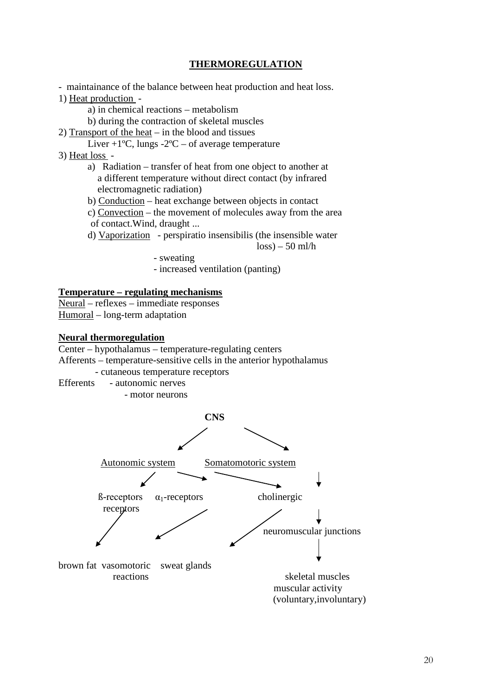# **THERMOREGULATION**

- maintainance of the balance between heat production and heat loss.

1) Heat production -

a) in chemical reactions – metabolism

b) during the contraction of skeletal muscles

- 2) Transport of the heat in the blood and tissues
- Liver  $+1$ <sup>o</sup>C, lungs  $-2$ <sup>o</sup>C of average temperature

3) Heat loss -

- a) Radiation transfer of heat from one object to another at a different temperature without direct contact (by infrared electromagnetic radiation)
- b) Conduction heat exchange between objects in contact
- c) Convection the movement of molecules away from the area of contact.Wind, draught ...
- d) Vaporization perspiratio insensibilis (the insensible water

 $\log s$ ) – 50 ml/h

- sweating

- increased ventilation (panting)

#### **Temperature – regulating mechanisms**

Neural – reflexes – immediate responses Humoral – long-term adaptation

#### **Neural thermoregulation**

Center – hypothalamus – temperature-regulating centers

Afferents – temperature-sensitive cells in the anterior hypothalamus

- cutaneous temperature receptors
- Efferents autonomic nerves
	- motor neurons

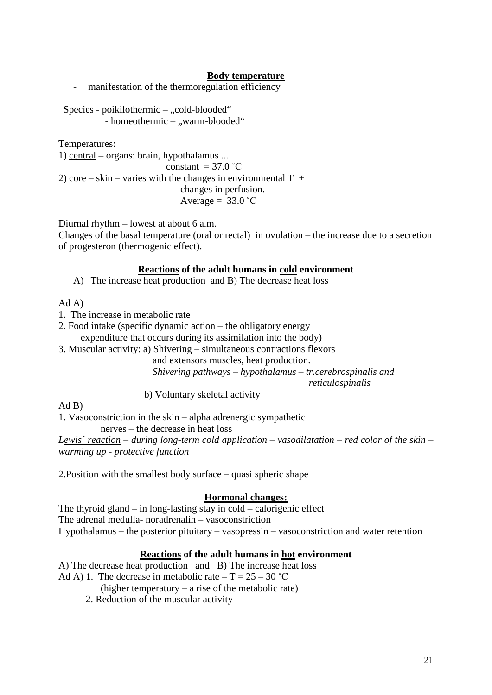## **Body temperature**

- manifestation of the thermoregulation efficiency

Species - poikilothermic – "cold-blooded" - homeothermic – "warm-blooded"

Temperatures:

1) central – organs: brain, hypothalamus ... constant  $=$  37.0  $^{\circ}$ C 2) core – skin – varies with the changes in environmental  $T +$ 

changes in perfusion.

Average =  $33.0$  °C

Diurnal rhythm – lowest at about 6 a.m.

Changes of the basal temperature (oral or rectal) in ovulation – the increase due to a secretion of progesteron (thermogenic effect).

#### **Reactions of the adult humans in cold environment**

A) The increase heat production and B) The decrease heat loss

Ad A)

- 1. The increase in metabolic rate
- 2. Food intake (specific dynamic action the obligatory energy expenditure that occurs during its assimilation into the body)
- 3. Muscular activity: a) Shivering simultaneous contractions flexors

 and extensors muscles, heat production. *Shivering pathways – hypothalamus – tr.cerebrospinalis and reticulospinalis*

b) Voluntary skeletal activity

Ad B)

1. Vasoconstriction in the skin – alpha adrenergic sympathetic

nerves – the decrease in heat loss

*Lewis´ reaction – during long-term cold application – vasodilatation – red color of the skin – warming up - protective function*

2.Position with the smallest body surface – quasi spheric shape

### **Hormonal changes:**

The thyroid gland – in long-lasting stay in cold – calorigenic effect The adrenal medulla- noradrenalin – vasoconstriction Hypothalamus – the posterior pituitary – vasopressin – vasoconstriction and water retention

### **Reactions of the adult humans in hot environment**

A) The decrease heat production and B) The increase heat loss Ad A) 1. The decrease in <u>metabolic</u> rate  $- T = 25 - 30$  °C

- (higher temperatury a rise of the metabolic rate)
- 2. Reduction of the muscular activity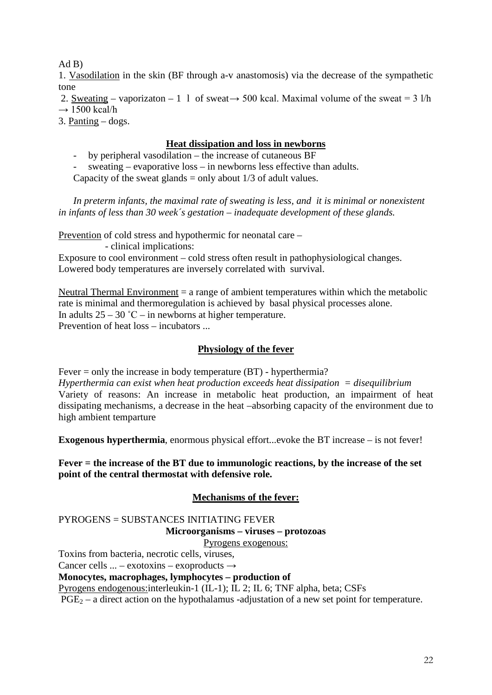$Ad B)$ 

1. Vasodilation in the skin (BF through a-v anastomosis) via the decrease of the sympathetic tone

2. Sweating – vaporizaton – 1 1 of sweat  $\rightarrow$  500 kcal. Maximal volume of the sweat = 3 l/h  $\rightarrow$  1500 kcal/h

3. Panting – dogs.

# **Heat dissipation and loss in newborns**

- by peripheral vasodilation – the increase of cutaneous BF

- sweating – evaporative loss – in newborns less effective than adults.

Capacity of the sweat glands  $=$  only about 1/3 of adult values.

 *In preterm infants, the maximal rate of sweating is less, and it is minimal or nonexistent in infants of less than 30 week´s gestation – inadequate development of these glands.*

Prevention of cold stress and hypothermic for neonatal care –

- clinical implications:

Exposure to cool environment – cold stress often result in pathophysiological changes. Lowered body temperatures are inversely correlated with survival.

Neutral Thermal Environment  $=$  a range of ambient temperatures within which the metabolic rate is minimal and thermoregulation is achieved by basal physical processes alone. In adults  $25 - 30$  °C – in newborns at higher temperature. Prevention of heat loss – incubators ...

# **Physiology of the fever**

Fever = only the increase in body temperature (BT) - hyperthermia? *Hyperthermia can exist when heat production exceeds heat dissipation = disequilibrium*  Variety of reasons: An increase in metabolic heat production, an impairment of heat

dissipating mechanisms, a decrease in the heat –absorbing capacity of the environment due to high ambient temparture

**Exogenous hyperthermia**, enormous physical effort...evoke the BT increase – is not fever!

**Fever = the increase of the BT due to immunologic reactions, by the increase of the set point of the central thermostat with defensive role.**

# **Mechanisms of the fever:**

PYROGENS = SUBSTANCES INITIATING FEVER **Microorganisms – viruses – protozoas**

Pyrogens exogenous:

Toxins from bacteria, necrotic cells, viruses,

Cancer cells  $\ldots$  – exotoxins – exoproducts  $\rightarrow$ 

**Monocytes, macrophages, lymphocytes – production of**

Pyrogens endogenous:interleukin-1 (IL-1); IL 2; IL 6; TNF alpha, beta; CSFs

 $PGE<sub>2</sub> - a direct action on the hypothalamus -adjustation of a new set point for temperature.$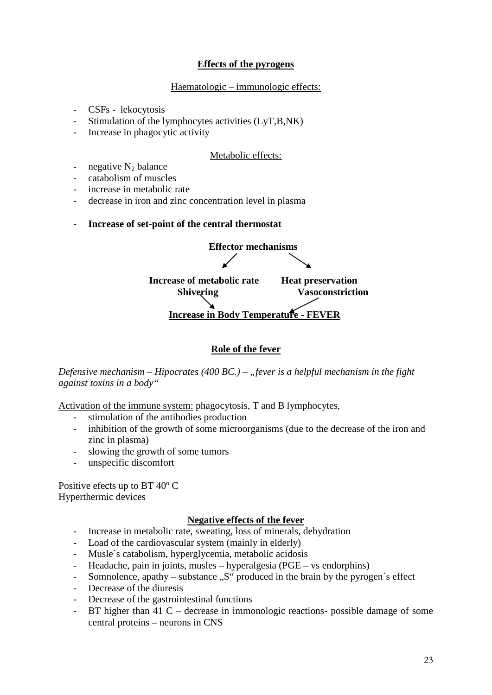# **Effects of the pyrogens**

## Haematologic – immunologic effects:

- CSFs lekocytosis
- Stimulation of the lymphocytes activities (LyT,B,NK)
- Increase in phagocytic activity

# Metabolic effects:

- negative  $N_2$  balance
- catabolism of muscles
- increase in metabolic rate
- decrease in iron and zinc concentration level in plasma
- **Increase of set-point of the central thermostat**



# **Role of the fever**

*Defensive mechanism – Hipocrates (400 BC.) – "fever is a helpful mechanism in the fight against toxins in a body"*

Activation of the immune system: phagocytosis, T and B lymphocytes,

- stimulation of the antibodies production
- inhibition of the growth of some microorganisms (due to the decrease of the iron and zinc in plasma)
- slowing the growth of some tumors
- unspecific discomfort

Positive efects up to BT 40º C Hyperthermic devices

# **Negative effects of the fever**

- Increase in metabolic rate, sweating, loss of minerals, dehydration
- Load of the cardiovascular system (mainly in elderly)
- Musle´s catabolism, hyperglycemia, metabolic acidosis
- Headache, pain in joints, musles hyperalgesia (PGE vs endorphins)
- Somnolence, apathy substance  $\mathcal{S}$ " produced in the brain by the pyrogen's effect
- Decrease of the diuresis
- Decrease of the gastrointestinal functions
- BT higher than 41 C decrease in immonologic reactions- possible damage of some central proteins – neurons in CNS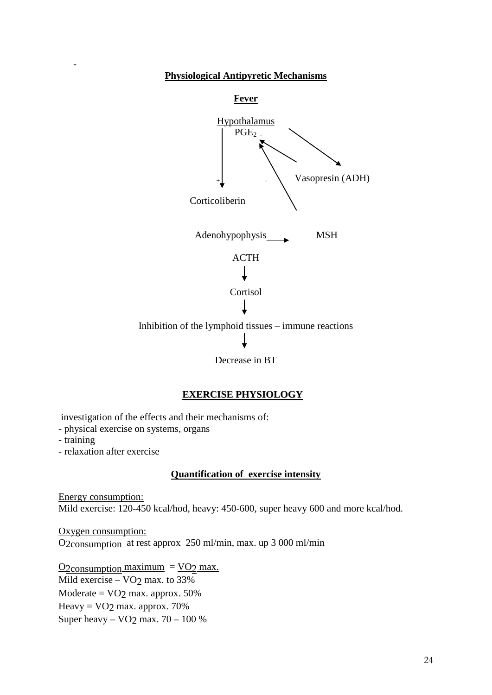# **Physiological Antipyretic Mechanisms**



# **EXERCISE PHYSIOLOGY**

investigation of the effects and their mechanisms of:

- physical exercise on systems, organs
- training

-

- relaxation after exercise

## **Quantification of exercise intensity**

Energy consumption: Mild exercise: 120-450 kcal/hod, heavy: 450-600, super heavy 600 and more kcal/hod.

Oxygen consumption: O2consumption at rest approx 250 ml/min, max. up 3 000 ml/min

 $Q2$ consumption maximum =  $VO2$  max. Mild exercise –  $VO2$  max. to 33% Moderate  $=$  VO<sub>2</sub> max. approx. 50% Heavy =  $VO<sub>2</sub>$  max. approx. 70% Super heavy –  $VO<sub>2</sub>$  max. 70 – 100 %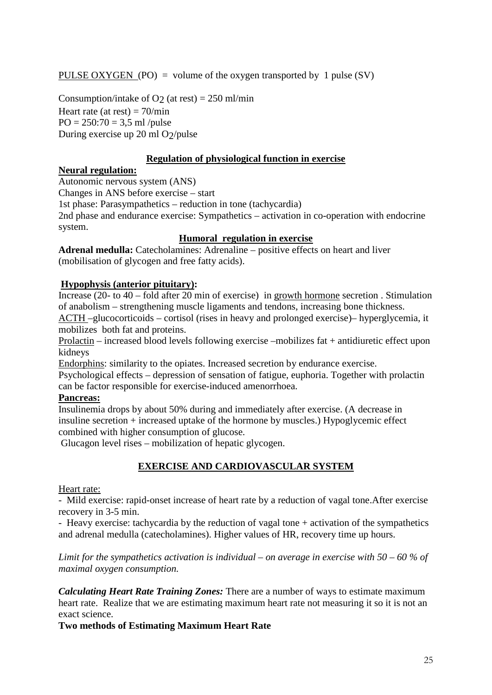PULSE OXYGEN (PO) = volume of the oxygen transported by 1 pulse (SV)

Consumption/intake of O<sub>2</sub> (at rest) =  $250$  ml/min Heart rate (at rest) =  $70/\text{min}$  $PO = 250:70 = 3.5$  ml /pulse During exercise up 20 ml O2/pulse

# **Regulation of physiological function in exercise**

#### **Neural regulation:**

Autonomic nervous system (ANS)

Changes in ANS before exercise – start

1st phase: Parasympathetics – reduction in tone (tachycardia)

2nd phase and endurance exercise: Sympathetics – activation in co-operation with endocrine system.

# **Humoral regulation in exercise**

**Adrenal medulla:** Catecholamines: Adrenaline – positive effects on heart and liver (mobilisation of glycogen and free fatty acids).

# **Hypophysis (anterior pituitary):**

Increase (20- to 40 – fold after 20 min of exercise) in growth hormone secretion . Stimulation of anabolism – strengthening muscle ligaments and tendons, increasing bone thickness.

ACTH –glucocorticoids – cortisol (rises in heavy and prolonged exercise)– hyperglycemia, it mobilizes both fat and proteins.

Prolactin – increased blood levels following exercise –mobilizes fat + antidiuretic effect upon kidneys

Endorphins: similarity to the opiates. Increased secretion by endurance exercise.

Psychological effects – depression of sensation of fatigue, euphoria. Together with prolactin can be factor responsible for exercise-induced amenorrhoea.

### **Pancreas:**

Insulinemia drops by about 50% during and immediately after exercise. (A decrease in insuline secretion + increased uptake of the hormone by muscles.) Hypoglycemic effect combined with higher consumption of glucose.

Glucagon level rises – mobilization of hepatic glycogen.

# **EXERCISE AND CARDIOVASCULAR SYSTEM**

### Heart rate:

- Mild exercise: rapid-onset increase of heart rate by a reduction of vagal tone.After exercise recovery in 3-5 min.

- Heavy exercise: tachycardia by the reduction of vagal tone + activation of the sympathetics and adrenal medulla (catecholamines). Higher values of HR, recovery time up hours.

*Limit for the sympathetics activation is individual – on average in exercise with 50 – 60 % of maximal oxygen consumption.* 

*Calculating Heart Rate Training Zones:* There are a number of ways to estimate maximum heart rate. Realize that we are estimating maximum heart rate not measuring it so it is not an exact science.

**Two methods of Estimating Maximum Heart Rate**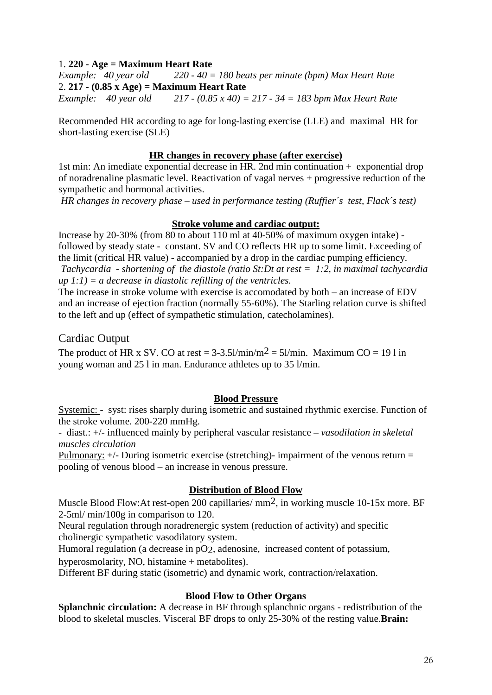# 1. **220 - Age = Maximum Heart Rate**

*Example: 40 year old 220 - 40 = 180 beats per minute (bpm) Max Heart Rate* 2. **217 - (0.85 x Age) = Maximum Heart Rate**

*Example: 40 year old 217 - (0.85 x 40) = 217 - 34 = 183 bpm Max Heart Rate*

Recommended HR according to age for long-lasting exercise (LLE) and maximal HR for short-lasting exercise (SLE)

### **HR changes in recovery phase (after exercise)**

1st min: An imediate exponential decrease in HR. 2nd min continuation + exponential drop of noradrenaline plasmatic level. Reactivation of vagal nerves + progressive reduction of the sympathetic and hormonal activities.

*HR changes in recovery phase – used in performance testing (Ruffier´s test, Flack´s test)* 

# **Stroke volume and cardiac output:**

Increase by 20-30% (from 80 to about 110 ml at 40-50% of maximum oxygen intake) followed by steady state - constant. SV and CO reflects HR up to some limit. Exceeding of the limit (critical HR value) - accompanied by a drop in the cardiac pumping efficiency. *Tachycardia - shortening of the diastole (ratio St:Dt at rest = 1:2, in maximal tachycardia up 1:1) = a decrease in diastolic refilling of the ventricles.*

The increase in stroke volume with exercise is accomodated by both – an increase of EDV and an increase of ejection fraction (normally 55-60%). The Starling relation curve is shifted to the left and up (effect of sympathetic stimulation, catecholamines).

# Cardiac Output

The product of HR x SV. CO at rest =  $3-3.5$ ]/min/m<sup>2</sup> =  $5$ ]/min. Maximum CO = 19 l in young woman and 25 l in man. Endurance athletes up to 35 l/min.

### **Blood Pressure**

Systemic: - syst: rises sharply during isometric and sustained rhythmic exercise. Function of the stroke volume. 200-220 mmHg.

- diast.: +/- influenced mainly by peripheral vascular resistance *– vasodilation in skeletal muscles circulation*

Pulmonary:  $+/-$  During isometric exercise (stretching)- impairment of the venous return = pooling of venous blood – an increase in venous pressure.

### **Distribution of Blood Flow**

Muscle Blood Flow: At rest-open 200 capillaries/ mm<sup>2</sup>, in working muscle 10-15x more. BF 2-5ml/ min/100g in comparison to 120.

Neural regulation through noradrenergic system (reduction of activity) and specific cholinergic sympathetic vasodilatory system.

Humoral regulation (a decrease in pO<sub>2</sub>, adenosine, increased content of potassium, hyperosmolarity, NO, histamine + metabolites).

Different BF during static (isometric) and dynamic work, contraction/relaxation.

### **Blood Flow to Other Organs**

**Splanchnic circulation:** A decrease in BF through splanchnic organs - redistribution of the blood to skeletal muscles. Visceral BF drops to only 25-30% of the resting value.**Brain:**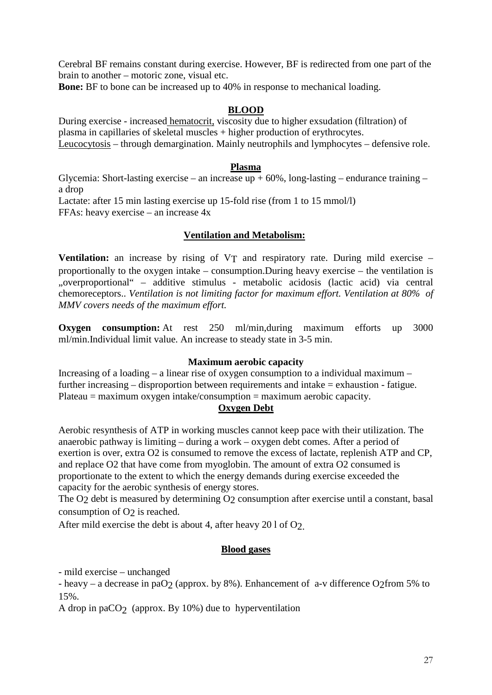Cerebral BF remains constant during exercise. However, BF is redirected from one part of the brain to another – motoric zone, visual etc.

**Bone:** BF to bone can be increased up to 40% in response to mechanical loading.

## **BLOOD**

During exercise - increased hematocrit, viscosity due to higher exsudation (filtration) of plasma in capillaries of skeletal muscles + higher production of erythrocytes. Leucocytosis – through demargination. Mainly neutrophils and lymphocytes – defensive role.

#### **Plasma**

Glycemia: Short-lasting exercise – an increase up  $+60\%$ , long-lasting – endurance training – a drop Lactate: after 15 min lasting exercise up 15-fold rise (from 1 to 15 mmol/l) FFAs: heavy exercise – an increase 4x

# **Ventilation and Metabolism:**

**Ventilation:** an increase by rising of VT and respiratory rate. During mild exercise – proportionally to the oxygen intake – consumption.During heavy exercise – the ventilation is "overproportional" – additive stimulus - metabolic acidosis (lactic acid) via central chemoreceptors.. *Ventilation is not limiting factor for maximum effort. Ventilation at 80% of MMV covers needs of the maximum effort.*

**Oxygen consumption:** At rest 250 ml/min,during maximum efforts up 3000 ml/min.Individual limit value. An increase to steady state in 3-5 min.

### **Maximum aerobic capacity**

Increasing of a loading – a linear rise of oxygen consumption to a individual maximum – further increasing – disproportion between requirements and intake = exhaustion - fatigue.  $Plateau = maximum oxygen intake/consumption = maximum aerobic capacity.$ 

### **Oxygen Debt**

Aerobic resynthesis of ATP in working muscles cannot keep pace with their utilization. The anaerobic pathway is limiting – during a work – oxygen debt comes. After a period of exertion is over, extra O2 is consumed to remove the excess of lactate, replenish ATP and CP, and replace O2 that have come from myoglobin. The amount of extra O2 consumed is proportionate to the extent to which the energy demands during exercise exceeded the capacity for the aerobic synthesis of energy stores.

The O<sub>2</sub> debt is measured by determining O<sub>2</sub> consumption after exercise until a constant, basal consumption of O<sub>2</sub> is reached.

After mild exercise the debt is about 4, after heavy 20 l of O2.

### **Blood gases**

- mild exercise – unchanged

- heavy – a decrease in paO<sub>2</sub> (approx. by 8%). Enhancement of a-v difference O<sub>2</sub>from 5% to 15%.

A drop in paCO<sub>2</sub> (approx. By 10%) due to hyperventilation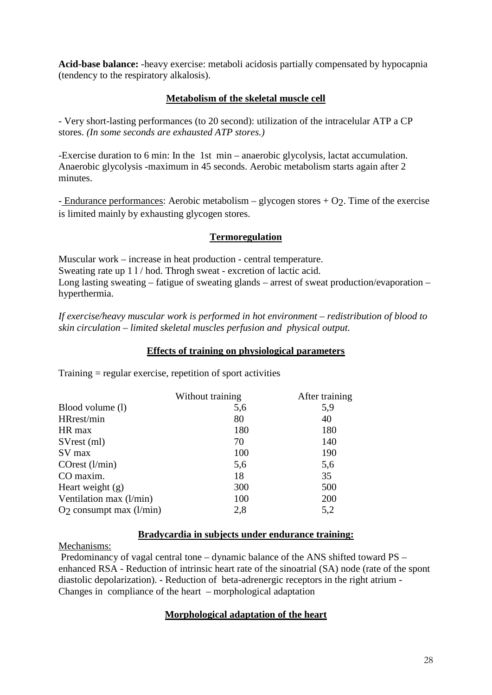**Acid-base balance:** -heavy exercise: metaboli acidosis partially compensated by hypocapnia (tendency to the respiratory alkalosis).

# **Metabolism of the skeletal muscle cell**

- Very short-lasting performances (to 20 second): utilization of the intracelular ATP a CP stores. *(In some seconds are exhausted ATP stores.)* 

-Exercise duration to 6 min: In the 1st min – anaerobic glycolysis, lactat accumulation. Anaerobic glycolysis -maximum in 45 seconds. Aerobic metabolism starts again after 2 minutes.

- Endurance performances: Aerobic metabolism – glycogen stores  $+ O<sub>2</sub>$ . Time of the exercise is limited mainly by exhausting glycogen stores.

# **Termoregulation**

Muscular work – increase in heat production - central temperature. Sweating rate up 1 l / hod. Throgh sweat - excretion of lactic acid. Long lasting sweating – fatigue of sweating glands – arrest of sweat production/evaporation – hyperthermia.

*If exercise/heavy muscular work is performed in hot environment – redistribution of blood to skin circulation – limited skeletal muscles perfusion and physical output.*

# **Effects of training on physiological parameters**

|                           | Without training | After training |
|---------------------------|------------------|----------------|
| Blood volume (1)          | 5,6              | 5,9            |
| HRrest/min                | 80               | 40             |
| HR max                    | 180              | 180            |
| SVrest (ml)               | 70               | 140            |
| SV max                    | 100              | 190            |
| $\text{COrest (l/min)}$   | 5,6              | 5,6            |
| CO maxim.                 | 18               | 35             |
| Heart weight $(g)$        | 300              | 500            |
| Ventilation max (l/min)   | 100              | 200            |
| $O2$ consumpt max (l/min) | 2,8              | 5,2            |
|                           |                  |                |

Training = regular exercise, repetition of sport activities

### **Bradycardia in subjects under endurance training:**

Mechanisms:

Predominancy of vagal central tone – dynamic balance of the ANS shifted toward PS – enhanced RSA - Reduction of intrinsic heart rate of the sinoatrial (SA) node (rate of the spont diastolic depolarization). - Reduction of beta-adrenergic receptors in the right atrium - Changes in compliance of the heart – morphological adaptation

# **Morphological adaptation of the heart**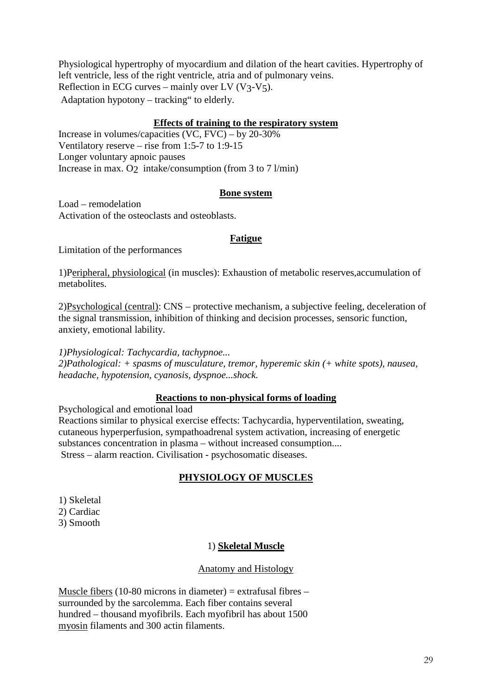Physiological hypertrophy of myocardium and dilation of the heart cavities. Hypertrophy of left ventricle, less of the right ventricle, atria and of pulmonary veins. Reflection in ECG curves – mainly over LV  $(V_3-V_5)$ . Adaptation hypotony – tracking" to elderly.

# **Effects of training to the respiratory system**

Increase in volumes/capacities  $(VC, FVC) - by 20-30%$ Ventilatory reserve – rise from 1:5-7 to 1:9-15 Longer voluntary apnoic pauses Increase in max. O intake/consumption (from 3 to 7 l/min)

# **Bone system**

Load – remodelation Activation of the osteoclasts and osteoblasts.

### **Fatigue**

Limitation of the performances

1)Peripheral, physiological (in muscles): Exhaustion of metabolic reserves,accumulation of metabolites.

2)Psychological (central): CNS – protective mechanism, a subjective feeling, deceleration of the signal transmission, inhibition of thinking and decision processes, sensoric function, anxiety, emotional lability.

*1)Physiological: Tachycardia, tachypnoe... 2)Pathological: + spasms of musculature, tremor, hyperemic skin (+ white spots), nausea, headache, hypotension, cyanosis, dyspnoe...shock.*

# **Reactions to non-physical forms of loading**

Psychological and emotional load Reactions similar to physical exercise effects: Tachycardia, hyperventilation, sweating, cutaneous hyperperfusion, sympathoadrenal system activation, increasing of energetic substances concentration in plasma – without increased consumption.... Stress – alarm reaction. Civilisation - psychosomatic diseases.

# **PHYSIOLOGY OF MUSCLES**

- 1) Skeletal 2) Cardiac
- 3) Smooth

# 1) **Skeletal Muscle**

### Anatomy and Histology

Muscle fibers (10-80 microns in diameter) = extrafusal fibres  $$ surrounded by the sarcolemma. Each fiber contains several hundred – thousand myofibrils. Each myofibril has about 1500 myosin filaments and 300 actin filaments.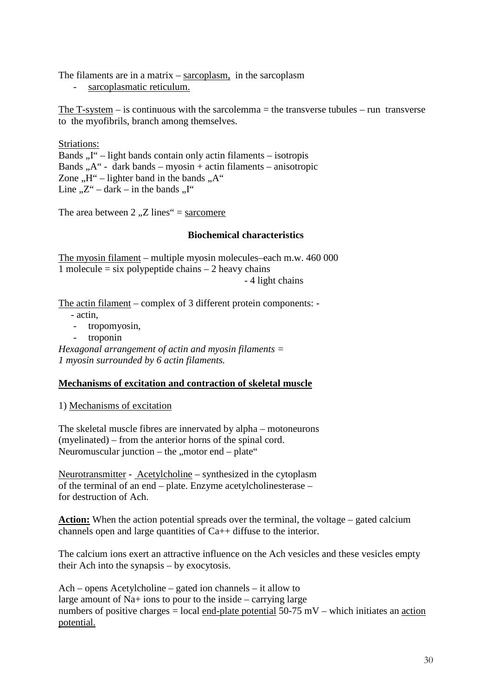The filaments are in a matrix – sarcoplasm, in the sarcoplasm

- sarcoplasmatic reticulum.

The T-system  $-$  is continuous with the sarcolemma  $=$  the transverse tubules  $-$  run transverse to the myofibrils, branch among themselves.

Striations:

Bands  $I''$  – light bands contain only actin filaments – isotropis Bands  $, A''$  - dark bands – myosin + actin filaments – anisotropic Zone  $.H''$  – lighter band in the bands  $.A''$ Line  $Z''$  – dark – in the bands  $\Pi''$ 

The area between 2,  $Z$  lines" = sarcomere

### **Biochemical characteristics**

The myosin filament – multiple myosin molecules–each m.w. 460 000 1 molecule  $=$  six polypeptide chains  $-$  2 heavy chains - 4 light chains

The actin filament – complex of 3 different protein components: -

- actin,

- tropomyosin,

- troponin

*Hexagonal arrangement of actin and myosin filaments = 1 myosin surrounded by 6 actin filaments.*

### **Mechanisms of excitation and contraction of skeletal muscle**

1) Mechanisms of excitation

The skeletal muscle fibres are innervated by alpha – motoneurons (myelinated) – from the anterior horns of the spinal cord. Neuromuscular junction – the "motor end – plate"

Neurotransmitter - Acetylcholine – synthesized in the cytoplasm of the terminal of an end – plate. Enzyme acetylcholinesterase – for destruction of Ach.

**Action:** When the action potential spreads over the terminal, the voltage – gated calcium channels open and large quantities of Ca++ diffuse to the interior.

The calcium ions exert an attractive influence on the Ach vesicles and these vesicles empty their Ach into the synapsis – by exocytosis.

Ach – opens Acetylcholine – gated ion channels – it allow to large amount of Na+ ions to pour to the inside – carrying large numbers of positive charges = local end-plate potential  $50-75$  mV – which initiates an action potential.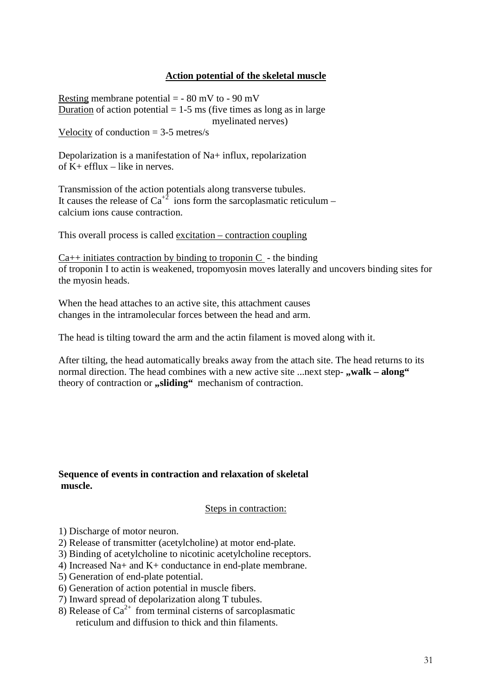# **Action potential of the skeletal muscle**

Resting membrane potential  $=$  - 80 mV to - 90 mV Duration of action potential  $= 1-5$  ms (five times as long as in large myelinated nerves) Velocity of conduction  $=$  3-5 metres/s

Depolarization is a manifestation of Na+ influx, repolarization of  $K$ + efflux – like in nerves.

Transmission of the action potentials along transverse tubules. It causes the release of Ca<sup>+2</sup> ions form the sarcoplasmatic reticulum – calcium ions cause contraction.

This overall process is called excitation – contraction coupling

 $Ca++$  initiates contraction by binding to troponin C - the binding of troponin I to actin is weakened, tropomyosin moves laterally and uncovers binding sites for the myosin heads.

When the head attaches to an active site, this attachment causes changes in the intramolecular forces between the head and arm.

The head is tilting toward the arm and the actin filament is moved along with it.

After tilting, the head automatically breaks away from the attach site. The head returns to its normal direction. The head combines with a new active site ...next step- **..walk – along**" theory of contraction or **"sliding"** mechanism of contraction.

#### **Sequence of events in contraction and relaxation of skeletal muscle.**

#### Steps in contraction:

- 1) Discharge of motor neuron.
- 2) Release of transmitter (acetylcholine) at motor end-plate.
- 3) Binding of acetylcholine to nicotinic acetylcholine receptors.
- 4) Increased Na+ and K+ conductance in end-plate membrane.
- 5) Generation of end-plate potential.
- 6) Generation of action potential in muscle fibers.
- 7) Inward spread of depolarization along T tubules.
- 8) Release of  $Ca^{2+}$  from terminal cisterns of sarcoplasmatic reticulum and diffusion to thick and thin filaments.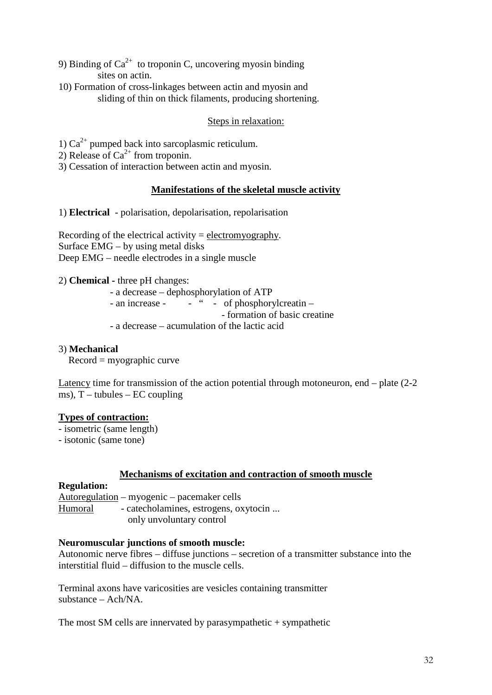- 9) Binding of  $Ca^{2+}$  to troponin C, uncovering myosin binding sites on actin.
- 10) Formation of cross-linkages between actin and myosin and sliding of thin on thick filaments, producing shortening.

# Steps in relaxation:

- 1)  $Ca^{2+}$  pumped back into sarcoplasmic reticulum.
- 2) Release of  $Ca^{2+}$  from troponin.
- 3) Cessation of interaction between actin and myosin.

# **Manifestations of the skeletal muscle activity**

1) **Electrical** - polarisation, depolarisation, repolarisation

Recording of the electrical activity  $=$  electromyography. Surface EMG – by using metal disks Deep EMG – needle electrodes in a single muscle

2) **Chemical -** three pH changes:

 - a decrease – dephosphorylation of ATP - an increase -  $\cdot$   $\cdot$   $\cdot$  of phosphorylcreatin – - formation of basic creatine - a decrease – acumulation of the lactic acid

## 3) **Mechanical**

 $Record = myographic curve$ 

Latency time for transmission of the action potential through motoneuron, end – plate (2-2 ms),  $T$  – tubules – EC coupling

# **Types of contraction:**

- isometric (same length)

- isotonic (same tone)

### **Mechanisms of excitation and contraction of smooth muscle**

### **Regulation:**

Autoregulation – myogenic – pacemaker cells Humoral - catecholamines, estrogens, oxytocin ... only unvoluntary control

### **Neuromuscular junctions of smooth muscle:**

Autonomic nerve fibres – diffuse junctions – secretion of a transmitter substance into the interstitial fluid – diffusion to the muscle cells.

Terminal axons have varicosities are vesicles containing transmitter substance – Ach/NA.

The most SM cells are innervated by parasympathetic  $+$  sympathetic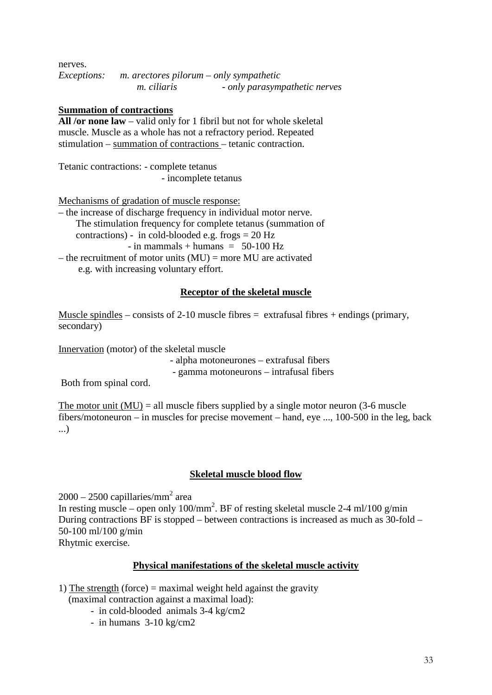nerves. *Exceptions: m. arectores pilorum – only sympathetic m. ciliaris - only parasympathetic nerves*

### **Summation of contractions**

**All /or none law** – valid only for 1 fibril but not for whole skeletal muscle. Muscle as a whole has not a refractory period. Repeated stimulation – summation of contractions – tetanic contraction.

Tetanic contractions: - complete tetanus - incomplete tetanus

Mechanisms of gradation of muscle response:

– the increase of discharge frequency in individual motor nerve. The stimulation frequency for complete tetanus (summation of contractions) - in cold-blooded e.g. frogs  $= 20$  Hz  $-$  in mammals  $+$  humans  $= 50-100$  Hz – the recruitment of motor units  $(MU)$  = more MU are activated e.g. with increasing voluntary effort.

# **Receptor of the skeletal muscle**

Muscle spindles – consists of 2-10 muscle fibres  $=$  extrafusal fibres + endings (primary, secondary)

Innervation (motor) of the skeletal muscle

 - alpha motoneurones – extrafusal fibers - gamma motoneurons – intrafusal fibers

Both from spinal cord.

The motor unit  $(MU) =$  all muscle fibers supplied by a single motor neuron (3-6 muscle fibers/motoneuron – in muscles for precise movement – hand, eye ..., 100-500 in the leg, back ...)

### **Skeletal muscle blood flow**

 $2000 - 2500$  capillaries/mm<sup>2</sup> area

In resting muscle – open only  $100/\text{mm}^2$ . BF of resting skeletal muscle 2-4 ml/100 g/min During contractions BF is stopped – between contractions is increased as much as 30-fold – 50-100 ml/100 g/min Rhytmic exercise.

# **Physical manifestations of the skeletal muscle activity**

1) The strength (force) = maximal weight held against the gravity

(maximal contraction against a maximal load):

- in cold-blooded animals 3-4 kg/cm2
- in humans 3-10 kg/cm2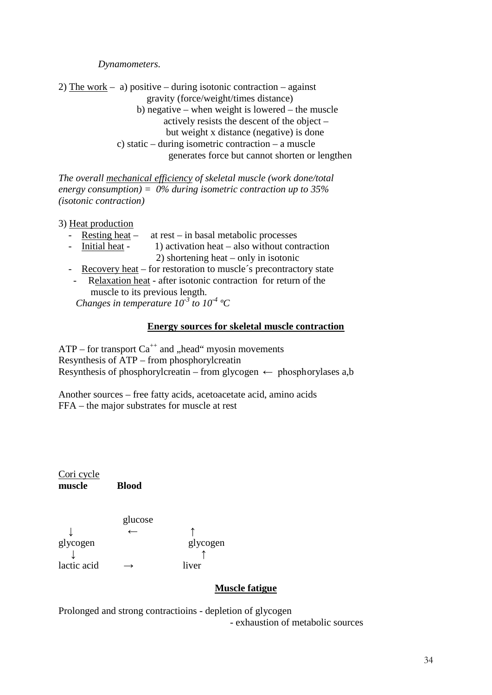*Dynamometers.*

2) The work – a) positive – during isotonic contraction – against gravity (force/weight/times distance) b) negative – when weight is lowered – the muscle actively resists the descent of the object – but weight x distance (negative) is done c) static – during isometric contraction – a muscle generates force but cannot shorten or lengthen

*The overall mechanical efficiency of skeletal muscle (work done/total energy consumption) = 0% during isometric contraction up to 35% (isotonic contraction)*

3) Heat production

- Resting heat at rest in basal metabolic processes
- Initial heat 1) activation heat also without contraction 2) shortening heat – only in isotonic
- Recovery heat for restoration to muscle´s precontractory state
- Relaxation heat after isotonic contraction for return of the muscle to its previous length.  *Changes in temperature 10-3 to 10-4 ºC*

**Energy sources for skeletal muscle contraction**

 $ATP$  – for transport  $Ca^{++}$  and "head" myosin movements Resynthesis of ATP – from phosphorylcreatin Resynthesis of phosphorylcreatin – from glycogen  $\leftarrow$  phosphorylases a,b

Another sources – free fatty acids, acetoacetate acid, amino acids FFA – the major substrates for muscle at rest

Cori cycle **muscle Blood**

glucose ↓ ← ↑ glycogen glycogen  $\downarrow$ lactic acid  $\rightarrow$  liver

# **Muscle fatigue**

Prolonged and strong contractioins - depletion of glycogen - exhaustion of metabolic sources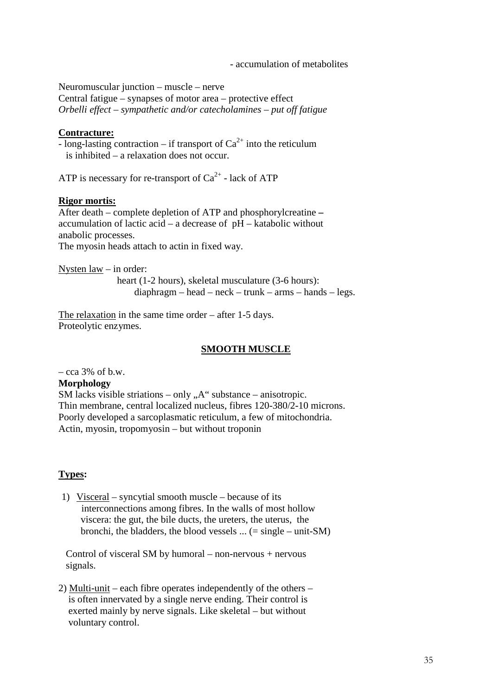- accumulation of metabolites

Neuromuscular junction – muscle – nerve Central fatigue – synapses of motor area – protective effect *Orbelli effect – sympathetic and/or catecholamines – put off fatigue*

# **Contracture:**

- long-lasting contraction – if transport of  $Ca^{2+}$  into the reticulum is inhibited – a relaxation does not occur.

ATP is necessary for re-transport of  $Ca^{2+}$  - lack of ATP

# **Rigor mortis:**

After death – complete depletion of ATP and phosphorylcreatine **–** accumulation of lactic acid – a decrease of pH – katabolic without anabolic processes.

The myosin heads attach to actin in fixed way.

Nysten law – in order:

 heart (1-2 hours), skeletal musculature (3-6 hours): diaphragm – head – neck – trunk – arms – hands – legs.

The relaxation in the same time order – after 1-5 days. Proteolytic enzymes.

### **SMOOTH MUSCLE**

 $-$  cca 3% of b.w.

### **Morphology**

SM lacks visible striations – only  $A^{\prime\prime}$  substance – anisotropic. Thin membrane, central localized nucleus, fibres 120-380/2-10 microns. Poorly developed a sarcoplasmatic reticulum, a few of mitochondria. Actin, myosin, tropomyosin – but without troponin

# **Types:**

1) Visceral – syncytial smooth muscle – because of its interconnections among fibres. In the walls of most hollow viscera: the gut, the bile ducts, the ureters, the uterus, the bronchi, the bladders, the blood vessels  $\ldots$  (= single – unit-SM)

 Control of visceral SM by humoral – non-nervous + nervous signals.

2) Multi-unit – each fibre operates independently of the others – is often innervated by a single nerve ending. Their control is exerted mainly by nerve signals. Like skeletal – but without voluntary control.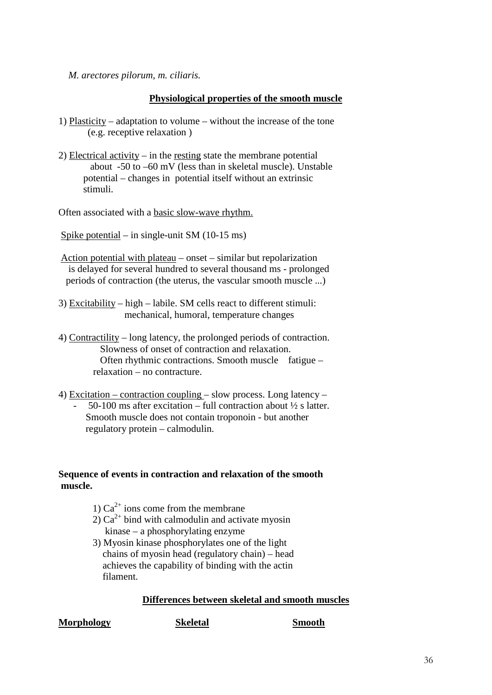*M. arectores pilorum, m. ciliaris.*

# **Physiological properties of the smooth muscle**

- 1) Plasticity adaptation to volume without the increase of the tone (e.g. receptive relaxation )
- 2) Electrical activity in the resting state the membrane potential about -50 to –60 mV (less than in skeletal muscle). Unstable potential – changes in potential itself without an extrinsic stimuli.

Often associated with a basic slow-wave rhythm.

Spike potential – in single-unit SM (10-15 ms)

- Action potential with plateau onset similar but repolarization is delayed for several hundred to several thousand ms - prolonged periods of contraction (the uterus, the vascular smooth muscle ...)
- 3) Excitability high labile. SM cells react to different stimuli: mechanical, humoral, temperature changes
- 4) Contractility long latency, the prolonged periods of contraction. Slowness of onset of contraction and relaxation. Often rhythmic contractions. Smooth muscle fatigue – relaxation – no contracture.

4) Excitation – contraction coupling – slow process. Long latency – 50-100 ms after excitation – full contraction about  $\frac{1}{2}$  s latter. Smooth muscle does not contain troponoin - but another regulatory protein – calmodulin.

# **Sequence of events in contraction and relaxation of the smooth muscle.**

- 1)  $Ca^{2+}$  ions come from the membrane
- 2)  $Ca^{2+}$  bind with calmodulin and activate myosin kinase – a phosphorylating enzyme
- 3) Myosin kinase phosphorylates one of the light chains of myosin head (regulatory chain) – head achieves the capability of binding with the actin filament.

# **Differences between skeletal and smooth muscles**

**Morphology Skeletal Smooth**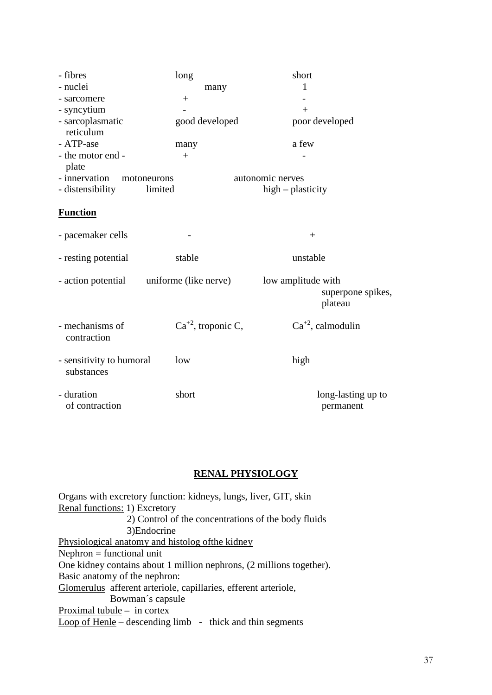| - fibres                               | long                    | short                           |  |
|----------------------------------------|-------------------------|---------------------------------|--|
| - nuclei                               | many                    | 1                               |  |
| - sarcomere                            | $^{+}$                  |                                 |  |
| - syncytium                            |                         | $+$                             |  |
| - sarcoplasmatic<br>reticulum          | good developed          | poor developed                  |  |
| - ATP-ase                              | many                    | a few                           |  |
| - the motor end -                      | $+$                     |                                 |  |
| plate                                  |                         |                                 |  |
| - innervation<br>motoneurons           |                         | autonomic nerves                |  |
| - distensibility                       | limited                 | $high-plasticity$               |  |
|                                        |                         |                                 |  |
| <b>Function</b>                        |                         |                                 |  |
| - pacemaker cells                      |                         | $^{+}$                          |  |
| - resting potential                    | stable                  | unstable                        |  |
| - action potential                     | uniforme (like nerve)   | low amplitude with              |  |
|                                        |                         | superpone spikes,<br>plateau    |  |
| - mechanisms of<br>contraction         | $Ca^{+2}$ , troponic C, | $Ca^{+2}$ , calmodulin          |  |
| - sensitivity to humoral<br>substances | low                     | high                            |  |
| - duration<br>of contraction           | short                   | long-lasting up to<br>permanent |  |

# **RENAL PHYSIOLOGY**

| Organs with excretory function: kidneys, lungs, liver, GIT, skin     |  |  |  |  |
|----------------------------------------------------------------------|--|--|--|--|
| Renal functions: 1) Excretory                                        |  |  |  |  |
| 2) Control of the concentrations of the body fluids                  |  |  |  |  |
| 3) Endocrine                                                         |  |  |  |  |
| Physiological anatomy and histolog of the kidney                     |  |  |  |  |
| $Nephron = functional unit$                                          |  |  |  |  |
| One kidney contains about 1 million nephrons, (2 millions together). |  |  |  |  |
| Basic anatomy of the nephron:                                        |  |  |  |  |
| Glomerulus afferent arteriole, capillaries, efferent arteriole,      |  |  |  |  |
| Bowman's capsule                                                     |  |  |  |  |
| Proximal tubule $-$ in cortex                                        |  |  |  |  |
| Loop of Henle – descending limb – thick and thin segments            |  |  |  |  |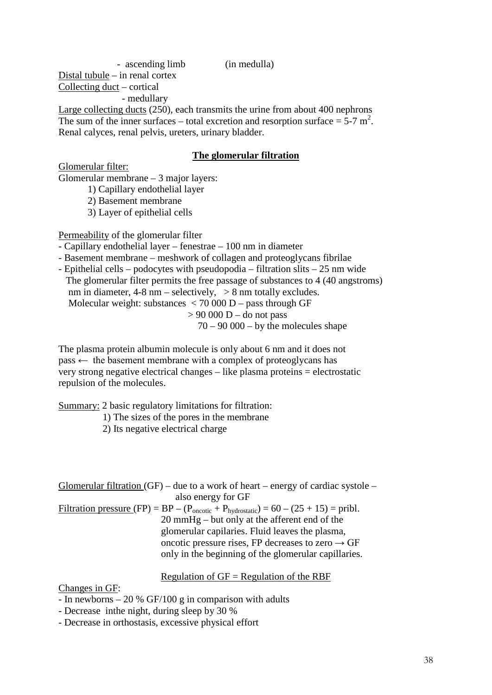Distal tubule – in renal cortex Collecting duct – cortical - medullary

Large collecting ducts (250), each transmits the urine from about 400 nephrons The sum of the inner surfaces – total excretion and resorption surface =  $5-7$  m<sup>2</sup>. Renal calyces, renal pelvis, ureters, urinary bladder.

## **The glomerular filtration**

Glomerular filter: Glomerular membrane – 3 major layers:

1) Capillary endothelial layer

2) Basement membrane

3) Layer of epithelial cells

Permeability of the glomerular filter

- Capillary endothelial layer – fenestrae – 100 nm in diameter

- Basement membrane – meshwork of collagen and proteoglycans fibrilae

- Epithelial cells – podocytes with pseudopodia – filtration slits – 25 nm wide The glomerular filter permits the free passage of substances to 4 (40 angstroms) nm in diameter,  $4-8$  nm – selectively,  $> 8$  nm totally excludes. Molecular weight: substances  $\langle 70000 D - \text{pass through GF} \rangle$  $> 90 000 D -$ do not pass  $70 - 90000 - by the molecules shape$ 

The plasma protein albumin molecule is only about 6 nm and it does not  $pass \leftarrow$  the basement membrane with a complex of proteoglycans has very strong negative electrical changes – like plasma proteins = electrostatic repulsion of the molecules.

Summary: 2 basic regulatory limitations for filtration:

1) The sizes of the pores in the membrane

2) Its negative electrical charge

| Glomerular filtration (GF) – due to a work of heart – energy of cardiac systole –                                        |  |  |  |
|--------------------------------------------------------------------------------------------------------------------------|--|--|--|
| also energy for GF                                                                                                       |  |  |  |
| <u>Filtration pressure</u> (FP) = $BP - (P_{\text{oncotic}} + P_{\text{hydrostatic}}) = 60 - (25 + 15) = \text{pribl}$ . |  |  |  |
| $20 \text{ mmHg}$ – but only at the afferent end of the                                                                  |  |  |  |
| glomerular capilaries. Fluid leaves the plasma,                                                                          |  |  |  |
| oncotic pressure rises, FP decreases to zero $\rightarrow$ GF                                                            |  |  |  |
| only in the beginning of the glomerular capillaries.                                                                     |  |  |  |
|                                                                                                                          |  |  |  |

## Regulation of  $GF = Regularation$  of the RBF

Changes in GF:

- In newborns 20 % GF/100 g in comparison with adults
- Decrease inthe night, during sleep by 30 %
- Decrease in orthostasis, excessive physical effort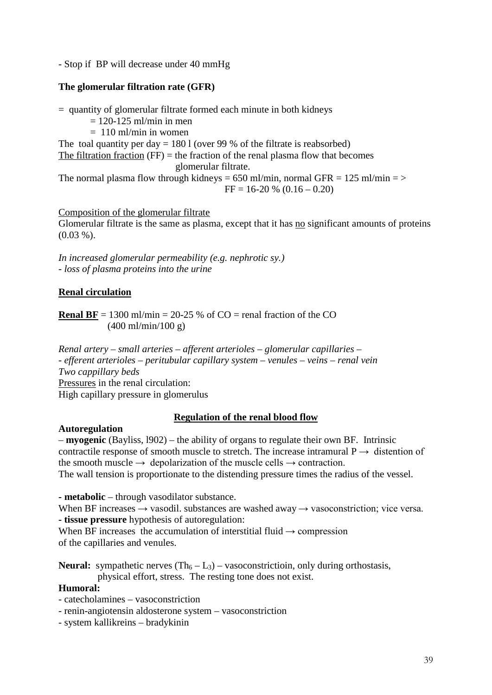- Stop if BP will decrease under 40 mmHg

## **The glomerular filtration rate (GFR)**

 $=$  quantity of glomerular filtrate formed each minute in both kidneys  $= 120 - 125$  ml/min in men  $= 110$  ml/min in women The toal quantity per day  $= 1801$  (over 99 % of the filtrate is reabsorbed) The filtration fraction  $(FF)$  = the fraction of the renal plasma flow that becomes glomerular filtrate. The normal plasma flow through kidneys =  $650$  ml/min, normal GFR =  $125$  ml/min =  $>$  $FF = 16-20 % (0.16 – 0.20)$ 

Composition of the glomerular filtrate Glomerular filtrate is the same as plasma, except that it has no significant amounts of proteins (0.03 %).

*In increased glomerular permeability (e.g. nephrotic sy.) - loss of plasma proteins into the urine*

## **Renal circulation**

**Renal BF** = 1300 ml/min = 20-25 % of CO = renal fraction of the CO (400 ml/min/100 g)

*Renal artery – small arteries – afferent arterioles – glomerular capillaries – - efferent arterioles – peritubular capillary system – venules – veins – renal vein Two cappillary beds* Pressures in the renal circulation: High capillary pressure in glomerulus

## **Regulation of the renal blood flow**

## **Autoregulation**

– **myogenic** (Bayliss, l902) – the ability of organs to regulate their own BF. Intrinsic contractile response of smooth muscle to stretch. The increase intramural  $P \rightarrow$  distention of the smooth muscle  $\rightarrow$  depolarization of the muscle cells  $\rightarrow$  contraction. The wall tension is proportionate to the distending pressure times the radius of the vessel.

**- metabolic** – through vasodilator substance.

When BF increases  $\rightarrow$  vasodil. substances are washed away  $\rightarrow$  vasoconstriction; vice versa. **- tissue pressure** hypothesis of autoregulation:

When BF increases the accumulation of interstitial fluid  $\rightarrow$  compression of the capillaries and venules.

**Neural:** sympathetic nerves  $(Th_6 - L_3)$  – vasoconstriction, only during orthostasis, physical effort, stress. The resting tone does not exist.

## **Humoral:**

- catecholamines vasoconstriction
- renin-angiotensin aldosterone system vasoconstriction
- system kallikreins bradykinin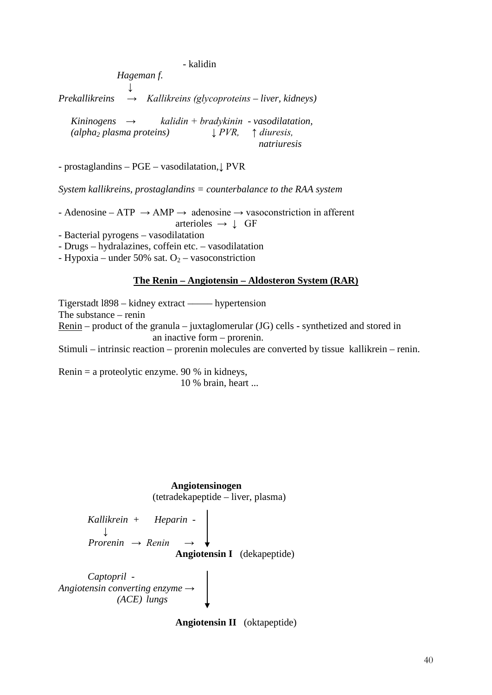- kalidin

*Hageman f. ↓ Prekallikreins → Kallikreins (glycoproteins – liver, kidneys) Kininogens → kalidin + bradykinin - vasodilatation,*

 *(alpha2 plasma proteins) ↓ PVR, ↑ diuresis, natriuresis*

- prostaglandins – PGE – vasodilatation,↓ PVR

*System kallikreins, prostaglandins = counterbalance to the RAA system*

- Adenosine – ATP  $\rightarrow$  AMP  $\rightarrow$  adenosine  $\rightarrow$  vasoconstriction in afferent arterioles  $\rightarrow \perp$  GF

- Bacterial pyrogens – vasodilatation

- Drugs – hydralazines, coffein etc. – vasodilatation

- Hypoxia – under 50% sat.  $O_2$  – vasoconstriction

#### **The Renin – Angiotensin – Aldosteron System (RAR)**

Tigerstadt l898 – kidney extract ––––– hypertension The substance – renin Renin – product of the granula – juxtaglomerular (JG) cells - synthetized and stored in an inactive form – prorenin. Stimuli – intrinsic reaction – prorenin molecules are converted by tissue kallikrein – renin.

Renin = a proteolytic enzyme. 90 % in kidneys, 10 % brain, heart ...



*Kallikrein + Heparin* -  $\perp$  *Prorenin → Renin* → **Angiotensin I** (dekapeptide)

*Captopril* - *Angiotensin converting enzyme → (ACE) lungs*

**Angiotensin II** (oktapeptide)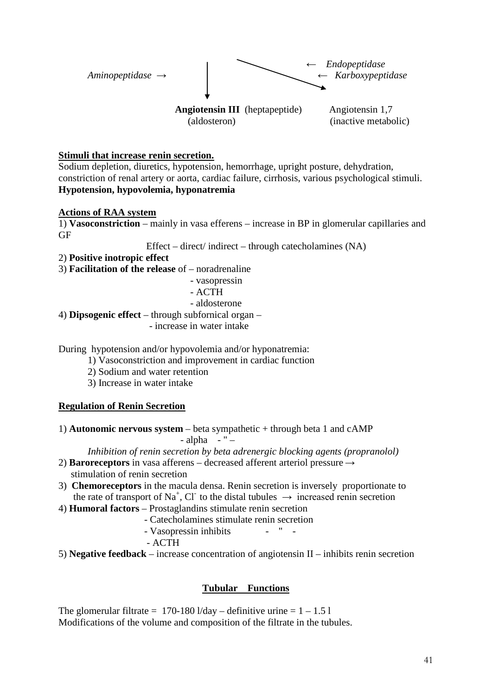

## **Stimuli that increase renin secretion.**

Sodium depletion, diuretics, hypotension, hemorrhage, upright posture, dehydration, constriction of renal artery or aorta, cardiac failure, cirrhosis, various psychological stimuli. **Hypotension, hypovolemia, hyponatremia**

## **Actions of RAA system**

1) **Vasoconstriction** – mainly in vasa efferens – increase in BP in glomerular capillaries and GF

Effect – direct/ indirect – through catecholamines (NA)

- 2) **Positive inotropic effect**
- 3) **Facilitation of the release** of noradrenaline
	- vasopressin

- ACTH

- aldosterone
- 4) **Dipsogenic effect** through subfornical organ
	- increase in water intake

During hypotension and/or hypovolemia and/or hyponatremia:

- 1) Vasoconstriction and improvement in cardiac function
- 2) Sodium and water retention
- 3) Increase in water intake

## **Regulation of Renin Secretion**

1) **Autonomic nervous system** – beta sympathetic + through beta 1 and cAMP - alpha - " –

*Inhibition of renin secretion by beta adrenergic blocking agents (propranolol)*

- 2) **Baroreceptors** in vasa afferens decreased afferent arteriol pressure → stimulation of renin secretion
- 3) **Chemoreceptors** in the macula densa. Renin secretion is inversely proportionate to the rate of transport of Na<sup>+</sup>, Cl<sup>-</sup> to the distal tubules  $\rightarrow$  increased renin secretion
- 4) **Humoral factors** Prostaglandins stimulate renin secretion
	- Catecholamines stimulate renin secretion
	- Vasopressin inhibits " -
	- ACTH
- 5) **Negative feedback**  increase concentration of angiotensin II inhibits renin secretion

## **Tubular Functions**

The glomerular filtrate = 170-180 l/day – definitive urine =  $1 - 1.51$ Modifications of the volume and composition of the filtrate in the tubules.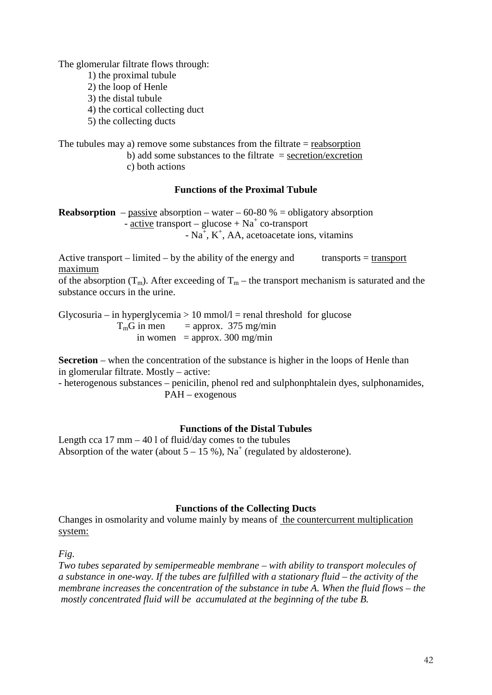The glomerular filtrate flows through:

- 1) the proximal tubule
- 2) the loop of Henle
- 3) the distal tubule
- 4) the cortical collecting duct
- 5) the collecting ducts

The tubules may a) remove some substances from the filtrate  $=$  reabsorption b) add some substances to the filtrate  $=$  secretion/excretion c) both actions

## **Functions of the Proximal Tubule**

**Reabsorption** – passive absorption – water – 60-80  $%$  = obligatory absorption - active transport – glucose +  $Na<sup>+</sup>$  co-transport  $\overline{N}$  - Na<sup>+</sup>, K<sup>+</sup>, AA, acetoacetate ions, vitamins

Active transport – limited – by the ability of the energy and transports = transport maximum

of the absorption  $(T_m)$ . After exceeding of  $T_m$  – the transport mechanism is saturated and the substance occurs in the urine.

Glycosuria – in hyperglycemia  $> 10$  mmol $/l$  = renal threshold for glucose  $T_{\text{m}}G$  in men = approx. 375 mg/min in women = approx. 300 mg/min

**Secretion** – when the concentration of the substance is higher in the loops of Henle than in glomerular filtrate. Mostly – active:

- heterogenous substances – penicilin, phenol red and sulphonphtalein dyes, sulphonamides, PAH – exogenous

## **Functions of the Distal Tubules**

Length cca  $17 \text{ mm} - 401$  of fluid/day comes to the tubules Absorption of the water (about  $5 - 15\%$ ), Na<sup>+</sup> (regulated by aldosterone).

## **Functions of the Collecting Ducts**

Changes in osmolarity and volume mainly by means of the countercurrent multiplication system:

*Fig.*

*Two tubes separated by semipermeable membrane – with ability to transport molecules of a substance in one-way. If the tubes are fulfilled with a stationary fluid – the activity of the membrane increases the concentration of the substance in tube A. When the fluid flows – the mostly concentrated fluid will be accumulated at the beginning of the tube B.*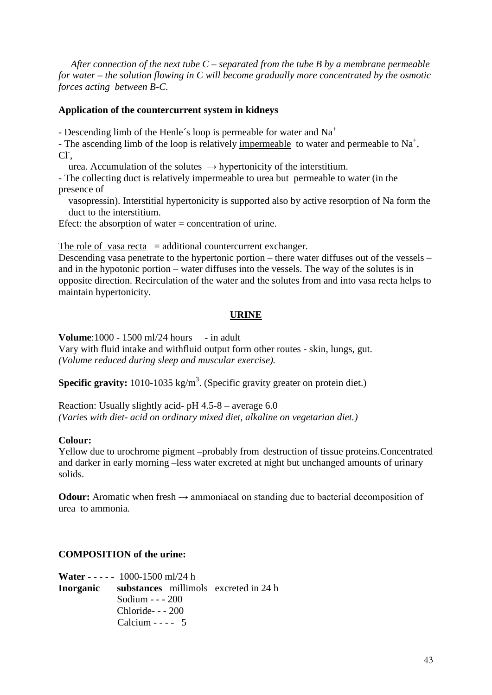*After connection of the next tube C – separated from the tube B by a membrane permeable for water – the solution flowing in C will become gradually more concentrated by the osmotic forces acting between B-C.*

## **Application of the countercurrent system in kidneys**

- Descending limb of the Henle's loop is permeable for water and  $Na<sup>+</sup>$ 

- The ascending limb of the loop is relatively impermeable to water and permeable to  $Na^+$ , Cl<sup>-</sup>,

urea. Accumulation of the solutes  $\rightarrow$  hypertonicity of the interstitium.

- The collecting duct is relatively impermeable to urea but permeable to water (in the presence of

 vasopressin). Interstitial hypertonicity is supported also by active resorption of Na form the duct to the interstitium.

Efect: the absorption of water = concentration of urine.

The role of vasa recta  $=$  additional countercurrent exchanger.

Descending vasa penetrate to the hypertonic portion – there water diffuses out of the vessels – and in the hypotonic portion – water diffuses into the vessels. The way of the solutes is in opposite direction. Recirculation of the water and the solutes from and into vasa recta helps to maintain hypertonicity.

## **URINE**

**Volume**:1000 - 1500 ml/24 hours **-** in adult Vary with fluid intake and withfluid output form other routes - skin, lungs, gut. *(Volume reduced during sleep and muscular exercise).*

**Specific gravity:** 1010-1035 kg/m<sup>3</sup>. (Specific gravity greater on protein diet.)

Reaction: Usually slightly acid- pH 4.5-8 – average 6.0 *(Varies with diet- acid on ordinary mixed diet, alkaline on vegetarian diet.)*

## **Colour:**

Yellow due to urochrome pigment –probably from destruction of tissue proteins.Concentrated and darker in early morning –less water excreted at night but unchanged amounts of urinary solids.

**Odour:** Aromatic when fresh  $\rightarrow$  ammoniacal on standing due to bacterial decomposition of urea to ammonia.

## **COMPOSITION of the urine:**

**Water - - - - -** 1000-1500 ml/24 h **Inorganic substances** millimolsexcreted in 24 h Sodium - - - 200 Chloride- - - 200 Calcium  $-- 5$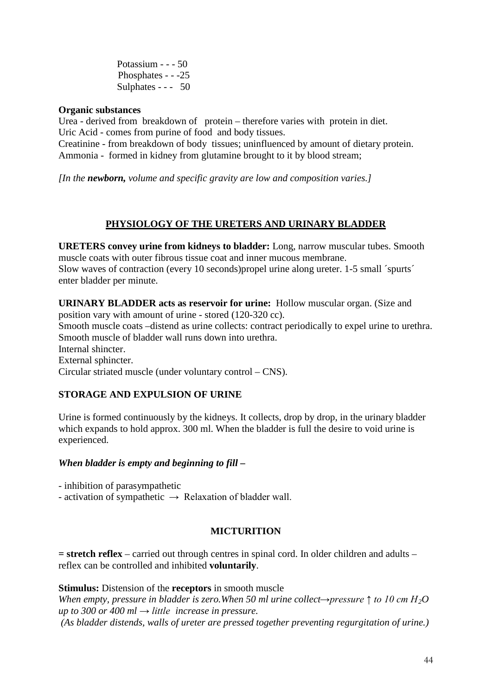Potassium - - - 50 Phosphates - - -25 Sulphates - - - 50

## **Organic substances**

Urea - derived from breakdown of protein – therefore varies with protein in diet. Uric Acid - comes from purine of food and body tissues.

Creatinine - from breakdown of body tissues; uninfluenced by amount of dietary protein. Ammonia - formed in kidney from glutamine brought to it by blood stream;

*[In the newborn, volume and specific gravity are low and composition varies.]*

## **PHYSIOLOGY OF THE URETERS AND URINARY BLADDER**

**URETERS convey urine from kidneys to bladder:** Long, narrow muscular tubes. Smooth muscle coats with outer fibrous tissue coat and inner mucous membrane. Slow waves of contraction (every 10 seconds)propel urine along ureter. 1-5 small ´spurts´ enter bladder per minute.

**URINARY BLADDER acts as reservoir for urine:** Hollow muscular organ. (Size and position vary with amount of urine - stored (120-320 cc). Smooth muscle coats –distend as urine collects: contract periodically to expel urine to urethra. Smooth muscle of bladder wall runs down into urethra. Internal shincter. External sphincter. Circular striated muscle (under voluntary control – CNS).

## **STORAGE AND EXPULSION OF URINE**

Urine is formed continuously by the kidneys. It collects, drop by drop, in the urinary bladder which expands to hold approx. 300 ml. When the bladder is full the desire to void urine is experienced.

## *When bladder is empty and beginning to fill –*

- inhibition of parasympathetic

- activation of sympathetic  $\rightarrow$  Relaxation of bladder wall.

## **MICTURITION**

**= stretch reflex** – carried out through centres in spinal cord. In older children and adults – reflex can be controlled and inhibited **voluntarily**.

## **Stimulus:** Distension of the **receptors** in smooth muscle

*When empty, pressure in bladder is zero.When 50 ml urine collect→pressure ↑ to 10 cm H2O up to 300 or 400 ml → little increase in pressure. (As bladder distends, walls of ureter are pressed together preventing regurgitation of urine.)*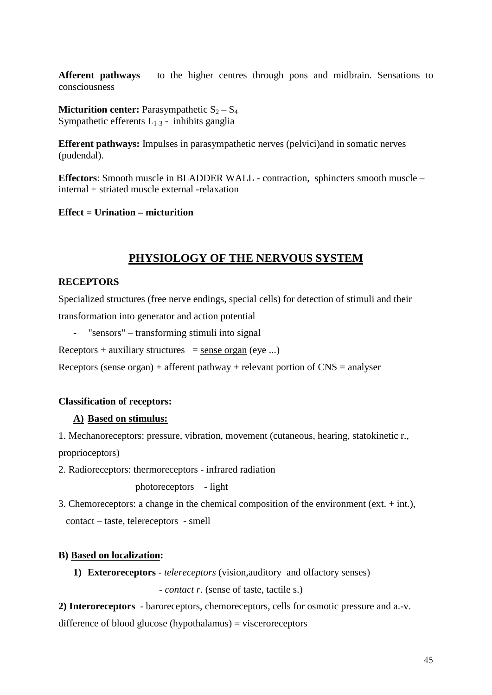**Afferent pathways** to the higher centres through pons and midbrain. Sensations to consciousness

**Micturition center:** Parasympathetic  $S_2 - S_4$ Sympathetic efferents  $L_{1-3}$  - inhibits ganglia

**Efferent pathways:** Impulses in parasympathetic nerves (pelvici)and in somatic nerves (pudendal).

**Effectors**: Smooth muscle in BLADDER WALL - contraction, sphincters smooth muscle – internal + striated muscle external -relaxation

**Effect = Urination – micturition**

# **PHYSIOLOGY OF THE NERVOUS SYSTEM**

## **RECEPTORS**

Specialized structures (free nerve endings, special cells) for detection of stimuli and their transformation into generator and action potential

"sensors" – transforming stimuli into signal

Receptors + auxiliary structures = sense organ (eye ...)

Receptors (sense organ) + afferent pathway + relevant portion of  $CNS =$  analyser

## **Classification of receptors:**

## **A) Based on stimulus:**

1. Mechanoreceptors: pressure, vibration, movement (cutaneous, hearing, statokinetic r., proprioceptors)

2. Radioreceptors: thermoreceptors - infrared radiation

photoreceptors - light

3. Chemoreceptors: a change in the chemical composition of the environment (ext. + int.), contact – taste, telereceptors - smell

## **B) Based on localization:**

**1) Exteroreceptors** - *telereceptors* (vision,auditory and olfactory senses)

- *contact r.* (sense of taste, tactile s.)

**2) Interoreceptors** - baroreceptors, chemoreceptors, cells for osmotic pressure and a.-v.

difference of blood glucose (hypothalamus) = visceroreceptors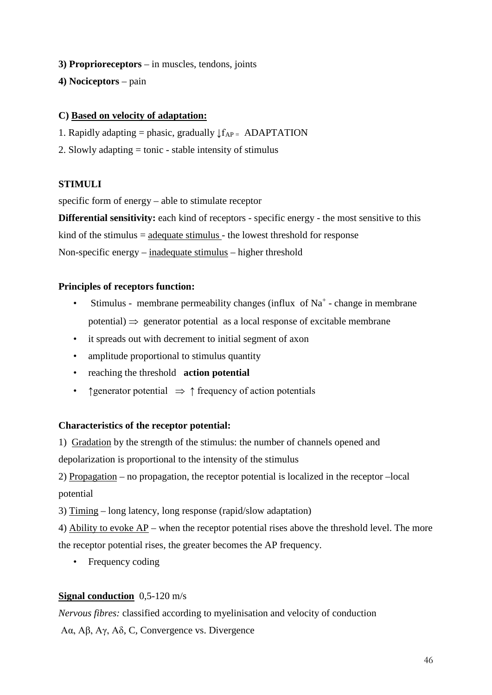- **3) Proprioreceptors** in muscles, tendons, joints
- **4) Nociceptors** pain

## **C) Based on velocity of adaptation:**

- 1. Rapidly adapting = phasic, gradually  $\downarrow$   $f_{AP}$  = ADAPTATION
- 2. Slowly adapting = tonic stable intensity of stimulus

#### **STIMULI**

specific form of energy – able to stimulate receptor

**Differential sensitivity:** each kind of receptors - specific energy - the most sensitive to this kind of the stimulus = adequate stimulus - the lowest threshold for response

Non-specific energy – inadequate stimulus – higher threshold

## **Principles of receptors function:**

- Stimulus membrane permeability changes (influx of  $Na<sup>+</sup>$  change in membrane potential)  $\Rightarrow$  generator potential as a local response of excitable membrane
- it spreads out with decrement to initial segment of axon
- amplitude proportional to stimulus quantity
- reaching the threshold **action potential**
- ↑ frequency of action potentials → ↑ frequency of action potentials

#### **Characteristics of the receptor potential:**

1) Gradation by the strength of the stimulus: the number of channels opened and

depolarization is proportional to the intensity of the stimulus

2) Propagation – no propagation, the receptor potential is localized in the receptor –local potential

3) Timing – long latency, long response (rapid/slow adaptation)

4) Ability to evoke AP – when the receptor potential rises above the threshold level. The more the receptor potential rises, the greater becomes the AP frequency.

• Frequency coding

## **Signal conduction** 0,5-120 m/s

*Nervous fibres:* classified according to myelinisation and velocity of conduction

Aα, Aβ, Aγ, Aδ, C, Convergence vs. Divergence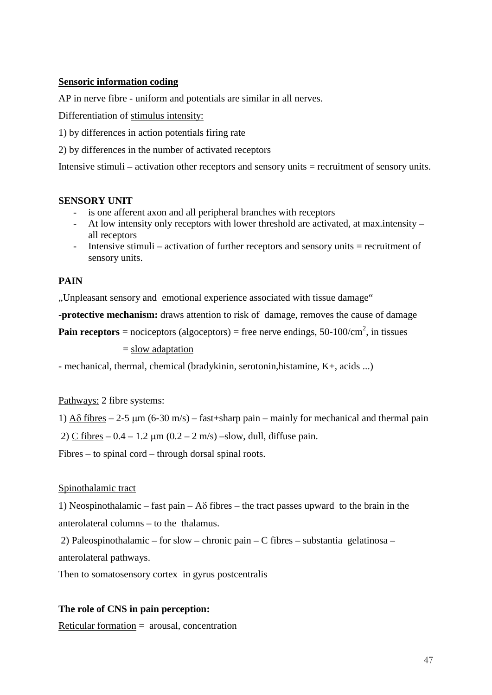## **Sensoric information coding**

AP in nerve fibre - uniform and potentials are similar in all nerves.

Differentiation of stimulus intensity:

1) by differences in action potentials firing rate

2) by differences in the number of activated receptors

Intensive stimuli – activation other receptors and sensory units = recruitment of sensory units.

## **SENSORY UNIT**

- is one afferent axon and all peripheral branches with receptors
- At low intensity only receptors with lower threshold are activated, at max.intensity all receptors
- Intensive stimuli activation of further receptors and sensory units = recruitment of sensory units.

## **PAIN**

"Unpleasant sensory and emotional experience associated with tissue damage"

**-protective mechanism:** draws attention to risk of damage, removes the cause of damage

**Pain receptors** = nociceptors (algoceptors) = free nerve endings, 50-100/cm<sup>2</sup>, in tissues

= slow adaptation

- mechanical, thermal, chemical (bradykinin, serotonin,histamine, K+, acids ...)

## Pathways: 2 fibre systems:

1)  $A\delta$  fibres – 2-5  $\mu$ m (6-30 m/s) – fast+sharp pain – mainly for mechanical and thermal pain

2) C fibres –  $0.4 - 1.2 \mu m (0.2 - 2 m/s)$  –slow, dull, diffuse pain.

Fibres – to spinal cord – through dorsal spinal roots.

## Spinothalamic tract

1) Neospinothalamic – fast pain –  $A\delta$  fibres – the tract passes upward to the brain in the anterolateral columns – to the thalamus.

2) Paleospinothalamic – for slow – chronic pain – C fibres – substantia gelatinosa – anterolateral pathways.

Then to somatosensory cortex in gyrus postcentralis

## **The role of CNS in pain perception:**

Reticular formation = arousal, concentration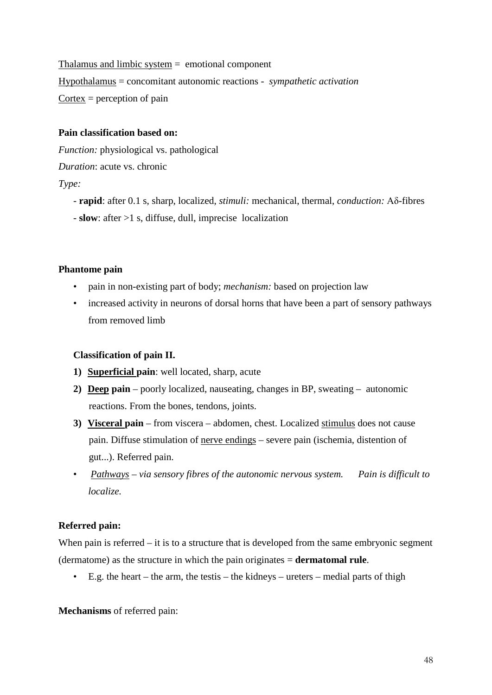Thalamus and limbic system = emotional component Hypothalamus = concomitant autonomic reactions - *sympathetic activation*  $\text{Cortex} = \text{perception of pain}$ 

## **Pain classification based on:**

*Function:* physiological vs. pathological

*Duration*: acute vs. chronic

## *Type:*

- **rapid**: after 0.1 s, sharp, localized, *stimuli:* mechanical, thermal, *conduction:* Aδ-fibres
- **slow**: after >1 s, diffuse, dull, imprecise localization

## **Phantome pain**

- pain in non-existing part of body; *mechanism:* based on projection law
- increased activity in neurons of dorsal horns that have been a part of sensory pathways from removed limb

## **Classification of pain II.**

- **1) Superficial pain**: well located, sharp, acute
- **2) Deep pain** poorly localized, nauseating, changes in BP, sweating autonomic reactions. From the bones, tendons, joints.
- **3) Visceral pain** from viscera abdomen, chest. Localized stimulus does not cause pain. Diffuse stimulation of nerve endings – severe pain (ischemia, distention of gut...). Referred pain.
- *Pathways – via sensory fibres of the autonomic nervous system. Pain is difficult to localize.*

## **Referred pain:**

When pain is referred – it is to a structure that is developed from the same embryonic segment (dermatome) as the structure in which the pain originates = **dermatomal rule**.

• E.g. the heart – the arm, the test is – the kidneys – ureters – medial parts of thigh

**Mechanisms** of referred pain: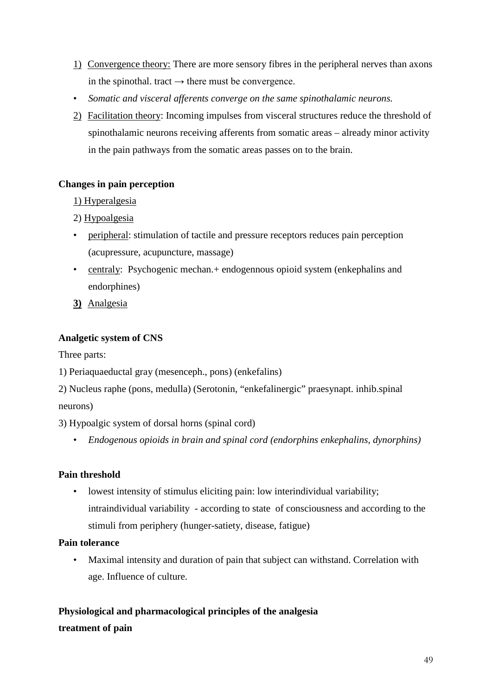- 1) Convergence theory: There are more sensory fibres in the peripheral nerves than axons in the spinothal. tract  $\rightarrow$  there must be convergence.
- *Somatic and visceral afferents converge on the same spinothalamic neurons.*
- 2) Facilitation theory: Incoming impulses from visceral structures reduce the threshold of spinothalamic neurons receiving afferents from somatic areas – already minor activity in the pain pathways from the somatic areas passes on to the brain.

## **Changes in pain perception**

## 1) Hyperalgesia

- 2) Hypoalgesia
- peripheral: stimulation of tactile and pressure receptors reduces pain perception (acupressure, acupuncture, massage)
- centraly: Psychogenic mechan. + endogennous opioid system (enkephalins and endorphines)
- **3)** Analgesia

## **Analgetic system of CNS**

Three parts:

- 1) Periaquaeductal gray (mesenceph., pons) (enkefalins)
- 2) Nucleus raphe (pons, medulla) (Serotonin, "enkefalinergic" praesynapt. inhib.spinal neurons)
- 3) Hypoalgic system of dorsal horns (spinal cord)
	- *Endogenous opioids in brain and spinal cord (endorphins enkephalins, dynorphins)*

## **Pain threshold**

• lowest intensity of stimulus eliciting pain: low interindividual variability; intraindividual variability - according to state of consciousness and according to the stimuli from periphery (hunger-satiety, disease, fatigue)

## **Pain tolerance**

• Maximal intensity and duration of pain that subject can withstand. Correlation with age. Influence of culture.

# **Physiological and pharmacological principles of the analgesia treatment of pain**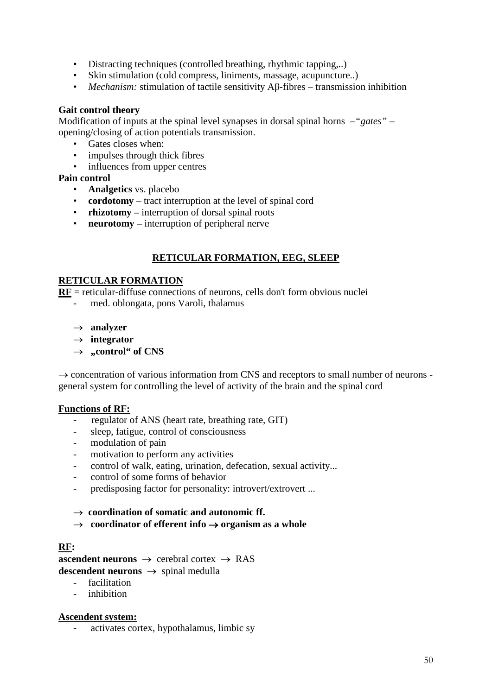- Distracting techniques (controlled breathing, rhythmic tapping,..)
- Skin stimulation (cold compress, liniments, massage, acupuncture..)
- *Mechanism:* stimulation of tactile sensitivity Aβ-fibres transmission inhibition

## **Gait control theory**

Modification of inputs at the spinal level synapses in dorsal spinal horns –*"gates"* – opening/closing of action potentials transmission.

- Gates closes when:
- impulses through thick fibres
- influences from upper centres

## **Pain control**

- **Analgetics** vs. placebo
- **cordotomy** tract interruption at the level of spinal cord
- **rhizotomy**  interruption of dorsal spinal roots
- **neurotomy** interruption of peripheral nerve

## **RETICULAR FORMATION, EEG, SLEEP**

## **RETICULAR FORMATION**

**RF** = reticular-diffuse connections of neurons, cells don't form obvious nuclei

- med. oblongata, pons Varoli, thalamus
- → **analyzer**
- → **integrator**
- $\rightarrow$  **,,control**" of CNS

 $\rightarrow$  concentration of various information from CNS and receptors to small number of neurons general system for controlling the level of activity of the brain and the spinal cord

## **Functions of RF:**

- regulator of ANS (heart rate, breathing rate, GIT)
- sleep, fatigue, control of consciousness
- modulation of pain
- motivation to perform any activities
- control of walk, eating, urination, defecation, sexual activity...
- control of some forms of behavior
- predisposing factor for personality: introvert/extrovert ...

→ **coordination of somatic and autonomic ff.**

→ **coordinator of efferent info** → **organism as a whole**

## **RF:**

**ascendent neurons**  $\rightarrow$  cerebral cortex  $\rightarrow$  RAS **descendent neurons** → spinal medulla

- facilitation
- inhibition

## **Ascendent system:**

- activates cortex, hypothalamus, limbic sy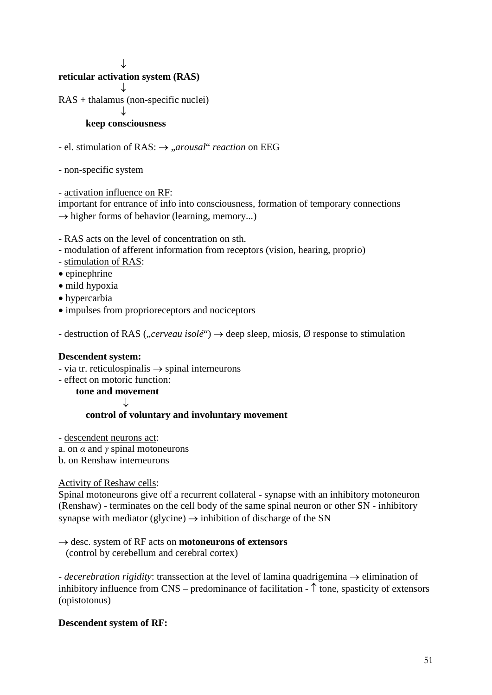↓

## **reticular activation system (RAS)**

 ↓ RAS + thalamus (non-specific nuclei)

## ↓

## **keep consciousness**

- el. stimulation of RAS: → "*arousal*" *reaction* on EEG

- non-specific system

- activation influence on RF:

important for entrance of info into consciousness, formation of temporary connections  $\rightarrow$  higher forms of behavior (learning, memory...)

- RAS acts on the level of concentration on sth.
- modulation of afferent information from receptors (vision, hearing, proprio)
- stimulation of RAS:
- epinephrine
- mild hypoxia
- hypercarbia
- impulses from proprioreceptors and nociceptors

- destruction of RAS (*"cerveau isolé*")  $\rightarrow$  deep sleep, miosis,  $\emptyset$  response to stimulation

#### **Descendent system:**

- via tr. reticulospinalis  $\rightarrow$  spinal interneurons
- effect on motoric function:

 **tone and movement**

↓

## **control of voluntary and involuntary movement**

- descendent neurons act:

- a. on  $\alpha$  and  $\gamma$  spinal motoneurons
- b. on Renshaw interneurons

Activity of Reshaw cells:

Spinal motoneurons give off a recurrent collateral - synapse with an inhibitory motoneuron (Renshaw) - terminates on the cell body of the same spinal neuron or other SN - inhibitory synapse with mediator (glycine)  $\rightarrow$  inhibition of discharge of the SN

→ desc. system of RF acts on **motoneurons of extensors**

(control by cerebellum and cerebral cortex)

*- decerebration rigidity*: transsection at the level of lamina quadrigemina → elimination of inhibitory influence from  $CNS$  – predominance of facilitation -  $\uparrow$  tone, spasticity of extensors (opistotonus)

## **Descendent system of RF:**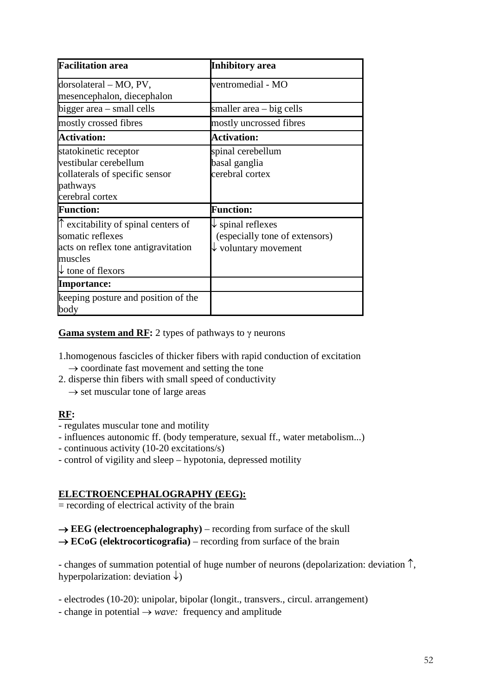| <b>Facilitation area</b>                     | <b>Inhibitory</b> area          |
|----------------------------------------------|---------------------------------|
| dorsolateral – MO, PV,                       | ventromedial - MO               |
| mesencephalon, diecephalon                   |                                 |
| bigger area – small cells                    | smaller area – big cells        |
| mostly crossed fibres                        | mostly uncrossed fibres         |
| <b>Activation:</b>                           | <b>Activation:</b>              |
| statokinetic receptor                        | spinal cerebellum               |
| vestibular cerebellum                        | basal ganglia                   |
| collaterals of specific sensor               | cerebral cortex                 |
| pathways                                     |                                 |
| cerebral cortex                              |                                 |
| <b>Function:</b>                             | <b>Function:</b>                |
| $\uparrow$ excitability of spinal centers of | $\downarrow$ spinal reflexes    |
| somatic reflexes                             | (especially tone of extensors)  |
| acts on reflex tone antigravitation          | $\downarrow$ voluntary movement |
| muscles                                      |                                 |
| $\downarrow$ tone of flexors                 |                                 |
| <b>Importance:</b>                           |                                 |
| keeping posture and position of the          |                                 |
| body                                         |                                 |

**Gama system and RF:** 2 types of pathways to γ neurons

- 1.homogenous fascicles of thicker fibers with rapid conduction of excitation  $\rightarrow$  coordinate fast movement and setting the tone
- 2. disperse thin fibers with small speed of conductivity
	- $\rightarrow$  set muscular tone of large areas

## **RF:**

- regulates muscular tone and motility
- influences autonomic ff. (body temperature, sexual ff., water metabolism...)
- continuous activity (10-20 excitations/s)
- control of vigility and sleep hypotonia, depressed motility

## **ELECTROENCEPHALOGRAPHY (EEG):**

 $=$  recording of electrical activity of the brain

 $\rightarrow$  **EEG** (electroencephalography) – recording from surface of the skull  $\rightarrow$  **ECoG** (elektrocorticografia) – recording from surface of the brain

- changes of summation potential of huge number of neurons (depolarization: deviation ↑, hyperpolarization: deviation  $\downarrow$ )

- electrodes (10-20): unipolar, bipolar (longit., transvers., circul. arrangement)
- change in potential → *wave:* frequency and amplitude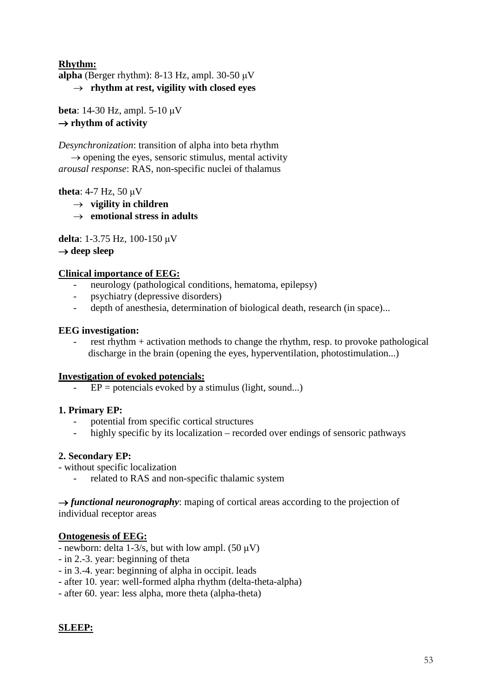## **Rhythm:**

**alpha** (Berger rhythm): 8-13 Hz, ampl. 30-50  $\mu$ V → **rhythm at rest, vigility with closed eyes**

**beta**: 14-30 Hz, ampl. 5-10 μV → **rhythm of activity**

*Desynchronization*: transition of alpha into beta rhythm  $\rightarrow$  opening the eyes, sensoric stimulus, mental activity *arousal response*: RAS, non-specific nuclei of thalamus

**theta**: 4-7 Hz, 50 μV

- $\rightarrow$  **vigility in children**
- → **emotional stress in adults**

**delta**: 1-3.75 Hz, 100-150 μV

→ **deep sleep**

## **Clinical importance of EEG:**

- neurology (pathological conditions, hematoma, epilepsy)
- psychiatry (depressive disorders)
- depth of anesthesia, determination of biological death, research (in space)...

## **EEG investigation:**

rest rhythm + activation methods to change the rhythm, resp. to provoke pathological discharge in the brain (opening the eyes, hyperventilation, photostimulation...)

## **Investigation of evoked potencials:**

 $EP =$  potencials evoked by a stimulus (light, sound...)

## **1. Primary EP:**

- potential from specific cortical structures
- highly specific by its localization recorded over endings of sensoric pathways

## **2. Secondary EP:**

- without specific localization
	- related to RAS and non-specific thalamic system

 $\rightarrow$  *functional neuronography*: maping of cortical areas according to the projection of individual receptor areas

## **Ontogenesis of EEG:**

- newborn: delta 1-3/s, but with low ampl. (50 μV)
- in 2.-3. year: beginning of theta
- in 3.-4. year: beginning of alpha in occipit. leads
- after 10. year: well-formed alpha rhythm (delta-theta-alpha)
- after 60. year: less alpha, more theta (alpha-theta)

## **SLEEP:**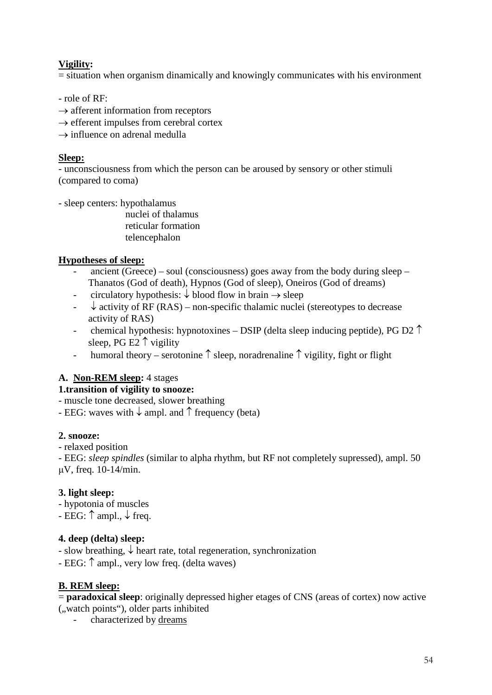## **Vigility:**

= situation when organism dinamically and knowingly communicates with his environment

- role of RF:

- $\rightarrow$  afferent information from receptors
- $\rightarrow$  efferent impulses from cerebral cortex
- $\rightarrow$  influence on adrenal medulla

## **Sleep:**

- unconsciousness from which the person can be aroused by sensory or other stimuli (compared to coma)

- sleep centers: hypothalamus

 nuclei of thalamus reticular formation telencephalon

## **Hypotheses of sleep:**

- ancient (Greece) soul (consciousness) goes away from the body during sleep Thanatos (God of death), Hypnos (God of sleep), Oneiros (God of dreams)
- circulatory hypothesis:  $\downarrow$  blood flow in brain  $\rightarrow$  sleep
- $\downarrow$  activity of RF (RAS) non-specific thalamic nuclei (stereotypes to decrease activity of RAS)
- chemical hypothesis: hypnotoxines DSIP (delta sleep inducing peptide), PG D2  $\uparrow$ sleep, PG E2  $\uparrow$  vigility
- humoral theory serotonine  $\uparrow$  sleep, noradrenaline  $\uparrow$  vigility, fight or flight

## **A. Non-REM sleep:** 4 stages

## **1.transition of vigility to snooze:**

- muscle tone decreased, slower breathing

- EEG: waves with  $\downarrow$  ampl. and  $\uparrow$  frequency (beta)

## **2. snooze:**

- relaxed position

- EEG: *sleep spindles* (similar to alpha rhythm, but RF not completely supressed), ampl. 50 μV, freq. 10-14/min.

## **3. light sleep:**

- hypotonia of muscles

- EEG:  $\uparrow$  ampl.,  $\downarrow$  freq.

## **4. deep (delta) sleep:**

- slow breathing,  $\downarrow$  heart rate, total regeneration, synchronization
- EEG: ↑ ampl., very low freq. (delta waves)

## **B. REM sleep:**

= **paradoxical sleep**: originally depressed higher etages of CNS (areas of cortex) now active ("watch points"), older parts inhibited

characterized by dreams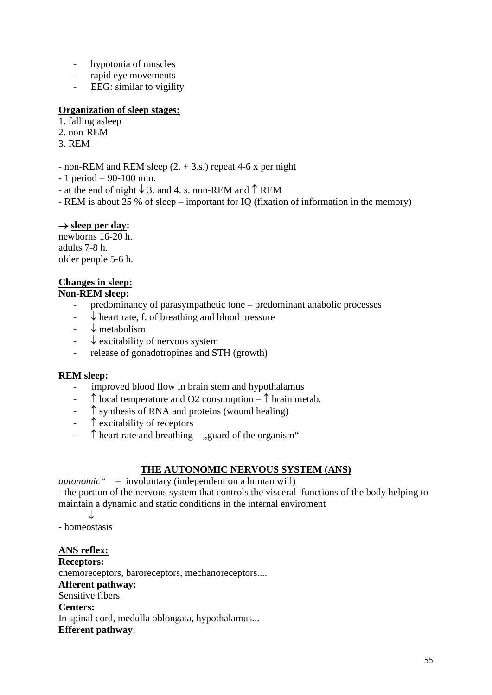- hypotonia of muscles
- rapid eye movements
- EEG: similar to vigility

## **Organization of sleep stages:**

- 1. falling asleep
- 2. non-REM
- 3. REM
- non-REM and REM sleep (2. + 3.s.) repeat 4-6 x per night
- $-1$  period = 90-100 min.
- at the end of night  $\downarrow$  3. and 4. s. non-REM and  $\uparrow$  REM
- REM is about 25 % of sleep important for IQ (fixation of information in the memory)

## → **sleep per day:**

newborns 16-20 h. adults 7-8 h. older people 5-6 h.

## **Changes in sleep:**

## **Non-REM sleep:**

- predominancy of parasympathetic tone predominant anabolic processes
- $\downarrow$  heart rate, f. of breathing and blood pressure
- $\downarrow$  metabolism
- $\downarrow$  excitability of nervous system
- release of gonadotropines and STH (growth)

## **REM sleep:**

- improved blood flow in brain stem and hypothalamus
- $\uparrow$  local temperature and O2 consumption  $\uparrow$  brain metab.
- ↑ synthesis of RNA and proteins (wound healing)
- ↑ excitability of receptors
- $\uparrow$  heart rate and breathing "guard of the organism"

## **THE AUTONOMIC NERVOUS SYSTEM (ANS)**

*autonomic"* – involuntary (independent on a human will) - the portion of the nervous system that controls the visceral functions of the body helping to maintain a dynamic and static conditions in the internal enviroment

↓

- homeostasis

## **ANS reflex:**

**Receptors:**  chemoreceptors, baroreceptors, mechanoreceptors.... **Afferent pathway:** Sensitive fibers **Centers:** In spinal cord, medulla oblongata, hypothalamus... **Efferent pathway**: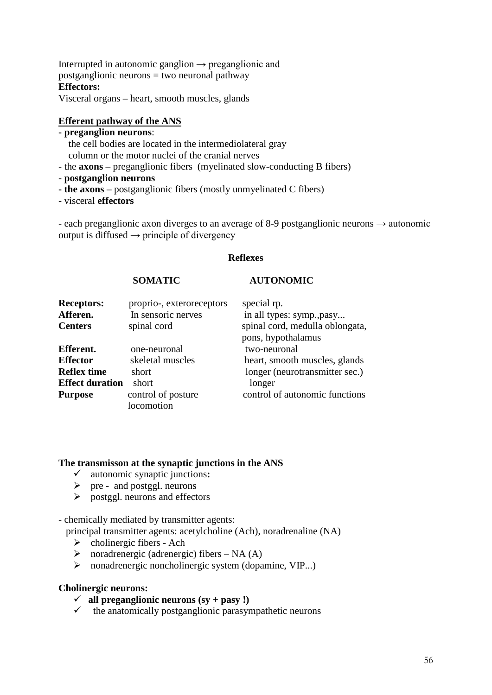Interrupted in autonomic ganglion  $\rightarrow$  preganglionic and postganglionic neurons = two neuronal pathway **Effectors:** Visceral organs – heart, smooth muscles, glands

## **Efferent pathway of the ANS**

## **- preganglion neurons**:

- the cell bodies are located in the intermediolateral gray column or the motor nuclei of the cranial nerves
- the **axons** preganglionic fibers (myelinated slow-conducting B fibers)
- **postganglion neurons**
- **- the axons**  postganglionic fibers (mostly unmyelinated C fibers)
- visceral **effectors**

- each preganglionic axon diverges to an average of 8-9 postganglionic neurons  $\rightarrow$  autonomic output is diffused  $\rightarrow$  principle of divergency

## **Reflexes**

## **SOMATIC AUTONOMIC**

| <b>Receptors:</b><br>Afferen.<br><b>Centers</b> | proprio-, exteroreceptors<br>In sensoric nerves<br>spinal cord | special rp.<br>in all types: symp., pasy<br>spinal cord, medulla oblongata,<br>pons, hypothalamus |
|-------------------------------------------------|----------------------------------------------------------------|---------------------------------------------------------------------------------------------------|
| Efferent.                                       | one-neuronal                                                   | two-neuronal                                                                                      |
| <b>Effector</b>                                 | skeletal muscles                                               | heart, smooth muscles, glands                                                                     |
| <b>Reflex time</b>                              | short                                                          | longer (neurotransmitter sec.)                                                                    |
| <b>Effect duration</b>                          | short                                                          | longer                                                                                            |
| <b>Purpose</b>                                  | control of posture                                             | control of autonomic functions                                                                    |
|                                                 | locomotion                                                     |                                                                                                   |

#### **The transmisson at the synaptic junctions in the ANS**

- autonomic synaptic junctions**:**
- $\triangleright$  pre and postggl. neurons
- $\triangleright$  postggl. neurons and effectors

- chemically mediated by transmitter agents:

principal transmitter agents: acetylcholine (Ach), noradrenaline (NA)

- $\triangleright$  cholinergic fibers Ach
- $\triangleright$  noradrenergic (adrenergic) fibers NA (A)
- $\triangleright$  nonadrenergic noncholinergic system (dopamine, VIP...)

## **Cholinergic neurons:**

- $\checkmark$  all preganglionic neurons (sy + pasy !)
- $\checkmark$  the anatomically postganglionic parasympathetic neurons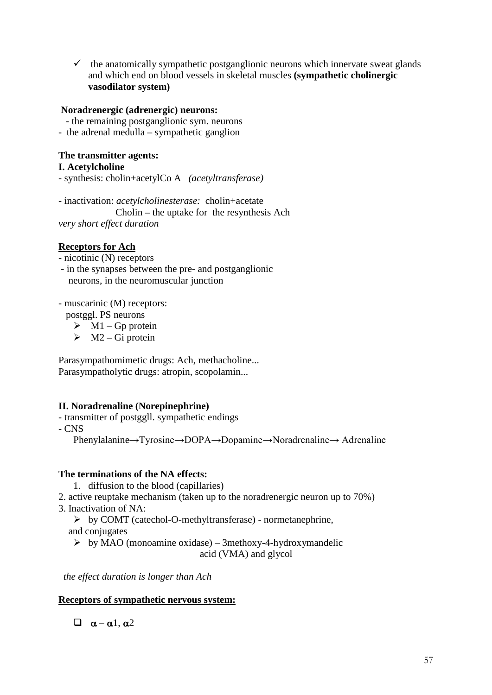$\checkmark$  the anatomically sympathetic postganglionic neurons which innervate sweat glands and which end on blood vessels in skeletal muscles **(sympathetic cholinergic vasodilator system)**

## **Noradrenergic (adrenergic) neurons:**

- the remaining postganglionic sym. neurons
- the adrenal medulla sympathetic ganglion

## **The transmitter agents:**

## **I. Acetylcholine**

- synthesis: cholin+acetylCo A *(acetyltransferase)*

- inactivation: *acetylcholinesterase:* cholin+acetate Cholin – the uptake for the resynthesis Ach *very short effect duration*

## **Receptors for Ach**

- nicotinic (N) receptors

- in the synapses between the pre- and postganglionic neurons, in the neuromuscular junction

- muscarinic (M) receptors:

postggl. PS neurons

 $\triangleright$  M1 – Gp protein

 $\triangleright$  M2 – Gi protein

Parasympathomimetic drugs: Ach, methacholine... Parasympatholytic drugs: atropin, scopolamin...

## **II. Noradrenaline (Norepinephrine)**

- transmitter of postggll. sympathetic endings

- CNS

Phenylalanine→Tyrosine→DOPA→Dopamine→Noradrenaline→ Adrenaline

## **The terminations of the NA effects:**

- 1. diffusion to the blood (capillaries)
- 2. active reuptake mechanism (taken up to the noradrenergic neuron up to 70%)
- 3. Inactivation of NA:

 $\triangleright$  by COMT (catechol-O-methyltransferase) - normetanephrine, and conjugates

 $\triangleright$  by MAO (monoamine oxidase) – 3methoxy-4-hydroxymandelic acid (VMA) and glycol

 *the effect duration is longer than Ach*

## **Receptors of sympathetic nervous system:**

 $\Box$   $\alpha - \alpha$ 1,  $\alpha$ 2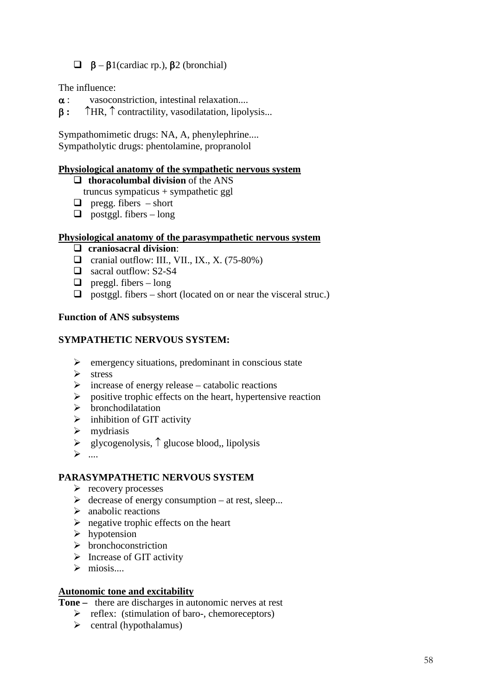## $\Box$  β – β1(cardiac rp.), β2 (bronchial)

The influence:

- $\alpha$  : vasoconstriction, intestinal relaxation....
- β **:** ↑HR, ↑ contractility, vasodilatation, lipolysis...

Sympathomimetic drugs: NA, A, phenylephrine.... Sympatholytic drugs: phentolamine, propranolol

## **Physiological anatomy of the sympathetic nervous system**

- **thoracolumbal division** of the ANS truncus sympaticus + sympathetic ggl
- $\Box$  pregg. fibers short
- $\Box$  postggl. fibers long

#### **Physiological anatomy of the parasympathetic nervous system**

- **craniosacral division**:
- $\Box$  cranial outflow: III., VII., IX., X. (75-80%)
- □ sacral outflow: S2-S4
- $\Box$  preggl. fibers long
- $\Box$  postggl. fibers short (located on or near the visceral struc.)

#### **Function of ANS subsystems**

#### **SYMPATHETIC NERVOUS SYSTEM:**

- $\triangleright$  emergency situations, predominant in conscious state
- > stress<br>> increa
- increase of energy release catabolic reactions
- $\triangleright$  positive trophic effects on the heart, hypertensive reaction
- $\triangleright$  bronchodilatation
- $\triangleright$  inhibition of GIT activity
- $\triangleright$  mydriasis
- glycogenolysis, ↑ glucose blood,, lipolysis
- $\triangleright$  ....

#### **PARASYMPATHETIC NERVOUS SYSTEM**

- $\triangleright$  recovery processes
- $\triangleright$  decrease of energy consumption at rest, sleep...
- $\triangleright$  anabolic reactions
- $\triangleright$  negative trophic effects on the heart
- $\triangleright$  hypotension
- $\triangleright$  bronchoconstriction
- $\triangleright$  Increase of GIT activity
- $\triangleright$  miosis....

## **Autonomic tone and excitability**

- **Tone –** there are discharges in autonomic nerves at rest
	- $\triangleright$  reflex: (stimulation of baro-, chemoreceptors)
	- $\triangleright$  central (hypothalamus)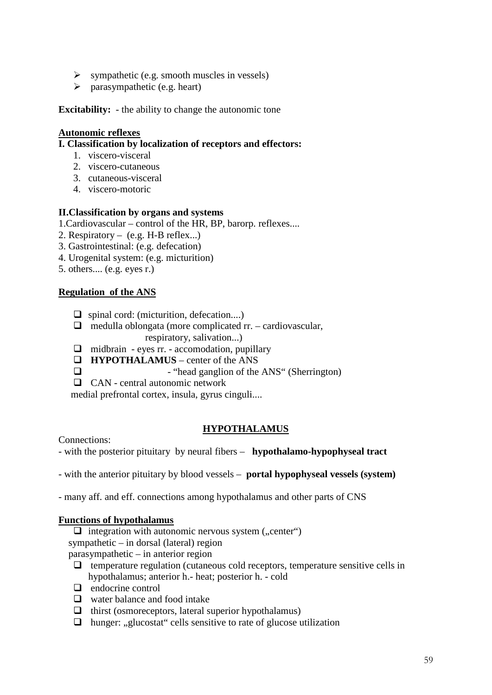- $\triangleright$  sympathetic (e.g. smooth muscles in vessels)
- $\triangleright$  parasympathetic (e.g. heart)

**Excitability:** - the ability to change the autonomic tone

## **Autonomic reflexes**

## **I. Classification by localization of receptors and effectors:**

- 1. viscero-visceral
- 2. viscero-cutaneous
- 3. cutaneous-visceral
- 4. viscero-motoric

## **II.Classification by organs and systems**

1.Cardiovascular – control of the HR, BP, barorp. reflexes....

- 2. Respiratory (e.g. H-B reflex...)
- 3. Gastrointestinal: (e.g. defecation)
- 4. Urogenital system: (e.g. micturition)
- 5. others.... (e.g. eyes r.)

## **Regulation of the ANS**

- $\Box$  spinal cord: (micturition, defecation....)
- $\Box$  medulla oblongata (more complicated rr. cardiovascular, respiratory, salivation...)
- $\Box$  midbrain eyes rr. accomodation, pupillary
- **HYPOTHALAMUS** center of the ANS

- "head ganglion of the ANS" (Sherrington)

CAN - central autonomic network

medial prefrontal cortex, insula, gyrus cinguli....

## **HYPOTHALAMUS**

Connections:

- with the posterior pituitary by neural fibers – **hypothalamo-hypophyseal tract**

- with the anterior pituitary by blood vessels – **portal hypophyseal vessels (system)**

- many aff. and eff. connections among hypothalamus and other parts of CNS

## **Functions of hypothalamus**

 $\Box$  integration with autonomic nervous system (,, center") sympathetic – in dorsal (lateral) region parasympathetic – in anterior region

- $\Box$  temperature regulation (cutaneous cold receptors, temperature sensitive cells in hypothalamus; anterior h.- heat; posterior h. - cold
- $\Box$  endocrine control
- □ water balance and food intake
- $\Box$  thirst (osmoreceptors, lateral superior hypothalamus)
- $\Box$  hunger: "glucostat" cells sensitive to rate of glucose utilization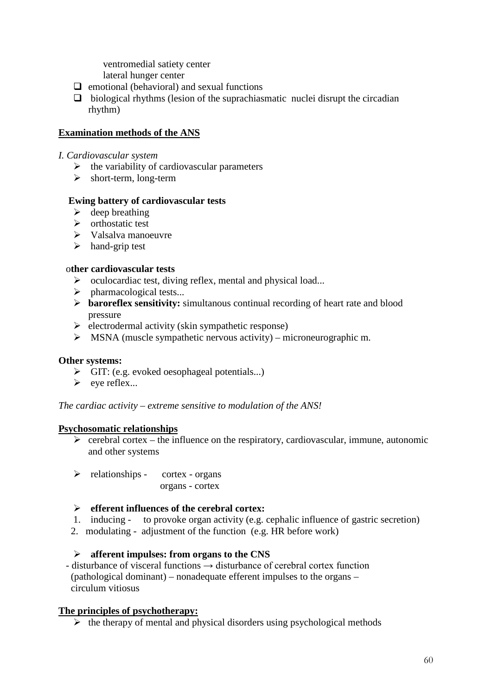ventromedial satiety center lateral hunger center

- $\Box$  emotional (behavioral) and sexual functions
- $\Box$  biological rhythms (lesion of the suprachiasmatic nuclei disrupt the circadian rhythm)

## **Examination methods of the ANS**

#### *I. Cardiovascular system*

- $\triangleright$  the variability of cardiovascular parameters
- $\triangleright$  short-term, long-term

## **Ewing battery of cardiovascular tests**

- $\triangleright$  deep breathing
- $\triangleright$  orthostatic test
- $\triangleright$  Valsalva manoeuvre
- $\triangleright$  hand-grip test

## o**ther cardiovascular tests**

- $\triangleright$  oculocardiac test, diving reflex, mental and physical load...
- $\triangleright$  pharmacological tests...
- **baroreflex sensitivity:** simultanous continual recording of heart rate and blood pressure
- $\triangleright$  electrodermal activity (skin sympathetic response)
- $\triangleright$  MSNA (muscle sympathetic nervous activity) microneurographic m.

## **Other systems:**

- $\triangleright$  GIT: (e.g. evoked oesophageal potentials...)
- $\triangleright$  eye reflex...

*The cardiac activity – extreme sensitive to modulation of the ANS!*

## **Psychosomatic relationships**

- $\triangleright$  cerebral cortex the influence on the respiratory, cardiovascular, immune, autonomic and other systems
- $\triangleright$  relationships cortex organs
	- organs cortex

## **efferent influences of the cerebral cortex:**

- 1. inducing to provoke organ activity (e.g. cephalic influence of gastric secretion)
- 2. modulating adjustment of the function (e.g. HR before work)

## **afferent impulses: from organs to the CNS**

 - disturbance of visceral functions → disturbance of cerebral cortex function (pathological dominant) – nonadequate efferent impulses to the organs – circulum vitiosus

## **The principles of psychotherapy:**

 $\triangleright$  the therapy of mental and physical disorders using psychological methods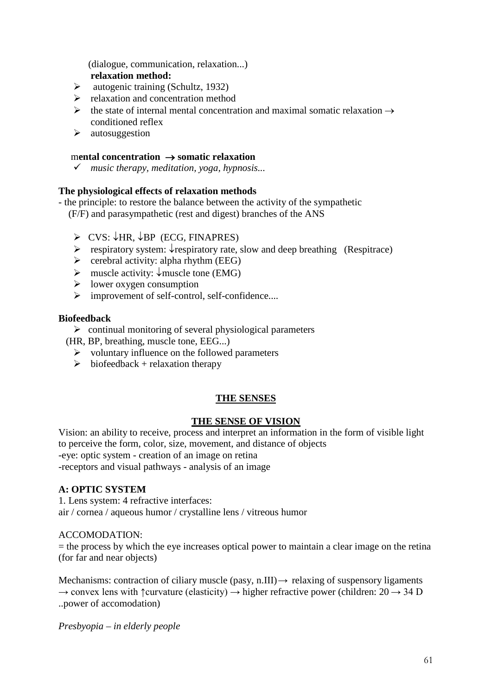(dialogue, communication, relaxation...)  **relaxation method:**

- $\triangleright$  autogenic training (Schultz, 1932)
- $\triangleright$  relaxation and concentration method
- $\triangleright$  the state of internal mental concentration and maximal somatic relaxation  $\rightarrow$ conditioned reflex
- $\triangleright$  autosuggestion

## m**ental concentration** → **somatic relaxation**

*music therapy, meditation, yoga, hypnosis...*

## **The physiological effects of relaxation methods**

- the principle: to restore the balance between the activity of the sympathetic (F/F) and parasympathetic (rest and digest) branches of the ANS

- $\triangleright$  CVS:  $\downarrow$ HR,  $\downarrow$ BP (ECG, FINAPRES)
- respiratory system: ↓respiratory rate, slow and deep breathing (Respitrace)
- $\triangleright$  cerebral activity: alpha rhythm (EEG)
- muscle activity: ↓muscle tone (EMG)
- $\triangleright$  lower oxygen consumption
- improvement of self-control, self-confidence....

## **Biofeedback**

- $\triangleright$  continual monitoring of several physiological parameters
- (HR, BP, breathing, muscle tone, EEG...)
	- $\triangleright$  voluntary influence on the followed parameters
	- $\triangleright$  biofeedback + relaxation therapy

## **THE SENSES**

## **THE SENSE OF VISION**

Vision: an ability to receive, process and interpret an information in the form of visible light to perceive the form, color, size, movement, and distance of objects -eye: optic system - creation of an image on retina -receptors and visual pathways - analysis of an image

## **A: OPTIC SYSTEM**

1. Lens system: 4 refractive interfaces: air / cornea / aqueous humor / crystalline lens / vitreous humor

## ACCOMODATION:

 $=$  the process by which the eye increases optical power to maintain a clear image on the retina (for far and near objects)

Mechanisms: contraction of ciliary muscle (pasy, n.III)  $\rightarrow$  relaxing of suspensory ligaments  $\rightarrow$  convex lens with  $\uparrow$ curvature (elasticity)  $\rightarrow$  higher refractive power (children: 20  $\rightarrow$  34 D ..power of accomodation)

*Presbyopia – in elderly people*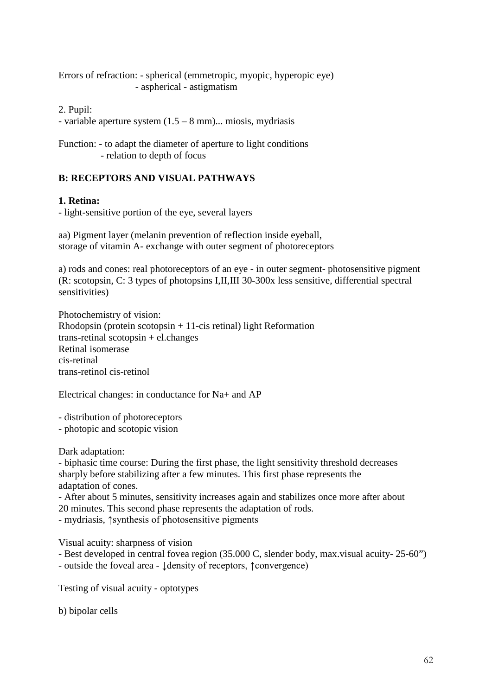Errors of refraction: - spherical (emmetropic, myopic, hyperopic eye) - aspherical - astigmatism

2. Pupil:

- variable aperture system (1.5 – 8 mm)... miosis, mydriasis

Function: - to adapt the diameter of aperture to light conditions - relation to depth of focus

## **B: RECEPTORS AND VISUAL PATHWAYS**

## **1. Retina:**

- light-sensitive portion of the eye, several layers

aa) Pigment layer (melanin prevention of reflection inside eyeball, storage of vitamin A- exchange with outer segment of photoreceptors

a) rods and cones: real photoreceptors of an eye - in outer segment- photosensitive pigment (R: scotopsin, C: 3 types of photopsins I,II,III 30-300x less sensitive, differential spectral sensitivities)

Photochemistry of vision: Rhodopsin (protein scotopsin  $+11$ -cis retinal) light Reformation trans-retinal scotopsin + el.changes Retinal isomerase cis-retinal trans-retinol cis-retinol

Electrical changes: in conductance for Na+ and AP

- distribution of photoreceptors

- photopic and scotopic vision

Dark adaptation:

- biphasic time course: During the first phase, the light sensitivity threshold decreases sharply before stabilizing after a few minutes. This first phase represents the adaptation of cones.

- After about 5 minutes, sensitivity increases again and stabilizes once more after about 20 minutes. This second phase represents the adaptation of rods.

- mydriasis, ↑synthesis of photosensitive pigments

Visual acuity: sharpness of vision

- Best developed in central fovea region (35.000 C, slender body, max.visual acuity- 25-60")

- outside the foveal area - ↓density of receptors, ↑convergence)

Testing of visual acuity - optotypes

b) bipolar cells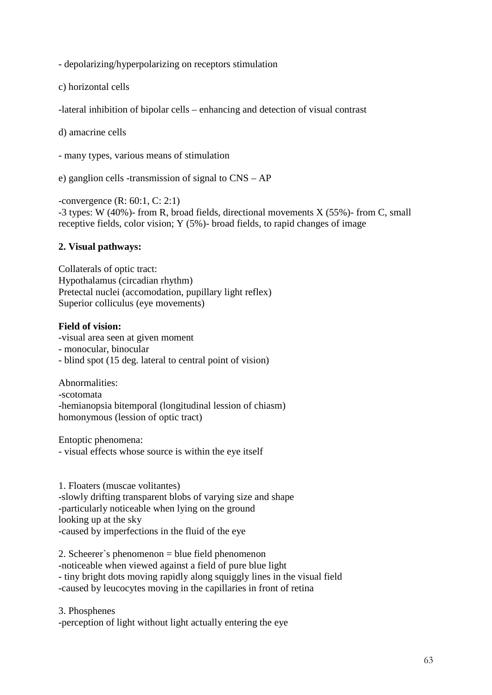- depolarizing/hyperpolarizing on receptors stimulation

c) horizontal cells

-lateral inhibition of bipolar cells – enhancing and detection of visual contrast

d) amacrine cells

- many types, various means of stimulation

e) ganglion cells -transmission of signal to CNS – AP

-convergence (R: 60:1, C: 2:1) -3 types: W (40%)- from R, broad fields, directional movements X (55%)- from C, small receptive fields, color vision; Y (5%)- broad fields, to rapid changes of image

## **2. Visual pathways:**

Collaterals of optic tract: Hypothalamus (circadian rhythm) Pretectal nuclei (accomodation, pupillary light reflex) Superior colliculus (eye movements)

## **Field of vision:**

-visual area seen at given moment

- monocular, binocular
- blind spot (15 deg. lateral to central point of vision)

Abnormalities: -scotomata -hemianopsia bitemporal (longitudinal lession of chiasm) homonymous (lession of optic tract)

Entoptic phenomena:

- visual effects whose source is within the eye itself

1. Floaters (muscae volitantes) -slowly drifting transparent blobs of varying size and shape -particularly noticeable when lying on the ground looking up at the sky -caused by imperfections in the fluid of the eye

2. Scheerer`s phenomenon = blue field phenomenon -noticeable when viewed against a field of pure blue light - tiny bright dots moving rapidly along squiggly lines in the visual field -caused by leucocytes moving in the capillaries in front of retina

3. Phosphenes -perception of light without light actually entering the eye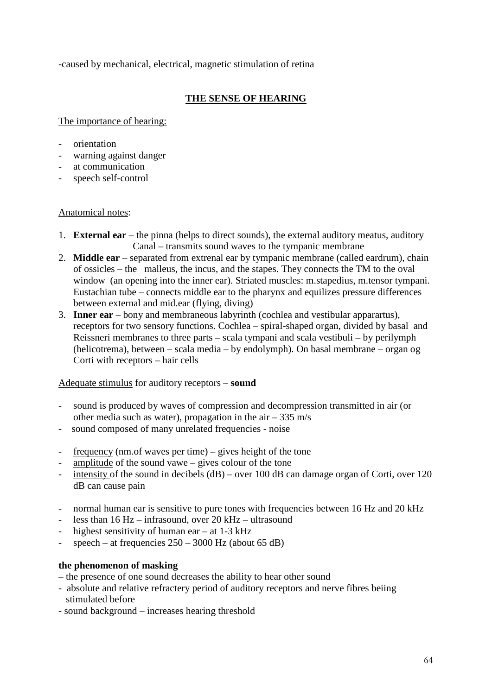-caused by mechanical, electrical, magnetic stimulation of retina

## **THE SENSE OF HEARING**

The importance of hearing:

- orientation
- warning against danger
- at communication
- speech self-control

## Anatomical notes:

- 1. **External ear** the pinna (helps to direct sounds), the external auditory meatus, auditory Canal – transmits sound waves to the tympanic membrane
- 2. **Middle ear** separated from extrenal ear by tympanic membrane (called eardrum), chain of ossicles – the malleus, the incus, and the stapes. They connects the TM to the oval window (an opening into the inner ear). Striated muscles: m.stapedius, m.tensor tympani. Eustachian tube – connects middle ear to the pharynx and equilizes pressure differences between external and mid.ear (flying, diving)
- 3. **Inner ear** bony and membraneous labyrinth (cochlea and vestibular apparartus), receptors for two sensory functions. Cochlea – spiral-shaped organ, divided by basal and Reissneri membranes to three parts – scala tympani and scala vestibuli – by perilymph (helicotrema), between – scala media – by endolymph). On basal membrane – organ og Corti with receptors – hair cells

## Adequate stimulus for auditory receptors – **sound**

- sound is produced by waves of compression and decompression transmitted in air (or other media such as water), propagation in the air  $-335$  m/s
- sound composed of many unrelated frequencies noise
- frequency (nm.of waves per time) gives height of the tone
- amplitude of the sound vawe  $-$  gives colour of the tone
- intensity of the sound in decibels (dB) over 100 dB can damage organ of Corti, over 120 dB can cause pain
- normal human ear is sensitive to pure tones with frequencies between 16 Hz and 20 kHz
- less than  $16 Hz infrasound$ , over  $20 kHz ultrasound$
- highest sensitivity of human ear  $-$  at 1-3 kHz
- speech at frequencies  $250 3000$  Hz (about 65 dB)

## **the phenomenon of masking**

- the presence of one sound decreases the ability to hear other sound
- absolute and relative refractery period of auditory receptors and nerve fibres beiing stimulated before
- sound background increases hearing threshold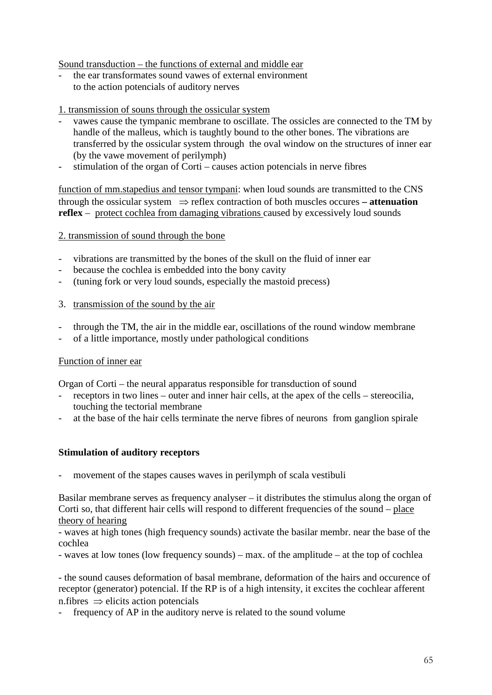## Sound transduction – the functions of external and middle ear

the ear transformates sound vawes of external environment to the action potencials of auditory nerves

## 1. transmission of souns through the ossicular system

- vawes cause the tympanic membrane to oscillate. The ossicles are connected to the TM by handle of the malleus, which is taughtly bound to the other bones. The vibrations are transferred by the ossicular system through the oval window on the structures of inner ear (by the vawe movement of perilymph)
- stimulation of the organ of Corti causes action potencials in nerve fibres

function of mm.stapedius and tensor tympani: when loud sounds are transmitted to the CNS through the ossicular system ⇒ reflex contraction of both muscles occures **– attenuation reflex** – protect cochlea from damaging vibrations caused by excessively loud sounds

## 2. transmission of sound through the bone

- vibrations are transmitted by the bones of the skull on the fluid of inner ear
- because the cochlea is embedded into the bony cavity
- (tuning fork or very loud sounds, especially the mastoid precess)
- 3. transmission of the sound by the air
- through the TM, the air in the middle ear, oscillations of the round window membrane
- of a little importance, mostly under pathological conditions

## Function of inner ear

Organ of Corti – the neural apparatus responsible for transduction of sound

- receptors in two lines outer and inner hair cells, at the apex of the cells stereocilia, touching the tectorial membrane
- at the base of the hair cells terminate the nerve fibres of neurons from ganglion spirale

## **Stimulation of auditory receptors**

movement of the stapes causes waves in perilymph of scala vestibuli

Basilar membrane serves as frequency analyser – it distributes the stimulus along the organ of Corti so, that different hair cells will respond to different frequencies of the sound – place theory of hearing

- waves at high tones (high frequency sounds) activate the basilar membr. near the base of the cochlea

- waves at low tones (low frequency sounds) – max. of the amplitude – at the top of cochlea

- the sound causes deformation of basal membrane, deformation of the hairs and occurence of receptor (generator) potencial. If the RP is of a high intensity, it excites the cochlear afferent n.fibres  $\Rightarrow$  elicits action potencials

frequency of AP in the auditory nerve is related to the sound volume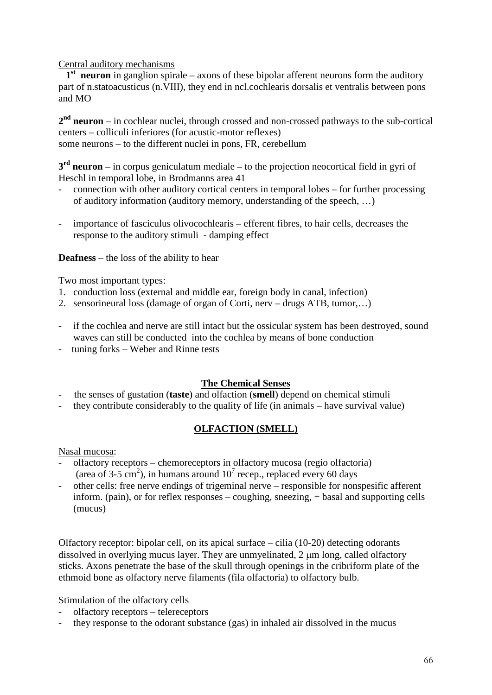Central auditory mechanisms

 **1st neuron** in ganglion spirale – axons of these bipolar afferent neurons form the auditory part of n.statoacusticus (n.VIII), they end in ncl.cochlearis dorsalis et ventralis between pons and MO

**2nd neuron** – in cochlear nuclei, through crossed and non-crossed pathways to the sub-cortical centers – colliculi inferiores (for acustic-motor reflexes) some neurons – to the different nuclei in pons, FR, cerebellum

**3rd neuron** – in corpus geniculatum mediale – to the projection neocortical field in gyri of Heschl in temporal lobe, in Brodmanns area 41

- connection with other auditory cortical centers in temporal lobes for further processing of auditory information (auditory memory, understanding of the speech, …)
- importance of fasciculus olivocochlearis efferent fibres, to hair cells, decreases the response to the auditory stimuli - damping effect

**Deafness** – the loss of the ability to hear

Two most important types:

- 1. conduction loss (external and middle ear, foreign body in canal, infection)
- 2. sensorineural loss (damage of organ of Corti, nerv drugs ATB, tumor,...)
- if the cochlea and nerve are still intact but the ossicular system has been destroyed, sound waves can still be conducted into the cochlea by means of bone conduction
- tuning forks Weber and Rinne tests

## **The Chemical Senses**

- the senses of gustation (**taste**) and olfaction (**smell**) depend on chemical stimuli
- they contribute considerably to the quality of life (in animals have survival value)

## **OLFACTION (SMELL)**

Nasal mucosa:

- olfactory receptors chemoreceptors in olfactory mucosa (regio olfactoria) (area of 3-5 cm<sup>2</sup>), in humans around  $10^7$  recep., replaced every 60 days
- other cells: free nerve endings of trigeminal nerve responsible for nonspesific afferent inform. (pain), or for reflex responses – coughing, sneezing, + basal and supporting cells (mucus)

Olfactory receptor: bipolar cell, on its apical surface – cilia (10-20) detecting odorants dissolved in overlying mucus layer. They are unmyelinated, 2  $\mu$ m long, called olfactory sticks. Axons penetrate the base of the skull through openings in the cribriform plate of the ethmoid bone as olfactory nerve filaments (fila olfactoria) to olfactory bulb.

Stimulation of the olfactory cells

- olfactory receptors telereceptors
- they response to the odorant substance (gas) in inhaled air dissolved in the mucus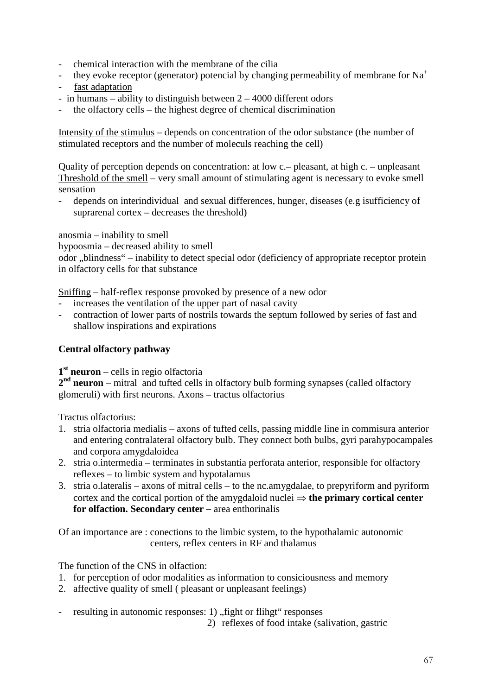- chemical interaction with the membrane of the cilia
- they evoke receptor (generator) potencial by changing permeability of membrane for  $Na<sup>+</sup>$
- fast adaptation
- in humans ability to distinguish between  $2 4000$  different odors
- the olfactory cells the highest degree of chemical discrimination

Intensity of the stimulus – depends on concentration of the odor substance (the number of stimulated receptors and the number of moleculs reaching the cell)

Quality of perception depends on concentration: at low c.– pleasant, at high c. – unpleasant Threshold of the smell – very small amount of stimulating agent is necessary to evoke smell sensation

- depends on interindividual and sexual differences, hunger, diseases (e.g isufficiency of suprarenal cortex – decreases the threshold)

anosmia – inability to smell

hypoosmia – decreased ability to smell

odor "blindness" – inability to detect special odor (deficiency of appropriate receptor protein in olfactory cells for that substance

Sniffing – half-reflex response provoked by presence of a new odor

- increases the ventilation of the upper part of nasal cavity
- contraction of lower parts of nostrils towards the septum followed by series of fast and shallow inspirations and expirations

## **Central olfactory pathway**

**1st neuron** – cells in regio olfactoria

**2nd neuron** – mitral and tufted cells in olfactory bulb forming synapses (called olfactory glomeruli) with first neurons. Axons – tractus olfactorius

Tractus olfactorius:

- 1. stria olfactoria medialis axons of tufted cells, passing middle line in commisura anterior and entering contralateral olfactory bulb. They connect both bulbs, gyri parahypocampales and corpora amygdaloidea
- 2. stria o.intermedia terminates in substantia perforata anterior, responsible for olfactory reflexes – to limbic system and hypotalamus
- 3. stria o.lateralis axons of mitral cells to the nc.amygdalae, to prepyriform and pyriform cortex and the cortical portion of the amygdaloid nuclei ⇒ **the primary cortical center for olfaction. Secondary center –** area enthorinalis

Of an importance are : conections to the limbic system, to the hypothalamic autonomic centers, reflex centers in RF and thalamus

The function of the CNS in olfaction:

- 1. for perception of odor modalities as information to consiciousness and memory
- 2. affective quality of smell ( pleasant or unpleasant feelings)
- resulting in autonomic responses: 1) "fight or flihgt" responses

2) reflexes of food intake (salivation, gastric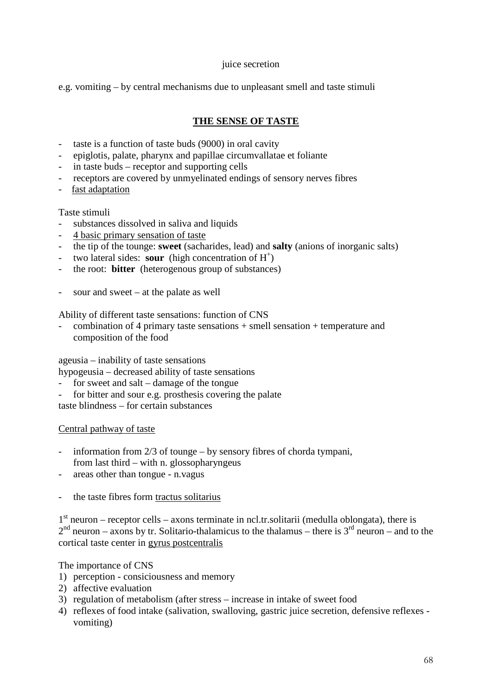## juice secretion

e.g. vomiting – by central mechanisms due to unpleasant smell and taste stimuli

## **THE SENSE OF TASTE**

- taste is a function of taste buds (9000) in oral cavity
- epiglotis, palate, pharynx and papillae circumvallatae et foliante
- in taste buds receptor and supporting cells
- receptors are covered by unmyelinated endings of sensory nerves fibres
- fast adaptation

## Taste stimuli

- substances dissolved in saliva and liquids
- 4 basic primary sensation of taste
- the tip of the tounge: **sweet** (sacharides, lead) and **salty** (anions of inorganic salts)
- two lateral sides: **sour** (high concentration of  $H^+$ )
- the root: **bitter** (heterogenous group of substances)
- sour and sweet at the palate as well

Ability of different taste sensations: function of CNS

- combination of 4 primary taste sensations + smell sensation + temperature and composition of the food

ageusia – inability of taste sensations

- hypogeusia decreased ability of taste sensations
- for sweet and salt damage of the tongue
- for bitter and sour e.g. prosthesis covering the palate

taste blindness – for certain substances

Central pathway of taste

- information from  $2/3$  of tounge by sensory fibres of chorda tympani, from last third – with n. glossopharyngeus
- areas other than tongue n.vagus
- the taste fibres form tractus solitarius

 $1<sup>st</sup>$  neuron – receptor cells – axons terminate in ncl.tr.solitarii (medulla oblongata), there is  $2<sup>nd</sup>$  neuron – axons by tr. Solitario-thalamicus to the thalamus – there is  $3<sup>rd</sup>$  neuron – and to the cortical taste center in gyrus postcentralis

The importance of CNS

- 1) perception consiciousness and memory
- 2) affective evaluation
- 3) regulation of metabolism (after stress increase in intake of sweet food
- 4) reflexes of food intake (salivation, swalloving, gastric juice secretion, defensive reflexes vomiting)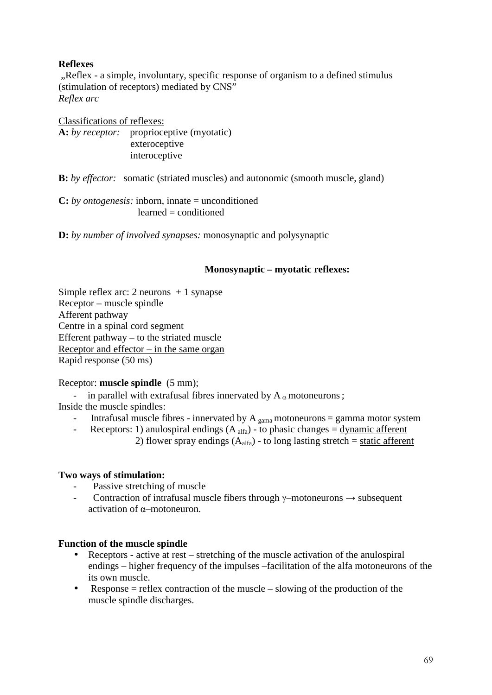## **Reflexes**

"Reflex - a simple, involuntary, specific response of organism to a defined stimulus (stimulation of receptors) mediated by CNS" *Reflex arc*

Classifications of reflexes: **A:** *by receptor:* proprioceptive (myotatic) exteroceptive interoceptive

**B:** *by effector:* somatic (striated muscles) and autonomic (smooth muscle, gland)

**C:** *by ontogenesis:* inborn, innate = unconditioned learned = conditioned

**D:** *by number of involved synapses:* monosynaptic and polysynaptic

## **Monosynaptic – myotatic reflexes:**

Simple reflex arc: 2 neurons  $+1$  synapse Receptor – muscle spindle Afferent pathway Centre in a spinal cord segment Efferent pathway – to the striated muscle Receptor and effector – in the same organ Rapid response (50 ms)

## Receptor: **muscle spindle** (5 mm);

- in parallel with extrafusal fibres innervated by  $A_\alpha$  motoneurons;

Inside the muscle spindles:

- Intrafusal muscle fibres innervated by  $A_{\text{gamma}}$  motoneurons = gamma motor system
- Receptors: 1) anulospiral endings  $(A<sub>alfa</sub>)$  to phasic changes = dynamic afferent 2) flower spray endings  $(A<sub>alfa</sub>)$  - to long lasting stretch = static afferent

## **Two ways of stimulation:**

- Passive stretching of muscle
- Contraction of intrafusal muscle fibers through  $\gamma$ –motoneurons  $\rightarrow$  subsequent activation of α–motoneuron.

## **Function of the muscle spindle**

- Receptors active at rest stretching of the muscle activation of the anulospiral endings – higher frequency of the impulses –facilitation of the alfa motoneurons of the its own muscle.
- Response  $=$  reflex contraction of the muscle  $-$  slowing of the production of the muscle spindle discharges.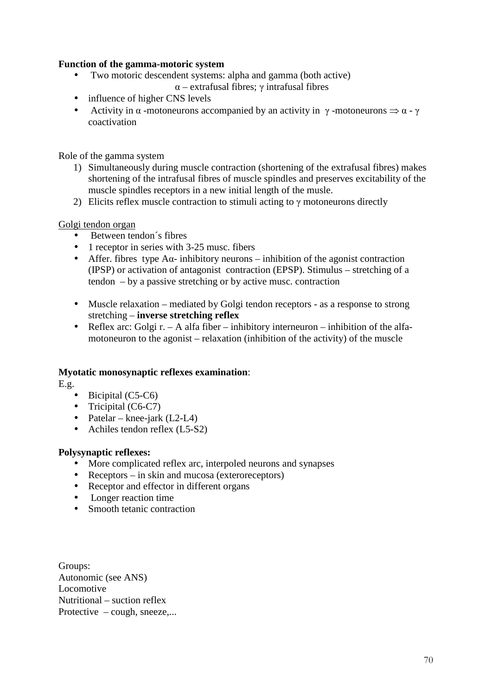## **Function of the gamma-motoric system**

- Two motoric descendent systems: alpha and gamma (both active) α – extrafusal fibres; γ intrafusal fibres
- influence of higher CNS levels
- Activity in  $\alpha$  -motoneurons accompanied by an activity in  $\gamma$  -motoneurons  $\Rightarrow \alpha \gamma$ coactivation

Role of the gamma system

- 1) Simultaneously during muscle contraction (shortening of the extrafusal fibres) makes shortening of the intrafusal fibres of muscle spindles and preserves excitability of the muscle spindles receptors in a new initial length of the musle.
- 2) Elicits reflex muscle contraction to stimuli acting to  $\gamma$  motoneurons directly

## Golgi tendon organ

- Between tendon's fibres
- 1 receptor in series with 3-25 musc. fibers
- Affer. fibres type  $A\alpha$  inhibitory neurons inhibition of the agonist contraction (IPSP) or activation of antagonist contraction (EPSP). Stimulus – stretching of a tendon – by a passive stretching or by active musc. contraction
- Muscle relaxation mediated by Golgi tendon receptors as a response to strong stretching – **inverse stretching reflex**
- Reflex arc: Golgi  $r. A$  alfa fiber inhibitory interneuron inhibition of the alfamotoneuron to the agonist – relaxation (inhibition of the activity) of the muscle

## **Myotatic monosynaptic reflexes examination**:

E.g.

- Bicipital (C5-C6)
- Tricipital (C6-C7)
- Patelar knee-jark  $(L2-L4)$
- Achiles tendon reflex (L5-S2)

## **Polysynaptic reflexes:**

- More complicated reflex arc, interpoled neurons and synapses
- Receptors in skin and mucosa (exteroreceptors)
- Receptor and effector in different organs
- Longer reaction time
- Smooth tetanic contraction

Groups: Autonomic (see ANS) Locomotive Nutritional – suction reflex Protective – cough, sneeze,...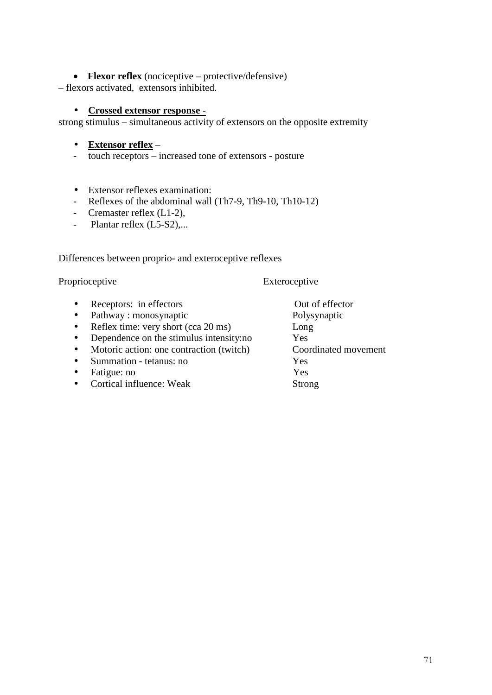## • **Flexor reflex** (nociceptive – protective/defensive)

– flexors activated, extensors inhibited.

## • **Crossed extensor response** -

strong stimulus – simultaneous activity of extensors on the opposite extremity

- **Extensor reflex** –
- touch receptors increased tone of extensors posture
- Extensor reflexes examination:
- Reflexes of the abdominal wall (Th7-9, Th9-10, Th10-12)
- Cremaster reflex (L1-2),
- Plantar reflex (L5-S2),...

Differences between proprio- and exteroceptive reflexes

## Proprioceptive Exteroceptive

- Receptors: in effectors Out of effector
- Pathway : monosynaptic Polysynaptic
- Reflex time: very short (cca 20 ms) Long
- Dependence on the stimulus intensity:no Yes
- Motoric action: one contraction (twitch) Coordinated movement
- Summation tetanus: no Yes
- Fatigue: no Yes
- **Cortical influence: Weak Strong**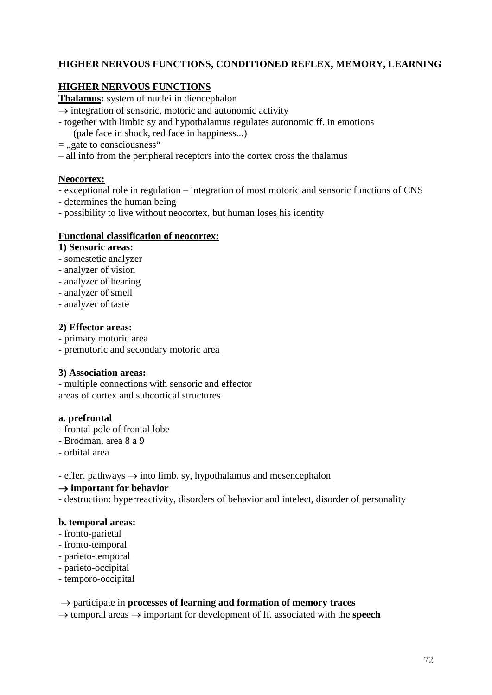## **HIGHER NERVOUS FUNCTIONS, CONDITIONED REFLEX, MEMORY, LEARNING**

## **HIGHER NERVOUS FUNCTIONS**

**Thalamus:** system of nuclei in diencephalon

- $\rightarrow$  integration of sensoric, motoric and autonomic activity
- together with limbic sy and hypothalamus regulates autonomic ff. in emotions

(pale face in shock, red face in happiness...)

- $=$  "gate to consciousness"
- all info from the peripheral receptors into the cortex cross the thalamus

## **Neocortex:**

- exceptional role in regulation integration of most motoric and sensoric functions of CNS
- determines the human being
- possibility to live without neocortex, but human loses his identity

## **Functional classification of neocortex:**

## **1) Sensoric areas:**

- somestetic analyzer
- analyzer of vision
- analyzer of hearing
- analyzer of smell
- analyzer of taste

## **2) Effector areas:**

- primary motoric area
- premotoric and secondary motoric area

## **3) Association areas:**

- multiple connections with sensoric and effector areas of cortex and subcortical structures

## **a. prefrontal**

- frontal pole of frontal lobe
- Brodman. area 8 a 9
- orbital area

- effer. pathways  $\rightarrow$  into limb. sy, hypothalamus and mesencephalon

## → **important for behavior**

- destruction: hyperreactivity, disorders of behavior and intelect, disorder of personality

## **b. temporal areas:**

- fronto-parietal
- fronto-temporal
- parieto-temporal
- parieto-occipital
- temporo-occipital

## → participate in **processes of learning and formation of memory traces**

→ temporal areas → important for development of ff. associated with the **speech**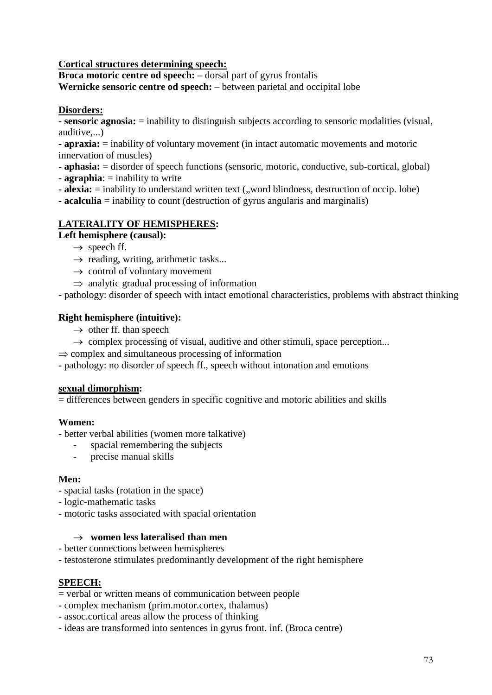**Cortical structures determining speech:**

**Broca motoric centre od speech:** – dorsal part of gyrus frontalis **Wernicke sensoric centre od speech:** – between parietal and occipital lobe

# **Disorders:**

**- sensoric agnosia:** = inability to distinguish subjects according to sensoric modalities (visual, auditive,...)

**- apraxia:** = inability of voluntary movement (in intact automatic movements and motoric innervation of muscles)

**- aphasia:** = disorder of speech functions (sensoric, motoric, conductive, sub-cortical, global)

- **- agraphia**: = inability to write
- **alexia:** = inability to understand written text (,,word blindness, destruction of occip. lobe)
- **- acalculia** = inability to count (destruction of gyrus angularis and marginalis)

# **LATERALITY OF HEMISPHERES:**

# **Left hemisphere (causal):**

- $\rightarrow$  speech ff.
- $\rightarrow$  reading, writing, arithmetic tasks...
- $\rightarrow$  control of voluntary movement
- $\Rightarrow$  analytic gradual processing of information

- pathology: disorder of speech with intact emotional characteristics, problems with abstract thinking

#### **Right hemisphere (intuitive):**

- $\rightarrow$  other ff. than speech
- $\rightarrow$  complex processing of visual, auditive and other stimuli, space perception...
- $\Rightarrow$  complex and simultaneous processing of information

- pathology: no disorder of speech ff., speech without intonation and emotions

#### **sexual dimorphism:**

= differences between genders in specific cognitive and motoric abilities and skills

#### **Women:**

- better verbal abilities (women more talkative)

- spacial remembering the subjects
- precise manual skills

#### **Men:**

- spacial tasks (rotation in the space)
- logic-mathematic tasks
- motoric tasks associated with spacial orientation

#### → **women less lateralised than men**

- better connections between hemispheres
- testosterone stimulates predominantly development of the right hemisphere

# **SPEECH:**

- = verbal or written means of communication between people
- complex mechanism (prim.motor.cortex, thalamus)
- assoc.cortical areas allow the process of thinking
- ideas are transformed into sentences in gyrus front. inf. (Broca centre)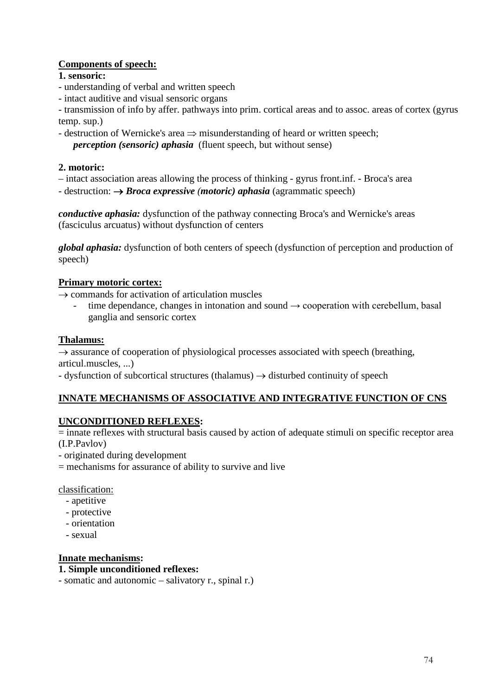# **Components of speech:**

# **1. sensoric:**

- understanding of verbal and written speech
- intact auditive and visual sensoric organs

- transmission of info by affer. pathways into prim. cortical areas and to assoc. areas of cortex (gyrus temp. sup.)

- destruction of Wernicke's area ⇒ misunderstanding of heard or written speech;

*perception (sensoric) aphasia* (fluent speech, but without sense)

# **2. motoric:**

- intact association areas allowing the process of thinking gyrus front.inf. Broca's area
- destruction: → *Broca expressive (motoric) aphasia* (agrammatic speech)

*conductive aphasia:* dysfunction of the pathway connecting Broca's and Wernicke's areas (fasciculus arcuatus) without dysfunction of centers

*global aphasia:* dysfunction of both centers of speech (dysfunction of perception and production of speech)

# **Primary motoric cortex:**

 $\rightarrow$  commands for activation of articulation muscles

time dependance, changes in intonation and sound  $\rightarrow$  cooperation with cerebellum, basal ganglia and sensoric cortex

# **Thalamus:**

 $\rightarrow$  assurance of cooperation of physiological processes associated with speech (breathing, articul.muscles, ...)

- dysfunction of subcortical structures (thalamus)  $\rightarrow$  disturbed continuity of speech

# **INNATE MECHANISMS OF ASSOCIATIVE AND INTEGRATIVE FUNCTION OF CNS**

# **UNCONDITIONED REFLEXES:**

= innate reflexes with structural basis caused by action of adequate stimuli on specific receptor area (I.P.Pavlov)

- originated during development
- $=$  mechanisms for assurance of ability to survive and live

classification:

- apetitive
- protective
- orientation
- sexual

# **Innate mechanisms:**

#### **1. Simple unconditioned reflexes:**

- somatic and autonomic – salivatory r., spinal r.)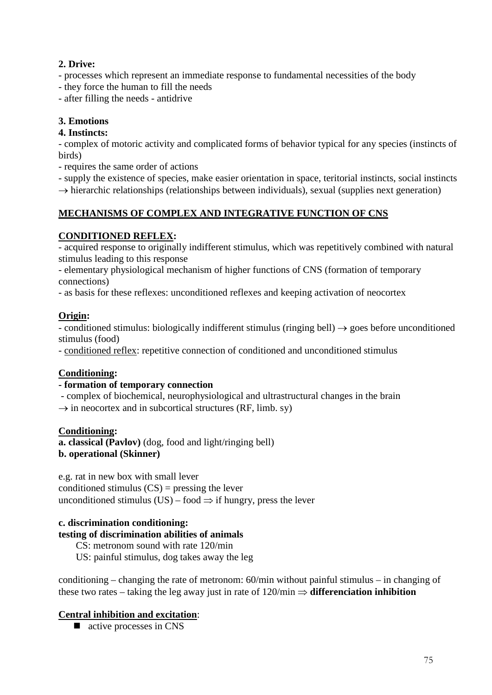# **2. Drive:**

- processes which represent an immediate response to fundamental necessities of the body
- they force the human to fill the needs
- after filling the needs antidrive

# **3. Emotions**

# **4. Instincts:**

- complex of motoric activity and complicated forms of behavior typical for any species (instincts of birds)

- requires the same order of actions
- supply the existence of species, make easier orientation in space, teritorial instincts, social instincts
- $\rightarrow$  hierarchic relationships (relationships between individuals), sexual (supplies next generation)

# **MECHANISMS OF COMPLEX AND INTEGRATIVE FUNCTION OF CNS**

# **CONDITIONED REFLEX:**

- acquired response to originally indifferent stimulus, which was repetitively combined with natural stimulus leading to this response

- elementary physiological mechanism of higher functions of CNS (formation of temporary connections)

- as basis for these reflexes: unconditioned reflexes and keeping activation of neocortex

# **Origin:**

- conditioned stimulus: biologically indifferent stimulus (ringing bell)  $\rightarrow$  goes before unconditioned stimulus (food)

- conditioned reflex: repetitive connection of conditioned and unconditioned stimulus

# **Conditioning:**

#### **- formation of temporary connection**

- complex of biochemical, neurophysiological and ultrastructural changes in the brain

 $\rightarrow$  in neocortex and in subcortical structures (RF, limb. sy)

#### **Conditioning:**

**a. classical (Pavlov)** (dog, food and light/ringing bell) **b. operational (Skinner)**

e.g. rat in new box with small lever conditioned stimulus  $(CS)$  = pressing the lever unconditioned stimulus (US) – food  $\Rightarrow$  if hungry, press the lever

#### **c. discrimination conditioning:**

# **testing of discrimination abilities of animals**

CS: metronom sound with rate 120/min

US: painful stimulus, dog takes away the leg

conditioning – changing the rate of metronom: 60/min without painful stimulus – in changing of these two rates – taking the leg away just in rate of  $120/\text{min} \Rightarrow$  **differenciation inhibition** 

# **Central inhibition and excitation**:

■ active processes in CNS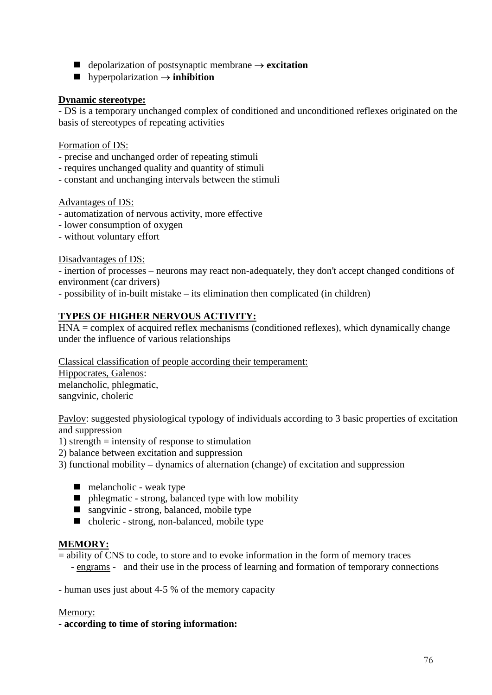- depolarization of postsynaptic membrane → **excitation**
- hyperpolarization → **inhibition**

# **Dynamic stereotype:**

- DS is a temporary unchanged complex of conditioned and unconditioned reflexes originated on the basis of stereotypes of repeating activities

Formation of DS:

- precise and unchanged order of repeating stimuli
- requires unchanged quality and quantity of stimuli
- constant and unchanging intervals between the stimuli

Advantages of DS:

- automatization of nervous activity, more effective
- lower consumption of oxygen
- without voluntary effort

#### Disadvantages of DS:

- inertion of processes – neurons may react non-adequately, they don't accept changed conditions of environment (car drivers)

- possibility of in-built mistake – its elimination then complicated (in children)

# **TYPES OF HIGHER NERVOUS ACTIVITY:**

HNA = complex of acquired reflex mechanisms (conditioned reflexes), which dynamically change under the influence of various relationships

Classical classification of people according their temperament:

Hippocrates, Galenos: melancholic, phlegmatic, sangvinic, choleric

Pavlov: suggested physiological typology of individuals according to 3 basic properties of excitation and suppression

1) strength  $=$  intensity of response to stimulation

2) balance between excitation and suppression

3) functional mobility – dynamics of alternation (change) of excitation and suppression

- $\blacksquare$  melancholic weak type
- phlegmatic strong, balanced type with low mobility
- sangvinic strong, balanced, mobile type
- choleric strong, non-balanced, mobile type

# **MEMORY:**

= ability of CNS to code, to store and to evoke information in the form of memory traces

- engrams - and their use in the process of learning and formation of temporary connections

- human uses just about 4-5 % of the memory capacity

#### Memory:

**- according to time of storing information:**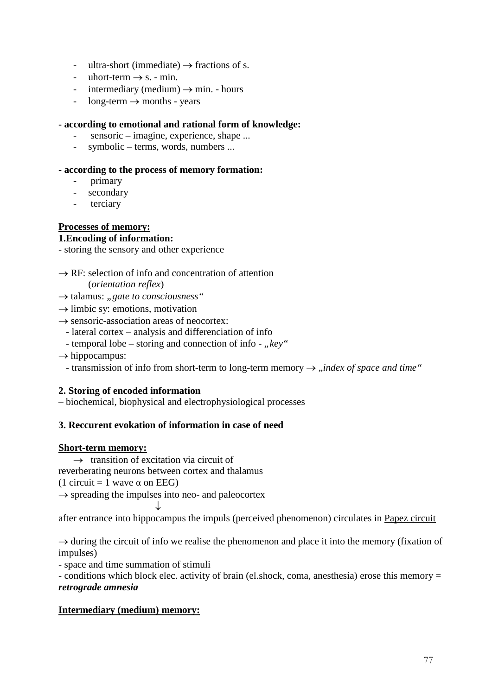- ultra-short (immediate)  $\rightarrow$  fractions of s.
- uhort-term  $\rightarrow$  s. min.
- intermediary (medium)  $\rightarrow$  min. hours
- $long-term \rightarrow months$  years

#### **- according to emotional and rational form of knowledge:**

- sensoric imagine, experience, shape ...
- symbolic terms, words, numbers ...

### **- according to the process of memory formation:**

- primary
- secondary
- terciary

# **Processes of memory:**

#### **1.Encoding of information:**

- storing the sensory and other experience

 $\rightarrow$  RF: selection of info and concentration of attention

(*orientation reflex*)

- → talamus: "*gate to consciousness*"
- $\rightarrow$  limbic sy: emotions, motivation
- $\rightarrow$  sensoric-association areas of neocortex:
	- lateral cortex analysis and differenciation of info
	- temporal lobe storing and connection of info "key"
- $\rightarrow$  hippocampus:
	- transmission of info from short-term to long-term memory → *"index of space and time*"

# **2. Storing of encoded information**

– biochemical, biophysical and electrophysiological processes

# **3. Reccurent evokation of information in case of need**

#### **Short-term memory:**

 $\rightarrow$  transition of excitation via circuit of

reverberating neurons between cortex and thalamus

(1 circuit = 1 wave  $\alpha$  on EEG)

 $\rightarrow$  spreading the impulses into neo- and paleocortex

 ↓ after entrance into hippocampus the impuls (perceived phenomenon) circulates in Papez circuit

 $\rightarrow$  during the circuit of info we realise the phenomenon and place it into the memory (fixation of impulses)

- space and time summation of stimuli

- conditions which block elec. activity of brain (el.shock, coma, anesthesia) erose this memory = *retrograde amnesia*

# **Intermediary (medium) memory:**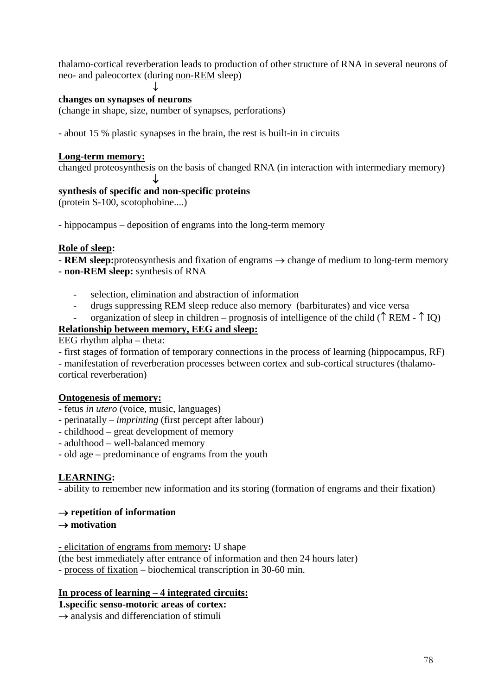thalamo-cortical reverberation leads to production of other structure of RNA in several neurons of neo- and paleocortex (during non-REM sleep)

### **changes on synapses of neurons**

↓

(change in shape, size, number of synapses, perforations)

- about 15 % plastic synapses in the brain, the rest is built-in in circuits

#### **Long-term memory:**

changed proteosynthesis on the basis of changed RNA (in interaction with intermediary memory)

#### ↓ **synthesis of specific and non-specific proteins**

(protein S-100, scotophobine....)

- hippocampus – deposition of engrams into the long-term memory

#### **Role of sleep:**

**- REM sleep:**proteosynthesis and fixation of engrams → change of medium to long-term memory **- non-REM sleep:** synthesis of RNA

- selection, elimination and abstraction of information
- drugs suppressing REM sleep reduce also memory (barbiturates) and vice versa
- organization of sleep in children prognosis of intelligence of the child ( $\uparrow$  REM  $\uparrow$  IQ)

#### **Relationship between memory, EEG and sleep:**

EEG rhythm alpha – theta:

- first stages of formation of temporary connections in the process of learning (hippocampus, RF)

- manifestation of reverberation processes between cortex and sub-cortical structures (thalamocortical reverberation)

#### **Ontogenesis of memory:**

- fetus *in utero* (voice, music, languages)
- perinatally *imprinting* (first percept after labour)
- childhood great development of memory
- adulthood well-balanced memory
- old age predominance of engrams from the youth

#### **LEARNING:**

- ability to remember new information and its storing (formation of engrams and their fixation)

#### → **repetition of information**

#### → **motivation**

- elicitation of engrams from memory**:** U shape

(the best immediately after entrance of information and then 24 hours later)

- process of fixation – biochemical transcription in 30-60 min.

# **In process of learning – 4 integrated circuits:**

#### **1.specific senso-motoric areas of cortex:**

 $\rightarrow$  analysis and differenciation of stimuli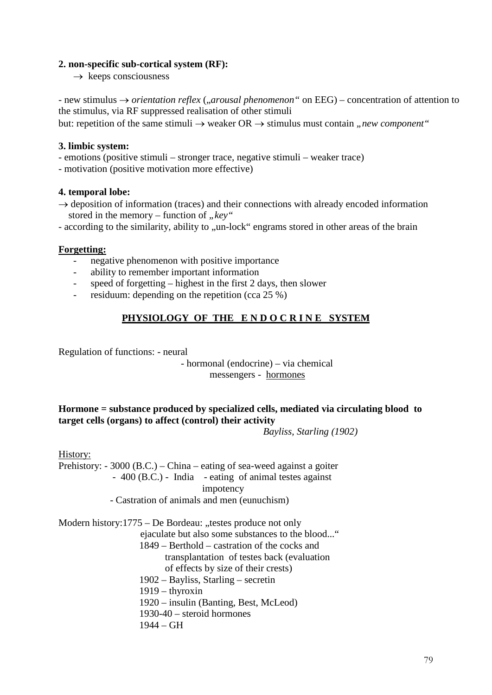#### **2. non-specific sub-cortical system (RF):**

 $\rightarrow$  keeps consciousness

- new stimulus → *orientation reflex* (*"arousal phenomenon*" on EEG) – concentration of attention to the stimulus, via RF suppressed realisation of other stimuli but: repetition of the same stimuli  $\rightarrow$  weaker  $OR \rightarrow$  stimulus must contain *"new component*"

### **3. limbic system:**

- emotions (positive stimuli – stronger trace, negative stimuli – weaker trace)

- motivation (positive motivation more effective)

#### **4. temporal lobe:**

 $\rightarrow$  deposition of information (traces) and their connections with already encoded information stored in the memory – function of "key"

- according to the similarity, ability to "un-lock" engrams stored in other areas of the brain

# **Forgetting:**

- negative phenomenon with positive importance
- ability to remember important information
- speed of forgetting highest in the first 2 days, then slower
- residuum: depending on the repetition (cca  $25\%$ )

# PHYSIOLOGY OF THE ENDOCRINE SYSTEM

Regulation of functions: - neural

# - hormonal (endocrine) – via chemical messengers - hormones

# **Hormone = substance produced by specialized cells, mediated via circulating blood to target cells (organs) to affect (control) their activity**

*Bayliss, Starling (1902)*

History:

Prehistory: - 3000 (B.C.) – China – eating of sea-weed against a goiter - 400 (B.C.) - India - eating of animal testes against impotency - Castration of animals and men (eunuchism)

Modern history: $1775 - De$  Bordeau: "testes produce not only ejaculate but also some substances to the blood..." 1849 – Berthold – castration of the cocks and transplantation of testes back (evaluation of effects by size of their crests) 1902 – Bayliss, Starling – secretin 1919 – thyroxin 1920 – insulin (Banting, Best, McLeod) 1930-40 – steroid hormones 1944 – GH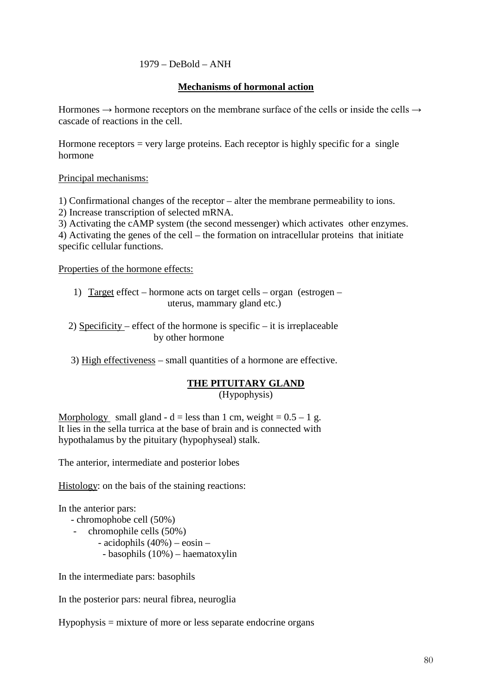### $1979 - DeBold - ANH$

#### **Mechanisms of hormonal action**

Hormones  $\rightarrow$  hormone receptors on the membrane surface of the cells or inside the cells  $\rightarrow$ cascade of reactions in the cell.

Hormone receptors  $=$  very large proteins. Each receptor is highly specific for a single hormone

#### Principal mechanisms:

1) Confirmational changes of the receptor – alter the membrane permeability to ions.

2) Increase transcription of selected mRNA.

3) Activating the cAMP system (the second messenger) which activates other enzymes. 4) Activating the genes of the cell – the formation on intracellular proteins that initiate specific cellular functions.

Properties of the hormone effects:

- 1) Target effect hormone acts on target cells organ (estrogen uterus, mammary gland etc.)
- 2) Specificity effect of the hormone is specific it is irreplaceable by other hormone

3) High effectiveness – small quantities of a hormone are effective.

# **THE PITUITARY GLAND**

(Hypophysis)

Morphology small gland - d = less than 1 cm, weight =  $0.5 - 1$  g. It lies in the sella turrica at the base of brain and is connected with hypothalamus by the pituitary (hypophyseal) stalk.

The anterior, intermediate and posterior lobes

Histology: on the bais of the staining reactions:

In the anterior pars:

- chromophobe cell (50%)
	- chromophile cells (50%)
		- acidophils (40%) eosin
			- basophils (10%) haematoxylin

In the intermediate pars: basophils

In the posterior pars: neural fibrea, neuroglia

Hypophysis = mixture of more or less separate endocrine organs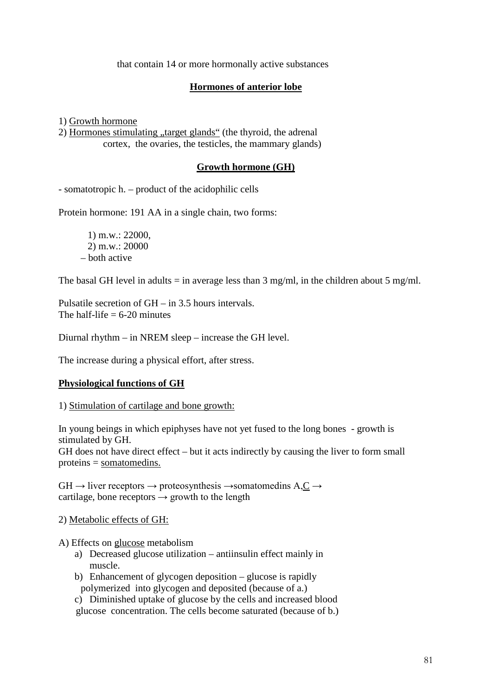that contain 14 or more hormonally active substances

# **Hormones of anterior lobe**

1) Growth hormone

2) Hormones stimulating "target glands" (the thyroid, the adrenal cortex, the ovaries, the testicles, the mammary glands)

#### **Growth hormone (GH)**

- somatotropic h. – product of the acidophilic cells

Protein hormone: 191 AA in a single chain, two forms:

1) m.w.: 22000, 2) m.w.: 20000 – both active

The basal GH level in adults = in average less than  $3 \text{ mg/ml}$ , in the children about  $5 \text{ mg/ml}$ .

Pulsatile secretion of GH – in 3.5 hours intervals. The half-life  $= 6-20$  minutes

Diurnal rhythm – in NREM sleep – increase the GH level.

The increase during a physical effort, after stress.

#### **Physiological functions of GH**

1) Stimulation of cartilage and bone growth:

In young beings in which epiphyses have not yet fused to the long bones - growth is stimulated by GH.

GH does not have direct effect – but it acts indirectly by causing the liver to form small proteins = somatomedins.

 $GH \rightarrow$  liver receptors  $\rightarrow$  proteosynthesis  $\rightarrow$ somatomedins A,C  $\rightarrow$ cartilage, bone receptors  $\rightarrow$  growth to the length

2) Metabolic effects of GH:

A) Effects on glucose metabolism

- a) Decreased glucose utilization antiinsulin effect mainly in muscle.
- b) Enhancement of glycogen deposition glucose is rapidly polymerized into glycogen and deposited (because of a.)
- c) Diminished uptake of glucose by the cells and increased blood glucose concentration. The cells become saturated (because of b.)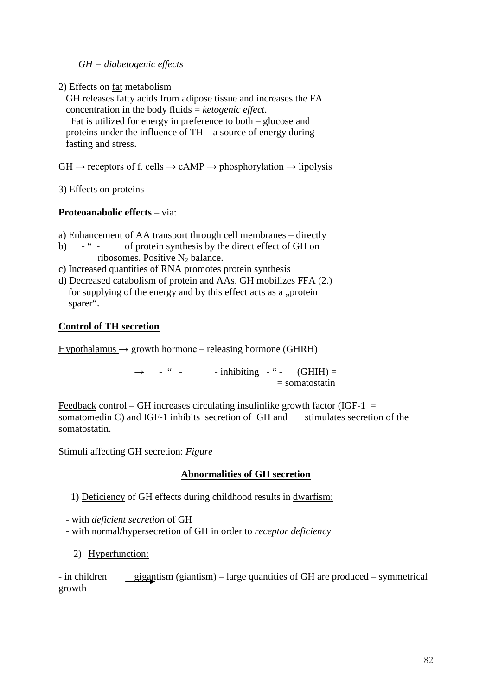*GH = diabetogenic effects*

2) Effects on fat metabolism

 GH releases fatty acids from adipose tissue and increases the FA concentration in the body fluids = *ketogenic effect*.

 Fat is utilized for energy in preference to both – glucose and proteins under the influence of TH – a source of energy during fasting and stress.

 $GH \rightarrow$  receptors of f. cells  $\rightarrow$  cAMP  $\rightarrow$  phosphorylation  $\rightarrow$  lipolysis

3) Effects on proteins

# **Proteoanabolic effects** – via:

a) Enhancement of AA transport through cell membranes – directly

- b) " of protein synthesis by the direct effect of GH on ribosomes. Positive  $N_2$  balance.
- c) Increased quantities of RNA promotes protein synthesis
- d) Decreased catabolism of protein and AAs. GH mobilizes FFA (2.) for supplying of the energy and by this effect acts as a "protein sparer".

#### **Control of TH secretion**

 $Hypothalamus \rightarrow growth hormone - releasing hormone (GHRH)$ 

 $\rightarrow$  - " - - inhibiting - " - (GHIH) =  $=$  somatostatin

Feedback control – GH increases circulating insulinlike growth factor (IGF-1  $=$ somatomedin C) and IGF-1 inhibits secretion of GH and stimulates secretion of the somatostatin.

Stimuli affecting GH secretion: *Figure*

# **Abnormalities of GH secretion**

1) Deficiency of GH effects during childhood results in dwarfism:

- with *deficient secretion* of GH
- with normal/hypersecretion of GH in order to *receptor deficiency*
	- 2) Hyperfunction:

- in children gigantism (giantism) – large quantities of GH are produced – symmetrical growth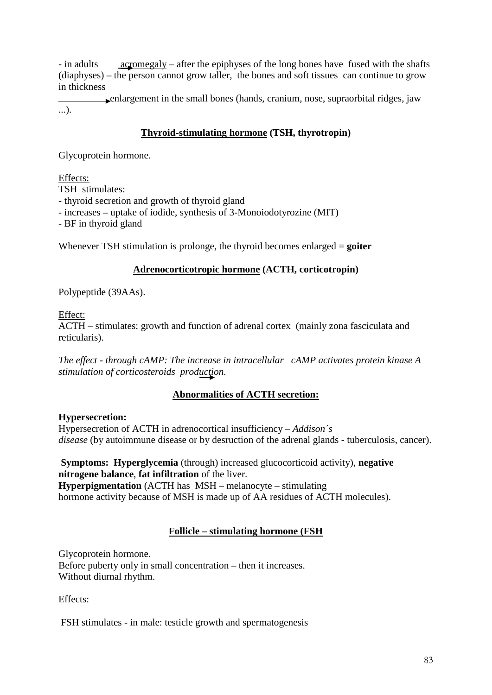- in adults <u>acromegaly</u> – after the epiphyses of the long bones have fused with the shafts (diaphyses) – the person cannot grow taller, the bones and soft tissues can continue to grow in thickness

 enlargement in the small bones (hands, cranium, nose, supraorbital ridges, jaw ...).

# **Thyroid-stimulating hormone (TSH, thyrotropin)**

Glycoprotein hormone.

Effects:

TSH stimulates:

- thyroid secretion and growth of thyroid gland

- increases – uptake of iodide, synthesis of 3-Monoiodotyrozine (MIT)

- BF in thyroid gland

Whenever TSH stimulation is prolonge, the thyroid becomes enlarged = **goiter**

#### **Adrenocorticotropic hormone (ACTH, corticotropin)**

Polypeptide (39AAs).

Effect:

ACTH – stimulates: growth and function of adrenal cortex (mainly zona fasciculata and reticularis).

*The effect - through cAMP: The increase in intracellular cAMP activates protein kinase A stimulation of corticosteroids production.*

# **Abnormalities of ACTH secretion:**

#### **Hypersecretion:**

Hypersecretion of ACTH in adrenocortical insufficiency – *Addison´s disease* (by autoimmune disease or by desruction of the adrenal glands - tuberculosis, cancer).

**Symptoms: Hyperglycemia** (through) increased glucocorticoid activity), **negative nitrogene balance**, **fat infiltration** of the liver. **Hyperpigmentation** (ACTH has MSH – melanocyte – stimulating hormone activity because of MSH is made up of AA residues of ACTH molecules).

# **Follicle – stimulating hormone (FSH**

Glycoprotein hormone. Before puberty only in small concentration – then it increases. Without diurnal rhythm.

Effects:

FSH stimulates - in male: testicle growth and spermatogenesis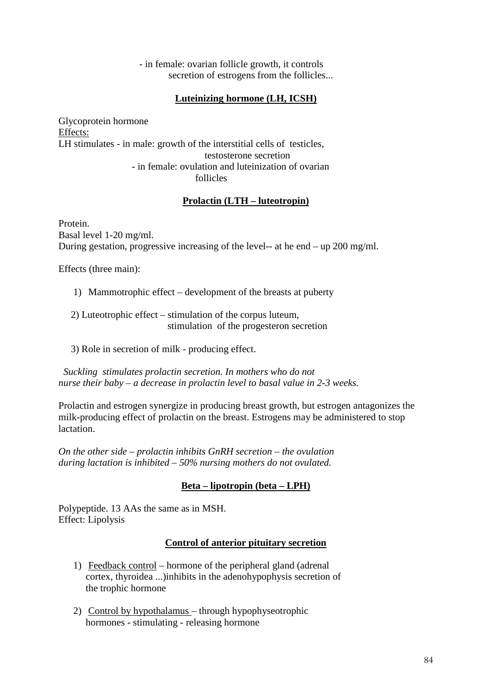- in female: ovarian follicle growth, it controls secretion of estrogens from the follicles...

# **Luteinizing hormone (LH, ICSH)**

Glycoprotein hormone Effects: LH stimulates - in male: growth of the interstitial cells of testicles, testosterone secretion - in female: ovulation and luteinization of ovarian follicles

#### **Prolactin (LTH – luteotropin)**

Protein. Basal level 1-20 mg/ml. During gestation, progressive increasing of the level-- at he end – up 200 mg/ml.

Effects (three main):

1) Mammotrophic effect – development of the breasts at puberty

 2) Luteotrophic effect – stimulation of the corpus luteum, stimulation of the progesteron secretion

3) Role in secretion of milk - producing effect.

 *Suckling stimulates prolactin secretion. In mothers who do not nurse their baby – a decrease in prolactin level to basal value in 2-3 weeks.*

Prolactin and estrogen synergize in producing breast growth, but estrogen antagonizes the milk-producing effect of prolactin on the breast. Estrogens may be administered to stop lactation.

*On the other side – prolactin inhibits GnRH secretion – the ovulation during lactation is inhibited – 50% nursing mothers do not ovulated.*

# **Beta – lipotropin (beta – LPH)**

Polypeptide. 13 AAs the same as in MSH. Effect: Lipolysis

#### **Control of anterior pituitary secretion**

- 1) Feedback control hormone of the peripheral gland (adrenal cortex, thyroidea ...)inhibits in the adenohypophysis secretion of the trophic hormone
- 2) Control by hypothalamus through hypophyseotrophic hormones - stimulating - releasing hormone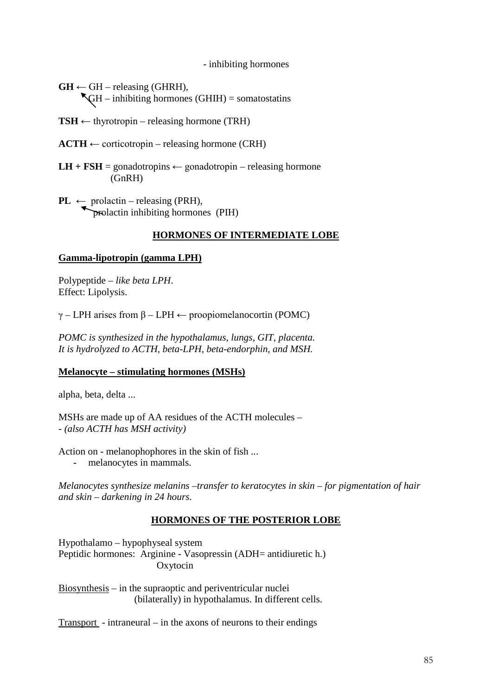- inhibiting hormones

 $GH \leftarrow GH -$  releasing (GHRH),  $\mathbb{R}$ GH – inhibiting hormones (GHIH) = somatostatins

 $TSH \leftarrow$  thyrotropin – releasing hormone (TRH)

 $ACTH \leftarrow$  corticotropin – releasing hormone (CRH)

- **LH + FSH** = gonadotropins  $\leftarrow$  gonadotropin releasing hormone (GnRH)
- $\text{PL} \leftarrow \text{prolactin} \text{releasing (PRH)},$ prolactin inhibiting hormones (PIH)

# **HORMONES OF INTERMEDIATE LOBE**

#### **Gamma-lipotropin (gamma LPH)**

Polypeptide – *like beta LPH*. Effect: Lipolysis.

γ – LPH arises from β – LPH ← proopiomelanocortin (POMC)

*POMC is synthesized in the hypothalamus, lungs, GIT, placenta. It is hydrolyzed to ACTH, beta-LPH, beta-endorphin, and MSH.*

#### **Melanocyte – stimulating hormones (MSHs)**

alpha, beta, delta ...

MSHs are made up of AA residues of the ACTH molecules – - *(also ACTH has MSH activity)*

Action on - melanophophores in the skin of fish ...

- melanocytes in mammals.

*Melanocytes synthesize melanins –transfer to keratocytes in skin – for pigmentation of hair and skin – darkening in 24 hours.*

# **HORMONES OF THE POSTERIOR LOBE**

Hypothalamo – hypophyseal system Peptidic hormones: Arginine - Vasopressin (ADH= antidiuretic h.) Oxytocin

Biosynthesis – in the supraoptic and periventricular nuclei (bilaterally) in hypothalamus. In different cells.

Transport - intraneural – in the axons of neurons to their endings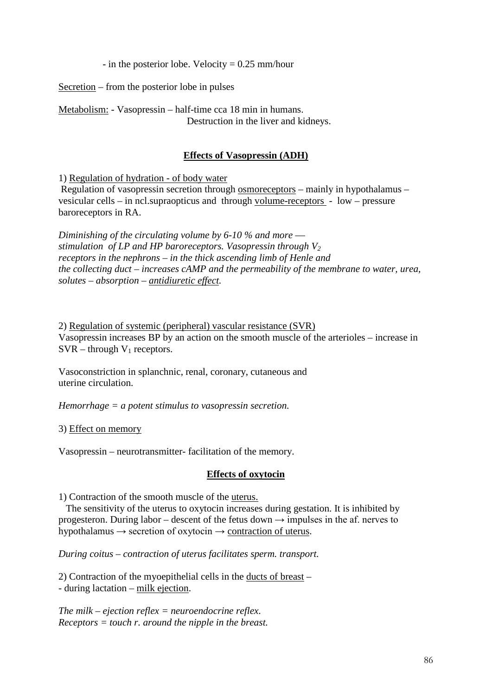- in the posterior lobe. Velocity  $= 0.25$  mm/hour

Secretion – from the posterior lobe in pulses

Metabolism: - Vasopressin – half-time cca 18 min in humans. Destruction in the liver and kidneys.

#### **Effects of Vasopressin (ADH)**

1) Regulation of hydration - of body water

Regulation of vasopressin secretion through osmoreceptors – mainly in hypothalamus – vesicular cells – in ncl.supraopticus and through volume-receptors - low – pressure baroreceptors in RA.

*Diminishing of the circulating volume by 6-10 % and more –– stimulation of LP and HP baroreceptors. Vasopressin through*  $V_2$ *receptors in the nephrons – in the thick ascending limb of Henle and the collecting duct – increases cAMP and the permeability of the membrane to water, urea, solutes – absorption – antidiuretic effect.*

2) Regulation of systemic (peripheral) vascular resistance (SVR) Vasopressin increases BP by an action on the smooth muscle of the arterioles – increase in  $SVR -$ through  $V_1$  receptors.

Vasoconstriction in splanchnic, renal, coronary, cutaneous and uterine circulation.

*Hemorrhage = a potent stimulus to vasopressin secretion.*

3) Effect on memory

Vasopressin – neurotransmitter- facilitation of the memory.

#### **Effects of oxytocin**

1) Contraction of the smooth muscle of the uterus.

 The sensitivity of the uterus to oxytocin increases during gestation. It is inhibited by progesteron. During labor – descent of the fetus down  $\rightarrow$  impulses in the af. nerves to hypothalamus  $\rightarrow$  secretion of oxytocin  $\rightarrow$  contraction of uterus.

*During coitus – contraction of uterus facilitates sperm. transport.*

2) Contraction of the myoepithelial cells in the ducts of breast – - during lactation – milk ejection.

*The milk – ejection reflex = neuroendocrine reflex. Receptors = touch r. around the nipple in the breast.*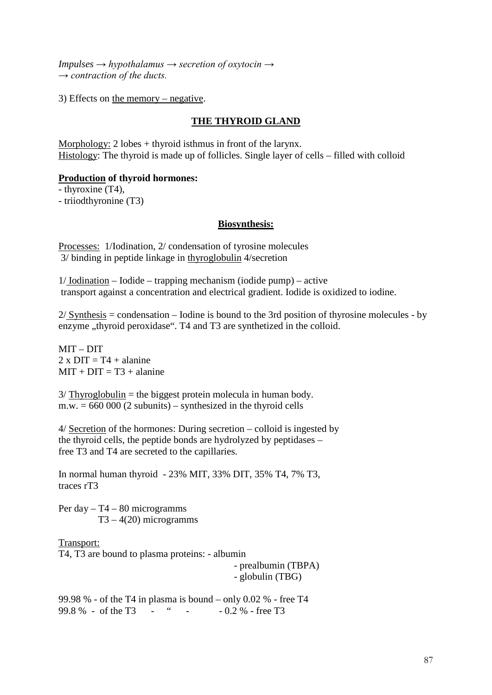*Impulses → hypothalamus → secretion of oxytocin → → contraction of the ducts.*

3) Effects on the memory – negative.

### **THE THYROID GLAND**

Morphology: 2 lobes + thyroid isthmus in front of the larynx. Histology: The thyroid is made up of follicles. Single layer of cells – filled with colloid

#### **Production of thyroid hormones:**

- thyroxine (T4),

- triiodthyronine (T3)

#### **Biosynthesis:**

Processes: 1/Iodination, 2/ condensation of tyrosine molecules 3/ binding in peptide linkage in thyroglobulin 4/secretion

1/ Iodination – Iodide – trapping mechanism (iodide pump) – active transport against a concentration and electrical gradient. Iodide is oxidized to iodine.

 $2/$  Synthesis = condensation – Iodine is bound to the 3rd position of thyrosine molecules - by enzyme "thyroid peroxidase". T4 and T3 are synthetized in the colloid.

MIT – DIT  $2 \times$  DIT = T4 + alanine  $MIT + DIT = T3 + \text{alanine}$ 

 $3/$  Thyroglobulin = the biggest protein molecula in human body.  $m.w. = 660000(2 \text{ subunits}) - \text{synthesized in the thyroid cells}$ 

4/ Secretion of the hormones: During secretion – colloid is ingested by the thyroid cells, the peptide bonds are hydrolyzed by peptidases – free T3 and T4 are secreted to the capillaries.

In normal human thyroid - 23% MIT, 33% DIT, 35% T4, 7% T3, traces rT3

Per day  $- T4 - 80$  microgramms  $T3 - 4(20)$  microgramms

Transport: T4, T3 are bound to plasma proteins: - albumin

 - prealbumin (TBPA) - globulin (TBG)

99.98 % - of the T4 in plasma is bound – only 0.02 % - free T4 99.8 % - of the T3 - " - - 0.2 % - free T3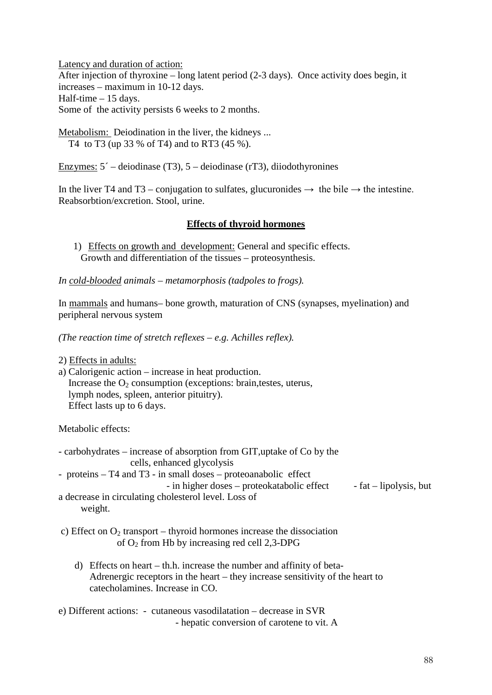Latency and duration of action: After injection of thyroxine – long latent period (2-3 days). Once activity does begin, it increases – maximum in 10-12 days. Half-time – 15 days. Some of the activity persists 6 weeks to 2 months.

Metabolism: Deiodination in the liver, the kidneys ... T4 to T3 (up 33 % of T4) and to RT3 (45 %).

Enzymes:  $5^{\degree}$  – deiodinase (T3),  $5$  – deiodinase (rT3), diiodothyronines

In the liver T4 and T3 – conjugation to sulfates, glucuronides  $\rightarrow$  the bile  $\rightarrow$  the intestine. Reabsorbtion/excretion. Stool, urine.

#### **Effects of thyroid hormones**

1) Effects on growth and development: General and specific effects. Growth and differentiation of the tissues – proteosynthesis.

*In cold-blooded animals – metamorphosis (tadpoles to frogs).*

In mammals and humans– bone growth, maturation of CNS (synapses, myelination) and peripheral nervous system

*(The reaction time of stretch reflexes – e.g. Achilles reflex).*

2) Effects in adults:

a) Calorigenic action – increase in heat production. Increase the  $O_2$  consumption (exceptions: brain, testes, uterus, lymph nodes, spleen, anterior pituitry). Effect lasts up to 6 days.

Metabolic effects:

- carbohydrates increase of absorption from GIT,uptake of Co by the cells, enhanced glycolysis
- proteins T4 and T3 in small doses proteoanabolic effect

 $-$  in higher doses – proteokatabolic effect  $-$  fat – lipolysis, but

a decrease in circulating cholesterol level. Loss of weight.

- c) Effect on  $O_2$  transport thyroid hormones increase the dissociation of  $O_2$  from Hb by increasing red cell 2,3-DPG
	- d) Effects on heart th.h. increase the number and affinity of beta-Adrenergic receptors in the heart – they increase sensitivity of the heart to catecholamines. Increase in CO.
- e) Different actions: cutaneous vasodilatation decrease in SVR - hepatic conversion of carotene to vit. A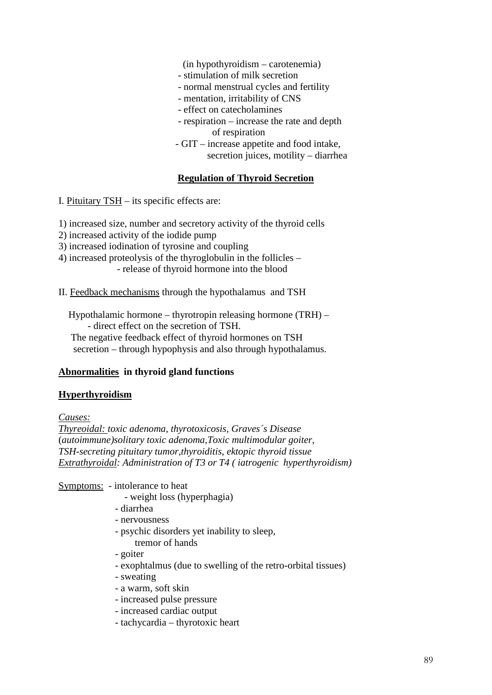(in hypothyroidism – carotenemia)

- stimulation of milk secretion
- normal menstrual cycles and fertility
- mentation, irritability of CNS
- effect on catecholamines
- respiration increase the rate and depth of respiration
- GIT increase appetite and food intake, secretion juices, motility – diarrhea

### **Regulation of Thyroid Secretion**

I. Pituitary TSH – its specific effects are:

1) increased size, number and secretory activity of the thyroid cells

- 2) increased activity of the iodide pump
- 3) increased iodination of tyrosine and coupling
- 4) increased proteolysis of the thyroglobulin in the follicles - release of thyroid hormone into the blood
- II. Feedback mechanisms through the hypothalamus and TSH

 Hypothalamic hormone – thyrotropin releasing hormone (TRH) – - direct effect on the secretion of TSH.

 The negative feedback effect of thyroid hormones on TSH secretion – through hypophysis and also through hypothalamus.

# **Abnormalities in thyroid gland functions**

# **Hyperthyroidism**

*Causes:*

*Thyreoidal: toxic adenoma, thyrotoxicosis, Graves´s Disease* (*autoimmune)solitary toxic adenoma,Toxic multimodular goiter, TSH-secreting pituitary tumor,thyroiditis, ektopic thyroid tissue Extrathyroidal: Administration of T3 or T4 ( iatrogenic hyperthyroidism)*

Symptoms: - intolerance to heat

- weight loss (hyperphagia)
- diarrhea
- nervousness
- psychic disorders yet inability to sleep, tremor of hands
- goiter
- exophtalmus (due to swelling of the retro-orbital tissues)
- sweating
- a warm, soft skin
- increased pulse pressure
- increased cardiac output
- tachycardia thyrotoxic heart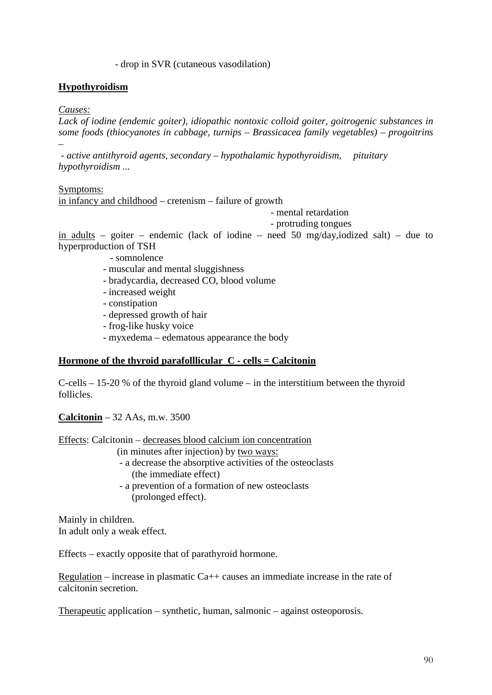#### - drop in SVR (cutaneous vasodilation)

### **Hypothyroidism**

#### *Causes:*

*–*

*Lack of iodine (endemic goiter), idiopathic nontoxic colloid goiter, goitrogenic substances in some foods (thiocyanotes in cabbage, turnips – Brassicacea family vegetables) – progoitrins* 

*- active antithyroid agents, secondary – hypothalamic hypothyroidism, pituitary hypothyroidism ...*

Symptoms:

in infancy and childhood – cretenism – failure of growth

- mental retardation

- protruding tongues

in adults – goiter – endemic (lack of iodine – need 50 mg/day,iodized salt) – due to hyperproduction of TSH

- somnolence

- muscular and mental sluggishness
- bradycardia, decreased CO, blood volume
- increased weight
- constipation
- depressed growth of hair
- frog-like husky voice
- myxedema edematous appearance the body

#### **Hormone of the thyroid parafolllicular C - cells = Calcitonin**

C-cells – 15-20 % of the thyroid gland volume – in the interstitium between the thyroid follicles.

**Calcitonin** – 32 AAs, m.w. 3500

Effects: Calcitonin – decreases blood calcium ion concentration

(in minutes after injection) by two ways:

- a decrease the absorptive activities of the osteoclasts (the immediate effect)
- a prevention of a formation of new osteoclasts (prolonged effect).

Mainly in children. In adult only a weak effect.

Effects – exactly opposite that of parathyroid hormone.

Regulation – increase in plasmatic  $Ca++$  causes an immediate increase in the rate of calcitonin secretion.

Therapeutic application – synthetic, human, salmonic – against osteoporosis.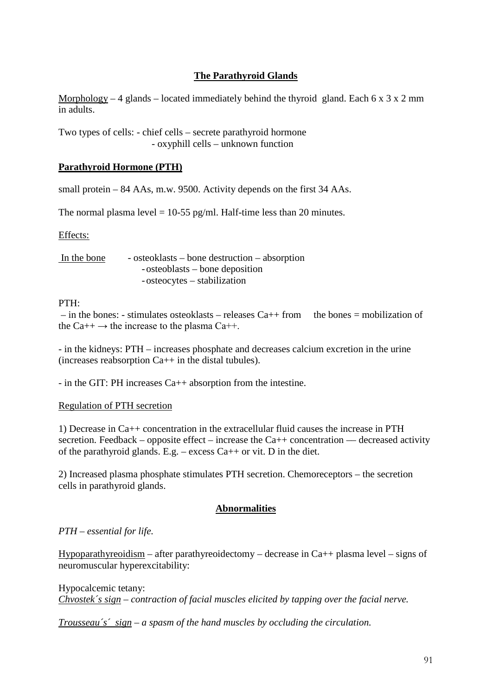# **The Parathyroid Glands**

Morphology – 4 glands – located immediately behind the thyroid gland. Each  $6 \times 3 \times 2$  mm in adults.

Two types of cells: - chief cells – secrete parathyroid hormone - oxyphill cells – unknown function

#### **Parathyroid Hormone (PTH)**

small protein – 84 AAs, m.w. 9500. Activity depends on the first 34 AAs.

The normal plasma level  $= 10-55$  pg/ml. Half-time less than 20 minutes.

#### Effects:

In the bone - osteoklasts – bone destruction – absorption -osteoblasts – bone deposition -osteocytes – stabilization

#### PTH:

 $-$  in the bones: - stimulates osteoklasts – releases Ca++ from the bones = mobilization of the Ca++  $\rightarrow$  the increase to the plasma Ca++.

- in the kidneys: PTH – increases phosphate and decreases calcium excretion in the urine (increases reabsorption  $Ca++$  in the distal tubules).

- in the GIT: PH increases Ca++ absorption from the intestine.

#### Regulation of PTH secretion

1) Decrease in Ca++ concentration in the extracellular fluid causes the increase in PTH secretion. Feedback – opposite effect – increase the  $Ca++$  concentration — decreased activity of the parathyroid glands. E.g. – excess  $Ca++$  or vit. D in the diet.

2) Increased plasma phosphate stimulates PTH secretion. Chemoreceptors – the secretion cells in parathyroid glands.

#### **Abnormalities**

#### *PTH – essential for life.*

Hypoparathyreoidism – after parathyreoidectomy – decrease in  $Ca++$  plasma level – signs of neuromuscular hyperexcitability:

Hypocalcemic tetany: *Chvostek´s sign – contraction of facial muscles elicited by tapping over the facial nerve.*

*Trousseau´s´ sign – a spasm of the hand muscles by occluding the circulation.*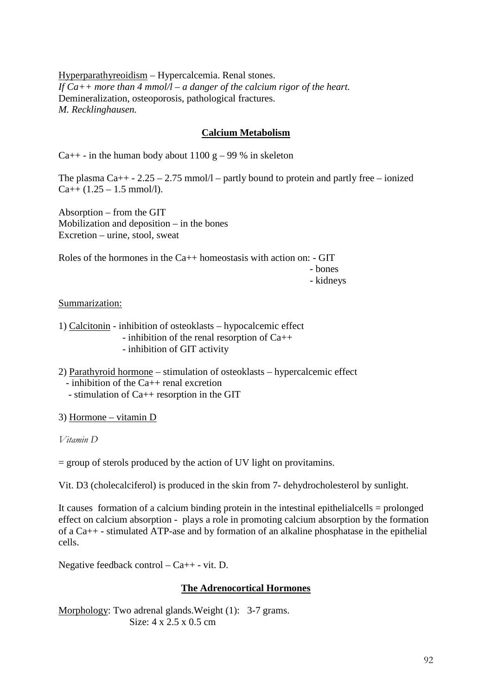Hyperparathyreoidism – Hypercalcemia. Renal stones. *If Ca++ more than 4 mmol/l – a danger of the calcium rigor of the heart.*  Demineralization, osteoporosis, pathological fractures. *M. Recklinghausen.*

# **Calcium Metabolism**

Ca++ - in the human body about 1100 g – 99 % in skeleton

The plasma  $Ca_{++}$  - 2.25 – 2.75 mmol/l – partly bound to protein and partly free – ionized  $Ca++ (1.25 - 1.5$  mmol/l).

Absorption – from the GIT Mobilization and deposition – in the bones Excretion – urine, stool, sweat

Roles of the hormones in the  $Ca++$  homeostasis with action on:  $-$  GIT

- bones

- kidneys

#### Summarization:

1) Calcitonin - inhibition of osteoklasts – hypocalcemic effect - inhibition of the renal resorption of Ca++ - inhibition of GIT activity

- 2) Parathyroid hormone stimulation of osteoklasts hypercalcemic effect - inhibition of the Ca++ renal excretion
	- stimulation of Ca++ resorption in the GIT

3) Hormone – vitamin D

*Vitamin D*

= group of sterols produced by the action of UV light on provitamins.

Vit. D3 (cholecalciferol) is produced in the skin from 7- dehydrocholesterol by sunlight.

It causes formation of a calcium binding protein in the intestinal epithelialcells = prolonged effect on calcium absorption - plays a role in promoting calcium absorption by the formation of a Ca++ - stimulated ATP-ase and by formation of an alkaline phosphatase in the epithelial cells.

Negative feedback control – Ca++ - vit. D.

#### **The Adrenocortical Hormones**

Morphology: Two adrenal glands. Weight (1): 3-7 grams. Size: 4 x 2.5 x 0.5 cm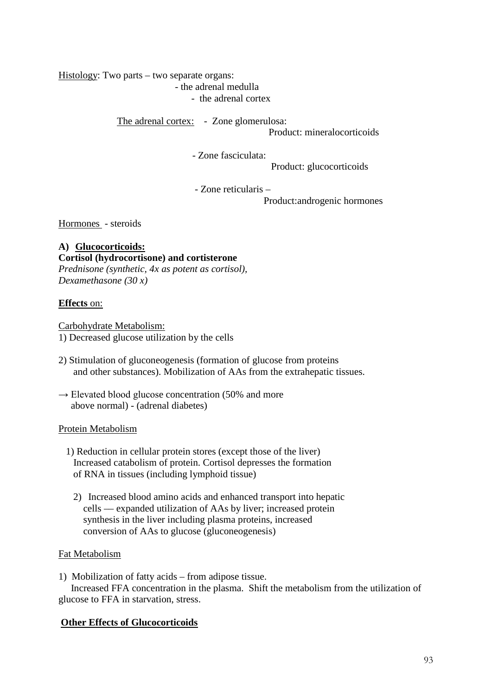Histology: Two parts – two separate organs: - the adrenal medulla

- the adrenal cortex

The adrenal cortex: - Zone glomerulosa: Product: mineralocorticoids

- Zone fasciculata:

Product: glucocorticoids

- Zone reticularis –

Product:androgenic hormones

Hormones - steroids

# **A) Glucocorticoids: Cortisol (hydrocortisone) and cortisterone** *Prednisone (synthetic, 4x as potent as cortisol), Dexamethasone (30 x)*

# **Effects** on:

Carbohydrate Metabolism: 1) Decreased glucose utilization by the cells

- 2) Stimulation of gluconeogenesis (formation of glucose from proteins and other substances). Mobilization of AAs from the extrahepatic tissues.
- $\rightarrow$  Elevated blood glucose concentration (50% and more above normal) - (adrenal diabetes)

# Protein Metabolism

- 1) Reduction in cellular protein stores (except those of the liver) Increased catabolism of protein. Cortisol depresses the formation of RNA in tissues (including lymphoid tissue)
	- 2) Increased blood amino acids and enhanced transport into hepatic cells –– expanded utilization of AAs by liver; increased protein synthesis in the liver including plasma proteins, increased conversion of AAs to glucose (gluconeogenesis)

# Fat Metabolism

1)Mobilization of fatty acids – from adipose tissue. Increased FFA concentration in the plasma. Shift the metabolism from the utilization of glucose to FFA in starvation, stress.

# **Other Effects of Glucocorticoids**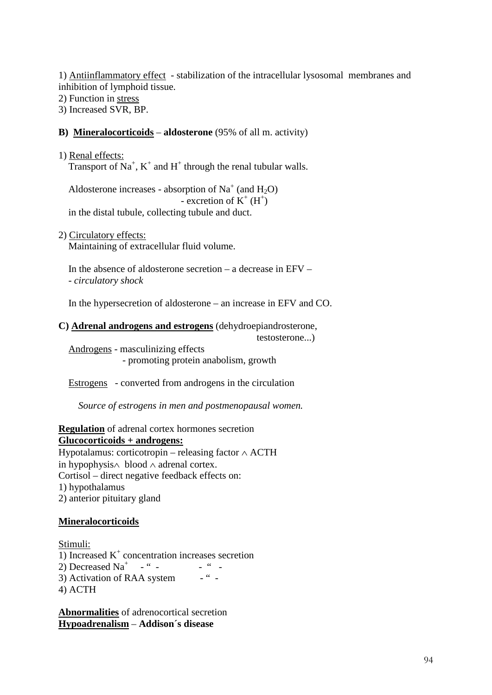1) Antiinflammatory effect - stabilization of the intracellular lysosomal membranes and inhibition of lymphoid tissue.

2) Function in stress

3) Increased SVR, BP.

# **B) Mineralocorticoids** – **aldosterone** (95% of all m. activity)

1) Renal effects: Transport of  $Na^+$ ,  $K^+$  and  $H^+$  through the renal tubular walls.

Aldosterone increases - absorption of  $Na<sup>+</sup>$  (and  $H<sub>2</sub>O$ )  $\overline{\phantom{a}}$  - excretion of  $K^+ (H^+)$ in the distal tubule, collecting tubule and duct.

2) Circulatory effects:

Maintaining of extracellular fluid volume.

In the absence of aldosterone secretion – a decrease in  $E FV -$ - *circulatory shock*

In the hypersecretion of aldosterone – an increase in EFV and CO.

**C) Adrenal androgens and estrogens** (dehydroepiandrosterone,

testosterone...)

 Androgens - masculinizing effects - promoting protein anabolism, growth

Estrogens - converted from androgens in the circulation

 *Source of estrogens in men and postmenopausal women.*

# **Regulation** of adrenal cortex hormones secretion **Glucocorticoids + androgens:**

Hypotalamus: corticotropin – releasing factor ∧ ACTH in hypophysis∧ blood ∧ adrenal cortex. Cortisol – direct negative feedback effects on: 1) hypothalamus 2) anterior pituitary gland

# **Mineralocorticoids**

Stimuli: 1) Increased  $K<sup>+</sup>$  concentration increases secretion 2) Decreased Na<sup>+</sup>  $-$  " $-$  " $-$ 3) Activation of RAA system  $-$  " -4) ACTH

**Abnormalities** of adrenocortical secretion **Hypoadrenalism** – **Addison´s disease**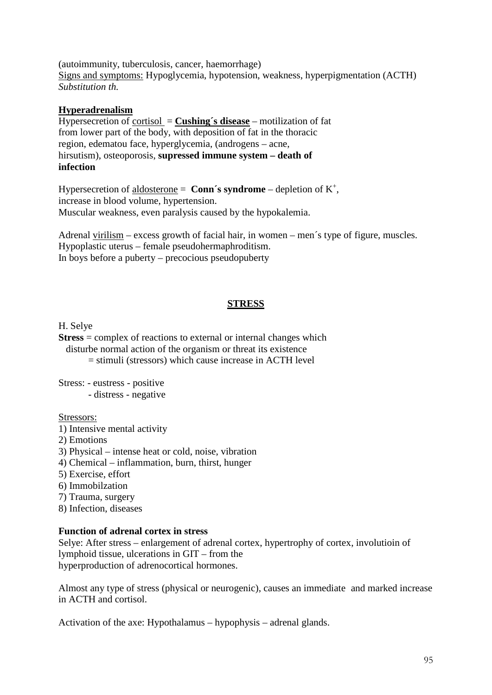(autoimmunity, tuberculosis, cancer, haemorrhage) Signs and symptoms: Hypoglycemia, hypotension, weakness, hyperpigmentation (ACTH) *Substitution th.*

### **Hyperadrenalism**

Hypersecretion of cortisol = **Cushing´s disease** – motilization of fat from lower part of the body, with deposition of fat in the thoracic region, edematou face, hyperglycemia, (androgens – acne, hirsutism), osteoporosis, **supressed immune system – death of infection**

Hypersecretion of  $\underline{\text{aldosterone}} = \text{Conn's syndrome} - \text{depletion of } K^+,$ increase in blood volume, hypertension. Muscular weakness, even paralysis caused by the hypokalemia.

Adrenal virilism – excess growth of facial hair, in women – men´s type of figure, muscles. Hypoplastic uterus – female pseudohermaphroditism. In boys before a puberty – precocious pseudopuberty

#### **STRESS**

H. Selye

**Stress** = complex of reactions to external or internal changes which disturbe normal action of the organism or threat its existence  $=$  stimuli (stressors) which cause increase in ACTH level

Stress: - eustress - positive - distress - negative

#### Stressors:

- 1) Intensive mental activity
- 2) Emotions
- 3) Physical intense heat or cold, noise, vibration
- 4) Chemical inflammation, burn, thirst, hunger
- 5) Exercise, effort
- 6) Immobilzation
- 7) Trauma, surgery
- 8) Infection, diseases

#### **Function of adrenal cortex in stress**

Selye: After stress – enlargement of adrenal cortex, hypertrophy of cortex, involutioin of lymphoid tissue, ulcerations in GIT – from the hyperproduction of adrenocortical hormones.

Almost any type of stress (physical or neurogenic), causes an immediate and marked increase in ACTH and cortisol.

Activation of the axe: Hypothalamus – hypophysis – adrenal glands.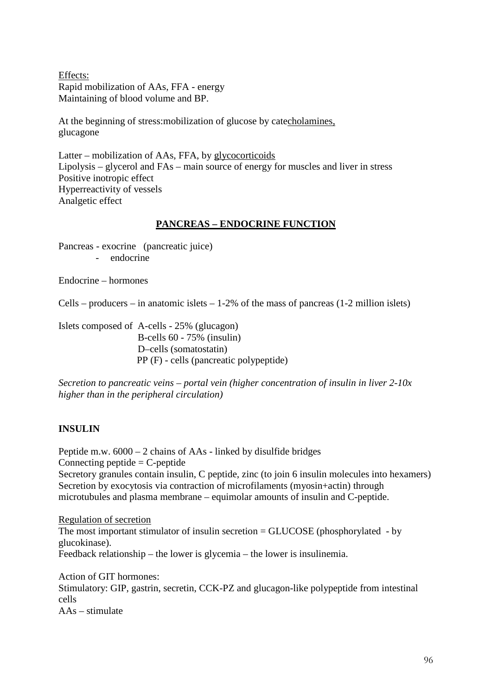Effects: Rapid mobilization of AAs, FFA - energy Maintaining of blood volume and BP.

At the beginning of stress:mobilization of glucose by catecholamines, glucagone

Latter – mobilization of AAs, FFA, by glycocorticoids Lipolysis – glycerol and FAs – main source of energy for muscles and liver in stress Positive inotropic effect Hyperreactivity of vessels Analgetic effect

# **PANCREAS – ENDOCRINE FUNCTION**

Pancreas - exocrine (pancreatic juice) - endocrine

Endocrine – hormones

Cells – producers – in anatomic islets –  $1-2\%$  of the mass of pancreas (1-2 million islets)

Islets composed of A-cells - 25% (glucagon) B-cells 60 - 75% (insulin) D–cells (somatostatin) PP (F) - cells (pancreatic polypeptide)

*Secretion to pancreatic veins – portal vein (higher concentration of insulin in liver 2-10x higher than in the peripheral circulation)*

# **INSULIN**

Peptide m.w. 6000 – 2 chains of AAs - linked by disulfide bridges Connecting peptide  $=$  C-peptide Secretory granules contain insulin, C peptide, zinc (to join 6 insulin molecules into hexamers) Secretion by exocytosis via contraction of microfilaments (myosin+actin) through microtubules and plasma membrane – equimolar amounts of insulin and C-peptide.

Regulation of secretion The most important stimulator of insulin secretion = GLUCOSE (phosphorylated - by glucokinase). Feedback relationship – the lower is glycemia – the lower is insulinemia.

Action of GIT hormones: Stimulatory: GIP, gastrin, secretin, CCK-PZ and glucagon-like polypeptide from intestinal cells  $A As =$ stimulate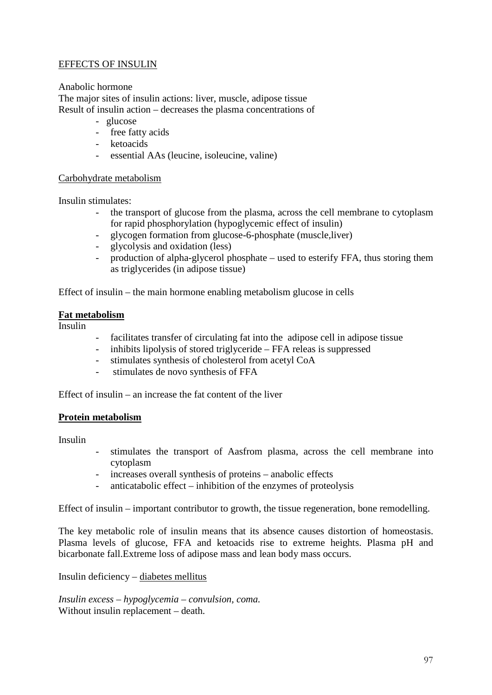# EFFECTS OF INSULIN

Anabolic hormone

The major sites of insulin actions: liver, muscle, adipose tissue Result of insulin action – decreases the plasma concentrations of

- glucose
- free fatty acids
- ketoacids
- essential AAs (leucine, isoleucine, valine)

#### Carbohydrate metabolism

Insulin stimulates:

- the transport of glucose from the plasma, across the cell membrane to cytoplasm for rapid phosphorylation (hypoglycemic effect of insulin)
- glycogen formation from glucose-6-phosphate (muscle, liver)
- glycolysis and oxidation (less)
- production of alpha-glycerol phosphate used to esterify FFA, thus storing them as triglycerides (in adipose tissue)

Effect of insulin – the main hormone enabling metabolism glucose in cells

#### **Fat metabolism**

Insulin

- facilitates transfer of circulating fat into the adipose cell in adipose tissue
- inhibits lipolysis of stored triglyceride FFA releas is suppressed
- stimulates synthesis of cholesterol from acetyl CoA
- stimulates de novo synthesis of FFA

Effect of insulin – an increase the fat content of the liver

#### **Protein metabolism**

Insulin

- stimulates the transport of Aasfrom plasma, across the cell membrane into cytoplasm
- increases overall synthesis of proteins anabolic effects
- anticatabolic effect inhibition of the enzymes of proteolysis

Effect of insulin – important contributor to growth, the tissue regeneration, bone remodelling.

The key metabolic role of insulin means that its absence causes distortion of homeostasis. Plasma levels of glucose, FFA and ketoacids rise to extreme heights. Plasma pH and bicarbonate fall.Extreme loss of adipose mass and lean body mass occurs.

#### Insulin deficiency – diabetes mellitus

*Insulin excess – hypoglycemia – convulsion, coma.*  Without insulin replacement – death.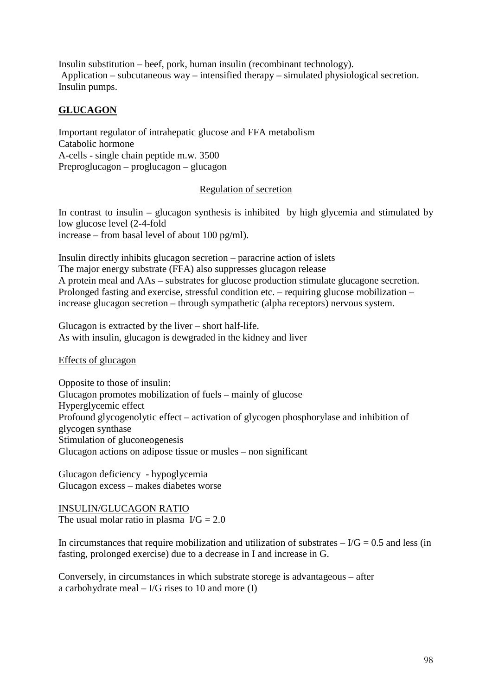Insulin substitution – beef, pork, human insulin (recombinant technology). Application – subcutaneous way – intensified therapy – simulated physiological secretion. Insulin pumps.

# **GLUCAGON**

Important regulator of intrahepatic glucose and FFA metabolism Catabolic hormone A-cells - single chain peptide m.w. 3500 Preproglucagon – proglucagon – glucagon

#### Regulation of secretion

In contrast to insulin – glucagon synthesis is inhibited by high glycemia and stimulated by low glucose level (2-4-fold increase – from basal level of about 100 pg/ml).

Insulin directly inhibits glucagon secretion – paracrine action of islets The major energy substrate (FFA) also suppresses glucagon release A protein meal and AAs – substrates for glucose production stimulate glucagone secretion. Prolonged fasting and exercise, stressful condition etc. – requiring glucose mobilization – increase glucagon secretion – through sympathetic (alpha receptors) nervous system.

Glucagon is extracted by the liver – short half-life. As with insulin, glucagon is dewgraded in the kidney and liver

Effects of glucagon

Opposite to those of insulin: Glucagon promotes mobilization of fuels – mainly of glucose Hyperglycemic effect Profound glycogenolytic effect – activation of glycogen phosphorylase and inhibition of glycogen synthase Stimulation of gluconeogenesis Glucagon actions on adipose tissue or musles – non significant

Glucagon deficiency - hypoglycemia Glucagon excess – makes diabetes worse

INSULIN/GLUCAGON RATIO The usual molar ratio in plasma  $\text{ } I/G = 2.0$ 

In circumstances that require mobilization and utilization of substrates  $-1/G = 0.5$  and less (in fasting, prolonged exercise) due to a decrease in I and increase in G.

Conversely, in circumstances in which substrate storege is advantageous – after a carbohydrate meal  $-$  I/G rises to 10 and more (I)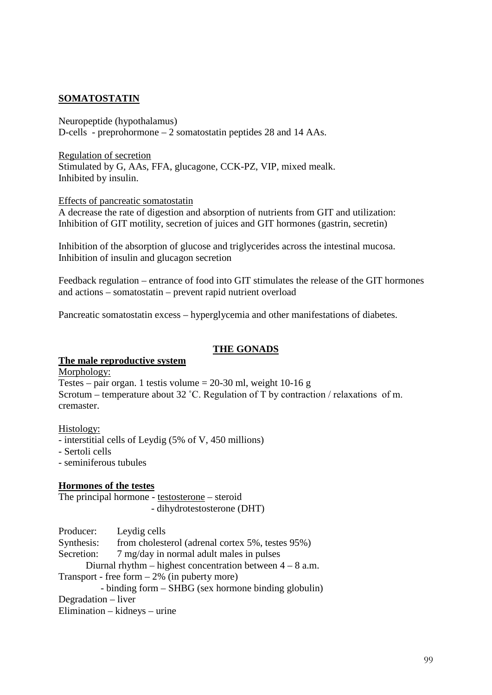### **SOMATOSTATIN**

Neuropeptide (hypothalamus) D-cells - preprohormone – 2 somatostatin peptides 28 and 14 AAs.

Regulation of secretion Stimulated by G, AAs, FFA, glucagone, CCK-PZ, VIP, mixed mealk. Inhibited by insulin.

Effects of pancreatic somatostatin

A decrease the rate of digestion and absorption of nutrients from GIT and utilization: Inhibition of GIT motility, secretion of juices and GIT hormones (gastrin, secretin)

Inhibition of the absorption of glucose and triglycerides across the intestinal mucosa. Inhibition of insulin and glucagon secretion

Feedback regulation – entrance of food into GIT stimulates the release of the GIT hormones and actions – somatostatin – prevent rapid nutrient overload

Pancreatic somatostatin excess – hyperglycemia and other manifestations of diabetes.

#### **THE GONADS**

#### **The male reproductive system**

Morphology:

Testes – pair organ. 1 testis volume =  $20-30$  ml, weight 10-16 g Scrotum – temperature about 32 ˚C. Regulation of T by contraction / relaxations of m. cremaster.

Histology:

- interstitial cells of Leydig (5% of V, 450 millions)
- Sertoli cells
- seminiferous tubules

#### **Hormones of the testes**

The principal hormone - testosterone – steroid - dihydrotestosterone (DHT)

Producer: Leydig cells

Synthesis: from cholesterol (adrenal cortex 5%, testes 95%)

Secretion: 7 mg/day in normal adult males in pulses

Diurnal rhythm – highest concentration between  $4 - 8$  a.m.

Transport - free form  $-2\%$  (in puberty more)

 - binding form – SHBG (sex hormone binding globulin) Degradation – liver Elimination – kidneys – urine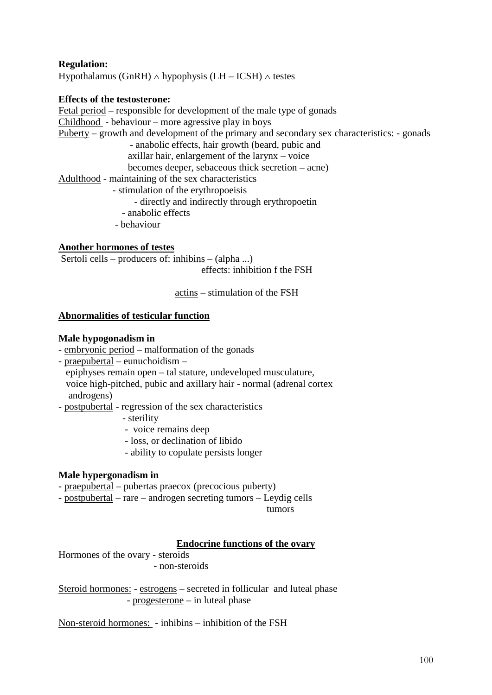# **Regulation:**

Hypothalamus (GnRH)  $\land$  hypophysis (LH – ICSH)  $\land$  testes

#### **Effects of the testosterone:**

Fetal period – responsible for development of the male type of gonads Childhood - behaviour – more agressive play in boys Puberty – growth and development of the primary and secondary sex characteristics: - gonads - anabolic effects, hair growth (beard, pubic and axillar hair, enlargement of the larynx – voice becomes deeper, sebaceous thick secretion – acne) Adulthood - maintaining of the sex characteristics - stimulation of the erythropoeisis - directly and indirectly through erythropoetin - anabolic effects

- behaviour

#### **Another hormones of testes**

Sertoli cells – producers of: inhibins – (alpha ...) effects: inhibition f the FSH

actins – stimulation of the FSH

#### **Abnormalities of testicular function**

#### **Male hypogonadism in**

- embryonic period malformation of the gonads
- praepubertal eunuchoidism –
- epiphyses remain open tal stature, undeveloped musculature, voice high-pitched, pubic and axillary hair - normal (adrenal cortex androgens)
- postpubertal regression of the sex characteristics
	- sterility
	- voice remains deep
	- loss, or declination of libido
	- ability to copulate persists longer

#### **Male hypergonadism in**

- praepubertal pubertas praecox (precocious puberty)
- postpubertal rare androgen secreting tumors Leydig cells

tumors

#### **Endocrine functions of the ovary**

Hormones of the ovary - steroids - non-steroids

Steroid hormones: - estrogens – secreted in follicular and luteal phase - progesterone – in luteal phase

Non-steroid hormones: - inhibins – inhibition of the FSH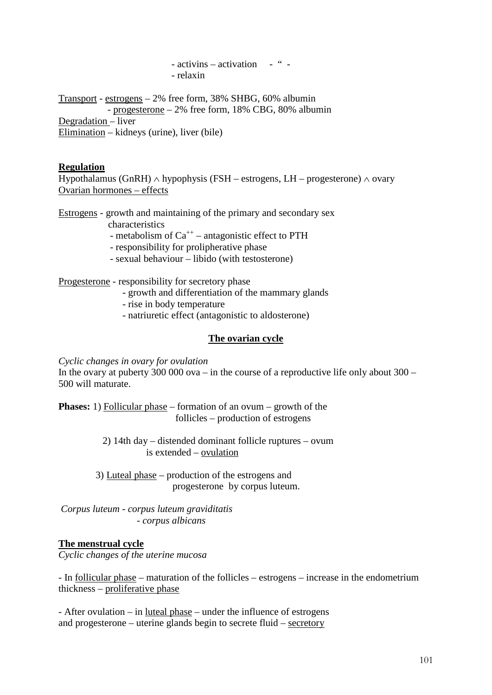- activins – activation - " -- relaxin

Transport - estrogens – 2% free form, 38% SHBG, 60% albumin - progesterone – 2% free form, 18% CBG, 80% albumin Degradation – liver Elimination – kidneys (urine), liver (bile)

#### **Regulation**

Hypothalamus (GnRH)  $\land$  hypophysis (FSH – estrogens, LH – progesterone)  $\land$  ovary Ovarian hormones – effects

Estrogens - growth and maintaining of the primary and secondary sex

characteristics

- metabolism of  $Ca^{++}$  – antagonistic effect to PTH

- responsibility for prolipherative phase
- sexual behaviour libido (with testosterone)

Progesterone - responsibility for secretory phase

- growth and differentiation of the mammary glands
- rise in body temperature
- natriuretic effect (antagonistic to aldosterone)

# **The ovarian cycle**

*Cyclic changes in ovary for ovulation*

In the ovary at puberty 300 000 ova – in the course of a reproductive life only about  $300 -$ 500 will maturate.

**Phases:** 1) Follicular phase – formation of an ovum – growth of the follicles – production of estrogens

> 2) 14th day – distended dominant follicle ruptures – ovum is extended – ovulation

 3) Luteal phase – production of the estrogens and progesterone by corpus luteum.

*Corpus luteum - corpus luteum graviditatis - corpus albicans*

# **The menstrual cycle**

*Cyclic changes of the uterine mucosa*

- In follicular phase – maturation of the follicles – estrogens – increase in the endometrium thickness – proliferative phase

- After ovulation – in <u>luteal phase</u> – under the influence of estrogens and progesterone – uterine glands begin to secrete fluid – secretory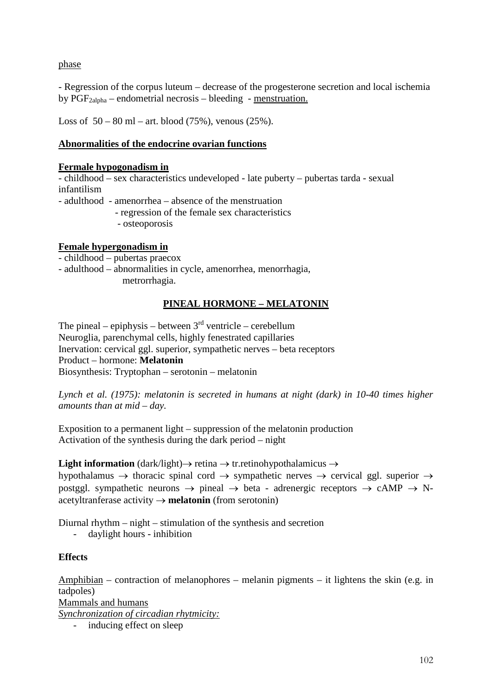phase

- Regression of the corpus luteum – decrease of the progesterone secretion and local ischemia by  $PGF_{2alpha}$  – endometrial necrosis – bleeding - menstruation.

Loss of  $50 - 80$  ml – art. blood (75%), venous (25%).

### **Abnormalities of the endocrine ovarian functions**

#### **Fermale hypogonadism in**

- childhood – sex characteristics undeveloped - late puberty – pubertas tarda - sexual infantilism

- adulthood - amenorrhea – absence of the menstruation - regression of the female sex characteristics

- osteoporosis

#### **Female hypergonadism in**

- childhood – pubertas praecox

- adulthood – abnormalities in cycle, amenorrhea, menorrhagia,

metrorrhagia.

# **PINEAL HORMONE – MELATONIN**

The pineal – epiphysis – between  $3<sup>rd</sup>$  ventricle – cerebellum Neuroglia, parenchymal cells, highly fenestrated capillaries Inervation: cervical ggl. superior, sympathetic nerves – beta receptors Product – hormone: **Melatonin** Biosynthesis: Tryptophan – serotonin – melatonin

*Lynch et al. (1975): melatonin is secreted in humans at night (dark) in 10-40 times higher amounts than at mid – day.*

Exposition to a permanent light – suppression of the melatonin production Activation of the synthesis during the dark period – night

**Light information** (dark/light)→ retina → tr.retinohypothalamicus →

hypothalamus  $\rightarrow$  thoracic spinal cord  $\rightarrow$  sympathetic nerves  $\rightarrow$  cervical ggl. superior  $\rightarrow$ postggl. sympathetic neurons  $\rightarrow$  pineal  $\rightarrow$  beta - adrenergic receptors  $\rightarrow$  cAMP  $\rightarrow$  Nacetyltranferase activity → **melatonin** (from serotonin)

Diurnal rhythm – night – stimulation of the synthesis and secretion

- daylight hours - inhibition

# **Effects**

Amphibian – contraction of melanophores – melanin pigments – it lightens the skin (e.g. in tadpoles) Mammals and humans *Synchronization of circadian rhytmicity:*

- inducing effect on sleep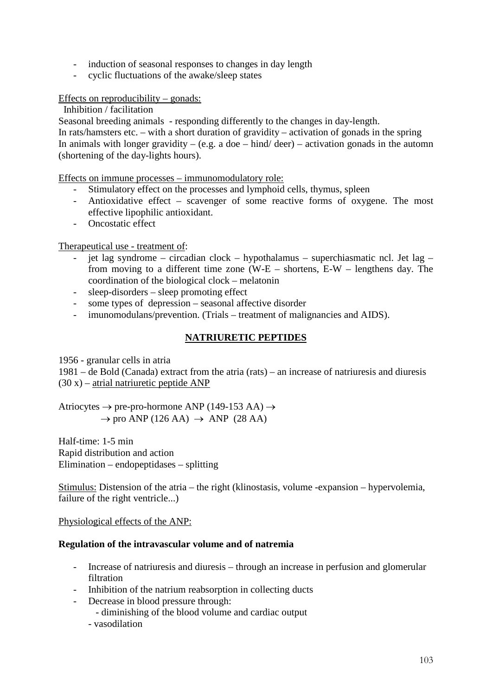- induction of seasonal responses to changes in day length
- cyclic fluctuations of the awake/sleep states

#### Effects on reproducibility – gonads:

Inhibition / facilitation

Seasonal breeding animals - responding differently to the changes in day-length.

In rats/hamsters etc. – with a short duration of gravidity – activation of gonads in the spring In animals with longer gravidity – (e.g. a doe – hind/ deer) – activation gonads in the automn (shortening of the day-lights hours).

Effects on immune processes – immunomodulatory role:

- Stimulatory effect on the processes and lymphoid cells, thymus, spleen
- Antioxidative effect scavenger of some reactive forms of oxygene. The most effective lipophilic antioxidant.
- Oncostatic effect

# Therapeutical use - treatment of:

- jet lag syndrome circadian clock hypothalamus superchiasmatic ncl. Jet lag from moving to a different time zone (W-E – shortens, E-W – lengthens day. The coordination of the biological clock – melatonin
- sleep-disorders sleep promoting effect
- some types of depression seasonal affective disorder
- imunomodulans/prevention. (Trials treatment of malignancies and AIDS).

# **NATRIURETIC PEPTIDES**

1956 - granular cells in atria

1981 – de Bold (Canada) extract from the atria (rats) – an increase of natriuresis and diuresis  $(30 x)$  – atrial natriuretic peptide ANP

Atriocytes  $\rightarrow$  pre-pro-hormone ANP (149-153 AA)  $\rightarrow$  $\rightarrow$  pro ANP (126 AA)  $\rightarrow$  ANP (28 AA)

Half-time: 1-5 min Rapid distribution and action Elimination – endopeptidases – splitting

Stimulus: Distension of the atria – the right (klinostasis, volume -expansion – hypervolemia, failure of the right ventricle...)

Physiological effects of the ANP:

# **Regulation of the intravascular volume and of natremia**

- Increase of natriuresis and diuresis through an increase in perfusion and glomerular filtration
- Inhibition of the natrium reabsorption in collecting ducts
- Decrease in blood pressure through:
	- diminishing of the blood volume and cardiac output
	- vasodilation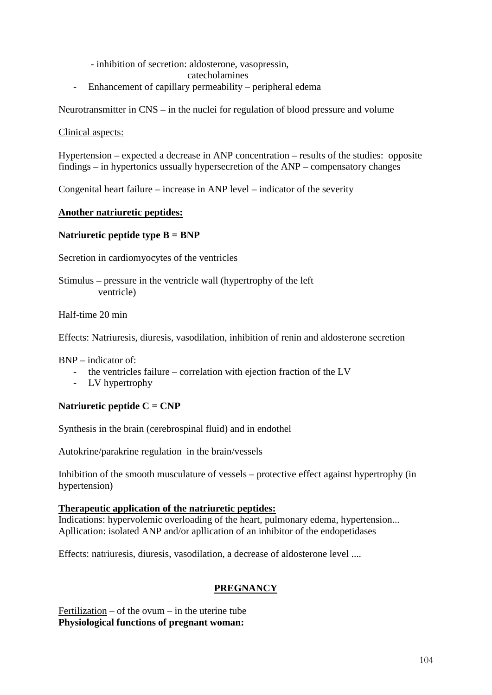- inhibition of secretion: aldosterone, vasopressin,
	- catecholamines
- Enhancement of capillary permeability peripheral edema

Neurotransmitter in CNS – in the nuclei for regulation of blood pressure and volume

Clinical aspects:

Hypertension – expected a decrease in ANP concentration – results of the studies: opposite findings – in hypertonics ussually hypersecretion of the ANP – compensatory changes

Congenital heart failure – increase in ANP level – indicator of the severity

# **Another natriuretic peptides:**

# **Natriuretic peptide type B = BNP**

Secretion in cardiomyocytes of the ventricles

Stimulus – pressure in the ventricle wall (hypertrophy of the left ventricle)

Half-time 20 min

Effects: Natriuresis, diuresis, vasodilation, inhibition of renin and aldosterone secretion

 $BNP =$  indicator of  $\cdot$ 

- the ventricles failure correlation with ejection fraction of the LV
- LV hypertrophy

# **Natriuretic peptide C = CNP**

Synthesis in the brain (cerebrospinal fluid) and in endothel

Autokrine/parakrine regulation in the brain/vessels

Inhibition of the smooth musculature of vessels – protective effect against hypertrophy (in hypertension)

# **Therapeutic application of the natriuretic peptides:**

Indications: hypervolemic overloading of the heart, pulmonary edema, hypertension... Apllication: isolated ANP and/or apllication of an inhibitor of the endopetidases

Effects: natriuresis, diuresis, vasodilation, a decrease of aldosterone level ....

# **PREGNANCY**

Fertilization – of the ovum – in the uterine tube **Physiological functions of pregnant woman:**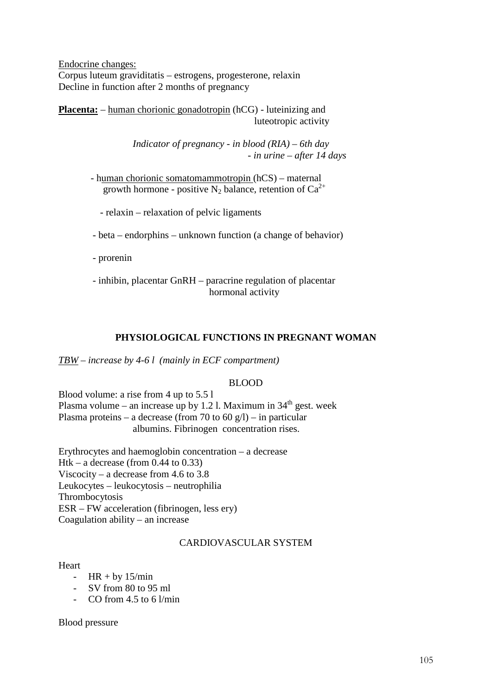Endocrine changes: Corpus luteum graviditatis – estrogens, progesterone, relaxin Decline in function after 2 months of pregnancy

**Placenta:** – human chorionic gonadotropin (hCG) - luteinizing and luteotropic activity

> *Indicator of pregnancy - in blood (RIA) – 6th day - in urine – after 14 days*

 - human chorionic somatomammotropin (hCS) – maternal growth hormone - positive N<sub>2</sub> balance, retention of  $Ca^{2+}$ 

- relaxin – relaxation of pelvic ligaments

- beta – endorphins – unknown function (a change of behavior)

- prorenin

 - inhibin, placentar GnRH – paracrine regulation of placentar hormonal activity

# **PHYSIOLOGICAL FUNCTIONS IN PREGNANT WOMAN**

*TBW – increase by 4-6 l (mainly in ECF compartment)*

#### BLOOD

Blood volume: a rise from 4 up to 5.5 l Plasma volume – an increase up by 1.2 l. Maximum in  $34<sup>th</sup>$  gest. week Plasma proteins – a decrease (from 70 to 60 g/l) – in particular albumins. Fibrinogen concentration rises.

Erythrocytes and haemoglobin concentration – a decrease Htk – a decrease (from  $0.44$  to  $0.33$ ) Viscocity – a decrease from 4.6 to 3.8 Leukocytes – leukocytosis – neutrophilia Thrombocytosis ESR – FW acceleration (fibrinogen, less ery) Coagulation ability – an increase

#### CARDIOVASCULAR SYSTEM

#### Heart

- $HR + by 15/min$
- SV from 80 to 95 ml
- CO from  $4.5$  to 6  $1/\text{min}$

Blood pressure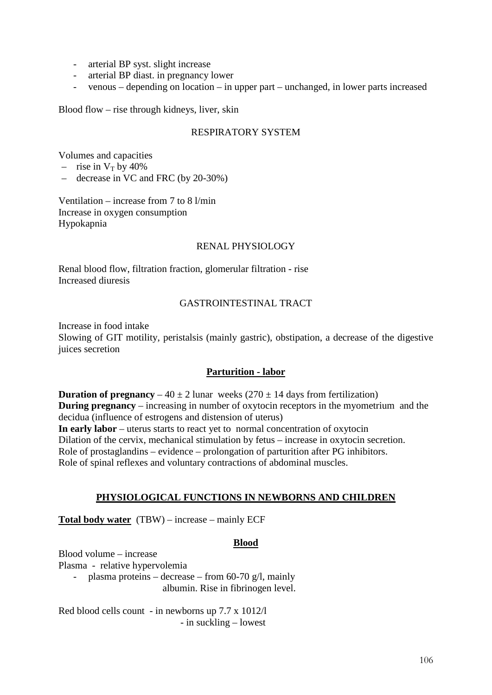- arterial BP syst. slight increase
- arterial BP diast. in pregnancy lower
- venous depending on location in upper part unchanged, in lower parts increased

Blood flow – rise through kidneys, liver, skin

# RESPIRATORY SYSTEM

Volumes and capacities

- rise in  $V_T$  by 40%
- decrease in VC and FRC (by 20-30%)

Ventilation – increase from 7 to 8 l/min Increase in oxygen consumption Hypokapnia

# RENAL PHYSIOLOGY

Renal blood flow, filtration fraction, glomerular filtration - rise Increased diuresis

# GASTROINTESTINAL TRACT

Increase in food intake

Slowing of GIT motility, peristalsis (mainly gastric), obstipation, a decrease of the digestive juices secretion

# **Parturition - labor**

**Duration of pregnancy** – 40  $\pm$  2 lunar weeks (270  $\pm$  14 days from fertilization) **During pregnancy** – increasing in number of oxytocin receptors in the myometrium and the decidua (influence of estrogens and distension of uterus) **In early labor** – uterus starts to react yet to normal concentration of oxytocin Dilation of the cervix, mechanical stimulation by fetus – increase in oxytocin secretion. Role of prostaglandins – evidence – prolongation of parturition after PG inhibitors. Role of spinal reflexes and voluntary contractions of abdominal muscles.

#### **PHYSIOLOGICAL FUNCTIONS IN NEWBORNS AND CHILDREN**

**Total body water** (TBW) – increase – mainly ECF

#### **Blood**

Blood volume – increase Plasma - relative hypervolemia - plasma proteins – decrease – from 60-70 g/l, mainly albumin. Rise in fibrinogen level.

Red blood cells count - in newborns up 7.7 x 1012/l - in suckling – lowest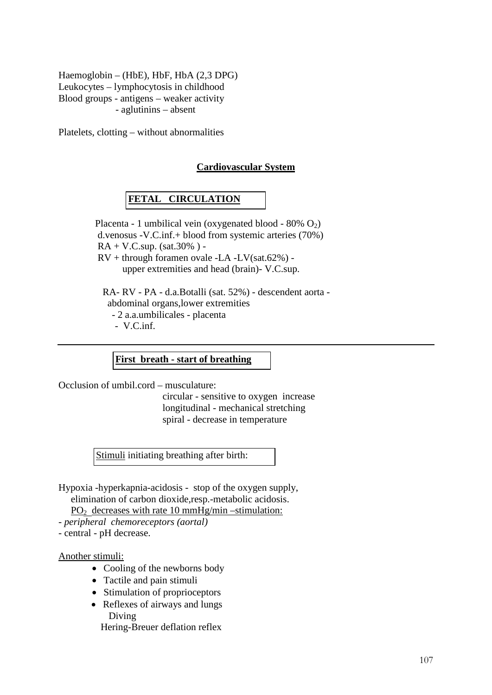Haemoglobin – (HbE), HbF, HbA (2,3 DPG) Leukocytes – lymphocytosis in childhood Blood groups - antigens – weaker activity - aglutinins – absent

Platelets, clotting – without abnormalities

# **Cardiovascular System**

# **FETAL CIRCULATION**

Placenta - 1 umbilical vein (oxygenated blood -  $80\%$  O<sub>2</sub>) d.venosus -V.C.inf.+ blood from systemic arteries (70%)  $RA + V.C.\sup.$  (sat.30%) - $RV +$  through foramen ovale -LA -LV(sat.62%) upper extremities and head (brain)- V.C.sup. RA- RV - PA - d.a.Botalli (sat. 52%) - descendent aorta abdominal organs,lower extremities

- 2 a.a.umbilicales - placenta

- V.C.inf.

**First breath - start of breathing**

Occlusion of umbil.cord – musculature:

 circular - sensitive to oxygen increase longitudinal - mechanical stretching spiral - decrease in temperature

Stimuli initiating breathing after birth:

Hypoxia -hyperkapnia-acidosis - stop of the oxygen supply, elimination of carbon dioxide,resp.-metabolic acidosis.  $PO<sub>2</sub>$  decreases with rate 10 mmHg/min –stimulation:

*- peripheral chemoreceptors (aortal)* 

- central - pH decrease.

Another stimuli:

- Cooling of the newborns body
- Tactile and pain stimuli
- Stimulation of proprioceptors
- Reflexes of airways and lungs Diving

Hering-Breuer deflation reflex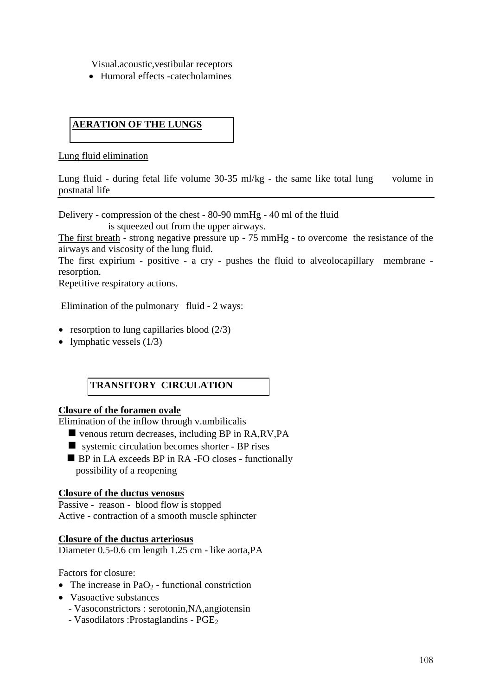Visual.acoustic,vestibular receptors

• Humoral effects -catecholamines

# **AERATION OF THE LUNGS**

Lung fluid elimination

Lung fluid - during fetal life volume 30-35 ml/kg - the same like total lung volume in postnatal life

Delivery - compression of the chest - 80-90 mmHg - 40 ml of the fluid

is squeezed out from the upper airways.

The first breath - strong negative pressure up - 75 mmHg - to overcome the resistance of the airways and viscosity of the lung fluid.

The first expirium - positive - a cry - pushes the fluid to alveolocapillary membrane resorption.

Repetitive respiratory actions.

Elimination of the pulmonary fluid - 2 ways:

- resorption to lung capillaries blood  $(2/3)$
- lymphatic vessels  $(1/3)$

# **TRANSITORY CIRCULATION**

#### **Closure of the foramen ovale**

Elimination of the inflow through v.umbilicalis

- venous return decreases, including BP in RA,RV,PA
- systemic circulation becomes shorter BP rises
- **BP** in LA exceeds BP in RA -FO closes functionally possibility of a reopening

#### **Closure of the ductus venosus**

Passive - reason - blood flow is stopped Active - contraction of a smooth muscle sphincter

#### **Closure of the ductus arteriosus**

Diameter 0.5-0.6 cm length 1.25 cm - like aorta,PA

Factors for closure:

- The increase in PaO<sub>2</sub> functional constriction
- Vasoactive substances
	- Vasoconstrictors : serotonin,NA,angiotensin
	- Vasodilators : Prostaglandins PGE<sub>2</sub>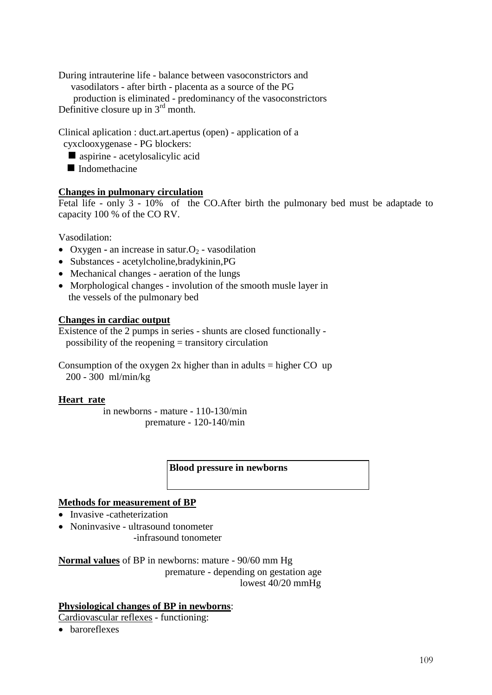During intrauterine life - balance between vasoconstrictors and vasodilators - after birth - placenta as a source of the PG production is eliminated - predominancy of the vasoconstrictors Definitive closure up in  $3<sup>rd</sup>$  month.

Clinical aplication : duct.art.apertus (open) - application of a cyxclooxygenase - PG blockers:

- aspirine acetylosalicylic acid
- $\blacksquare$  Indomethacine

#### **Changes in pulmonary circulation**

Fetal life - only 3 - 10% of the CO.After birth the pulmonary bed must be adaptade to capacity 100 % of the CO RV.

Vasodilation:

- Oxygen **-** an increase in satur. $O_2$  vasodilation
- Substances acetylcholine,bradykinin,PG
- Mechanical changes aeration of the lungs
- Morphological changes involution of the smooth musle layer in the vessels of the pulmonary bed

#### **Changes in cardiac output**

Existence of the 2 pumps in series - shunts are closed functionally possibility of the reopening = transitory circulation

Consumption of the oxygen  $2x$  higher than in adults = higher CO up 200 - 300 ml/min/kg

#### **Heart rate**

 in newborns - mature - 110-130/min premature - 120-140/min

#### **Blood pressure in newborns**

#### **Methods for measurement of BP**

- Invasive -catheterization
- Noninvasive ultrasound tonometer -infrasound tonometer

**Normal values** of BP in newborns: mature - 90/60 mm Hg premature - depending on gestation age lowest 40/20 mmHg

#### **Physiological changes of BP in newborns**:

Cardiovascular reflexes - functioning:

• baroreflexes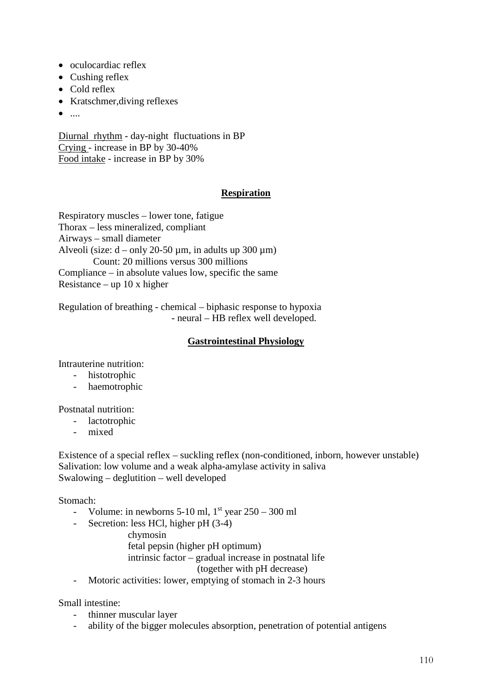- oculocardiac reflex
- Cushing reflex
- Cold reflex
- Kratschmer,diving reflexes
- $\bullet$  ....

Diurnal rhythm - day-night fluctuations in BP Crying - increase in BP by 30-40% Food intake - increase in BP by 30%

# **Respiration**

Respiratory muscles – lower tone, fatigue Thorax – less mineralized, compliant Airways – small diameter Alveoli (size:  $d - only 20-50 \mu m$ , in adults up 300  $\mu$ m) Count: 20 millions versus 300 millions Compliance – in absolute values low, specific the same Resistance – up 10 x higher

Regulation of breathing - chemical – biphasic response to hypoxia - neural – HB reflex well developed.

#### **Gastrointestinal Physiology**

Intrauterine nutrition:

- histotrophic
- haemotrophic

#### Postnatal nutrition:

- lactotrophic
- mixed

Existence of a special reflex – suckling reflex (non-conditioned, inborn, however unstable) Salivation: low volume and a weak alpha-amylase activity in saliva Swalowing – deglutition – well developed

Stomach:

- Volume: in newborns  $5-10$  ml,  $1<sup>st</sup>$  year  $250-300$  ml
- Secretion: less HCl, higher pH (3-4)

chymosin

 fetal pepsin (higher pH optimum) intrinsic factor – gradual increase in postnatal life

(together with pH decrease)

- Motoric activities: lower, emptying of stomach in 2-3 hours

Small intestine:

- thinner muscular layer
- ability of the bigger molecules absorption, penetration of potential antigens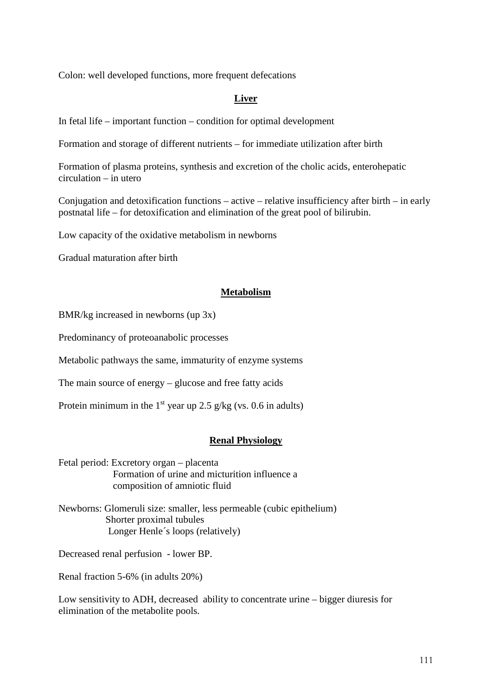Colon: well developed functions, more frequent defecations

### **Liver**

In fetal life – important function – condition for optimal development

Formation and storage of different nutrients – for immediate utilization after birth

Formation of plasma proteins, synthesis and excretion of the cholic acids, enterohepatic circulation – in utero

Conjugation and detoxification functions – active – relative insufficiency after birth – in early postnatal life – for detoxification and elimination of the great pool of bilirubin.

Low capacity of the oxidative metabolism in newborns

Gradual maturation after birth

#### **Metabolism**

BMR/kg increased in newborns (up 3x)

Predominancy of proteoanabolic processes

Metabolic pathways the same, immaturity of enzyme systems

The main source of energy – glucose and free fatty acids

Protein minimum in the  $1<sup>st</sup>$  year up 2.5 g/kg (vs. 0.6 in adults)

#### **Renal Physiology**

Fetal period: Excretory organ – placenta Formation of urine and micturition influence a composition of amniotic fluid

Newborns: Glomeruli size: smaller, less permeable (cubic epithelium) Shorter proximal tubules Longer Henle´s loops (relatively)

Decreased renal perfusion - lower BP.

Renal fraction 5-6% (in adults 20%)

Low sensitivity to ADH, decreased ability to concentrate urine – bigger diuresis for elimination of the metabolite pools.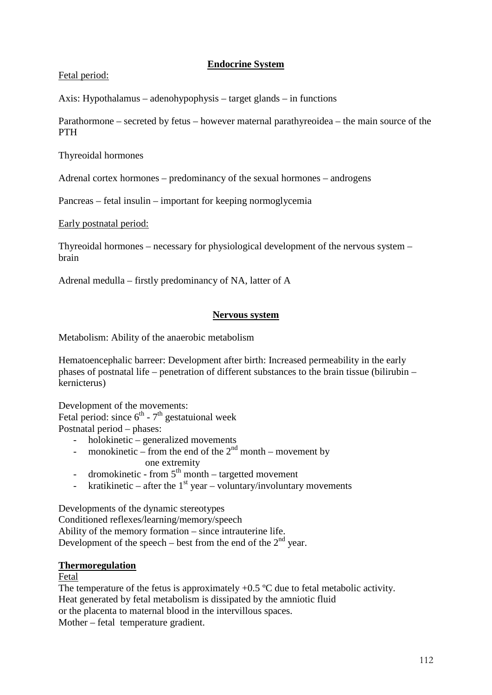# **Endocrine System**

### Fetal period:

Axis: Hypothalamus – adenohypophysis – target glands – in functions

Parathormone – secreted by fetus – however maternal parathyreoidea – the main source of the PTH

Thyreoidal hormones

Adrenal cortex hormones – predominancy of the sexual hormones – androgens

Pancreas – fetal insulin – important for keeping normoglycemia

Early postnatal period:

Thyreoidal hormones – necessary for physiological development of the nervous system – brain

Adrenal medulla – firstly predominancy of NA, latter of A

### **Nervous system**

Metabolism: Ability of the anaerobic metabolism

Hematoencephalic barreer: Development after birth: Increased permeability in the early phases of postnatal life – penetration of different substances to the brain tissue (bilirubin – kernicterus)

Development of the movements: Fetal period: since  $6<sup>th</sup>$  -  $7<sup>th</sup>$  gestatuional week

Postnatal period – phases:

- holokinetic – generalized movements

- monokinetic from the end of the  $2<sup>nd</sup>$  month movement by one extremity
	-
- dromokinetic from  $5<sup>th</sup>$  month targetted movement
- kratikinetic after the  $1<sup>st</sup>$  year voluntary/involuntary movements

Developments of the dynamic stereotypes Conditioned reflexes/learning/memory/speech Ability of the memory formation – since intrauterine life. Development of the speech – best from the end of the  $2<sup>nd</sup>$  year.

### **Thermoregulation**

#### Fetal

The temperature of the fetus is approximately  $+0.5$  °C due to fetal metabolic activity. Heat generated by fetal metabolism is dissipated by the amniotic fluid or the placenta to maternal blood in the intervillous spaces. Mother – fetal temperature gradient.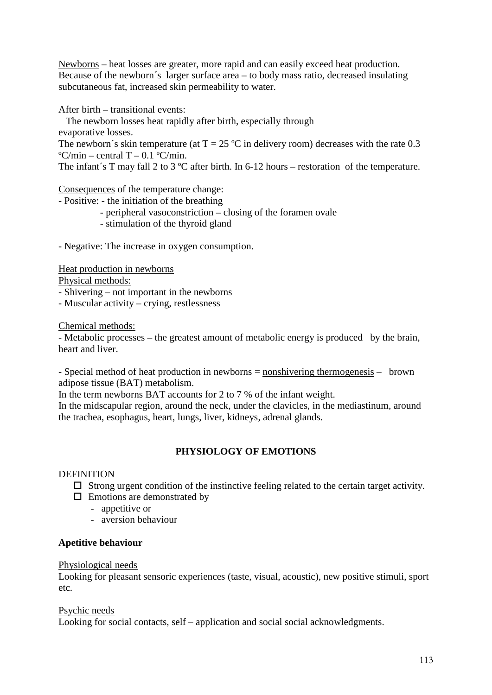Newborns – heat losses are greater, more rapid and can easily exceed heat production. Because of the newborn´s larger surface area – to body mass ratio, decreased insulating subcutaneous fat, increased skin permeability to water.

After birth – transitional events:

The newborn losses heat rapidly after birth, especially through

evaporative losses.

The newborn's skin temperature (at  $T = 25 \degree C$  in delivery room) decreases with the rate 0.3  $\mathrm{°C/min}$  – central T – 0.1  $\mathrm{°C/min}$ .

The infant's T may fall 2 to 3 °C after birth. In 6-12 hours – restoration of the temperature.

Consequences of the temperature change:

- Positive: the initiation of the breathing
	- peripheral vasoconstriction closing of the foramen ovale
	- stimulation of the thyroid gland

- Negative: The increase in oxygen consumption.

Heat production in newborns

Physical methods:

- Shivering not important in the newborns
- Muscular activity crying, restlessness

Chemical methods:

- Metabolic processes – the greatest amount of metabolic energy is produced by the brain, heart and liver.

- Special method of heat production in newborns = nonshivering thermogenesis – brown adipose tissue (BAT) metabolism.

In the term newborns BAT accounts for 2 to 7 % of the infant weight.

In the midscapular region, around the neck, under the clavicles, in the mediastinum, around the trachea, esophagus, heart, lungs, liver, kidneys, adrenal glands.

### **PHYSIOLOGY OF EMOTIONS**

#### DEFINITION

- $\Box$  Strong urgent condition of the instinctive feeling related to the certain target activity.
- $\Box$  Emotions are demonstrated by
	- appetitive or
	- aversion behaviour

#### **Apetitive behaviour**

#### Physiological needs

Looking for pleasant sensoric experiences (taste, visual, acoustic), new positive stimuli, sport etc.

#### Psychic needs

Looking for social contacts, self – application and social social acknowledgments.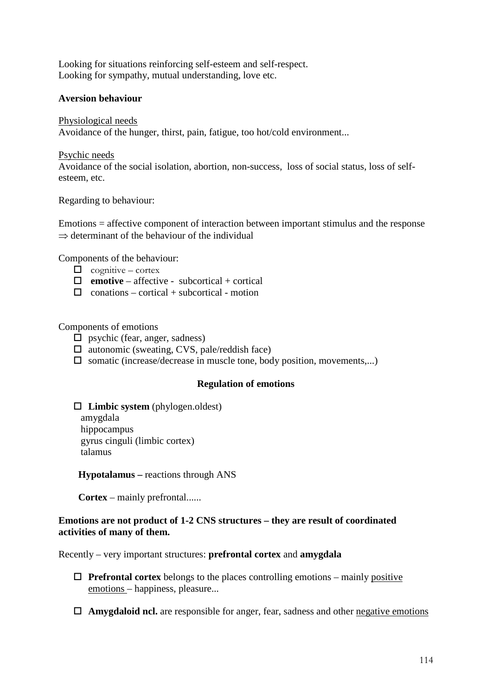Looking for situations reinforcing self-esteem and self-respect. Looking for sympathy, mutual understanding, love etc.

#### **Aversion behaviour**

Physiological needs Avoidance of the hunger, thirst, pain, fatigue, too hot/cold environment...

Psychic needs Avoidance of the social isolation, abortion, non-success, loss of social status, loss of selfesteem, etc.

Regarding to behaviour:

Emotions = affective component of interaction between important stimulus and the response  $\Rightarrow$  determinant of the behaviour of the individual

Components of the behaviour:

- $\Box$  cognitive cortex
- $\Box$  **emotive** affective subcortical + cortical
- $\Box$  conations cortical + subcortical motion

Components of emotions

- $\square$  psychic (fear, anger, sadness)
- $\Box$  autonomic (sweating, CVS, pale/reddish face)
- $\square$  somatic (increase/decrease in muscle tone, body position, movements,...)

#### **Regulation of emotions**

**Limbic system** (phylogen.oldest)

 amygdala hippocampus gyrus cinguli (limbic cortex) talamus

 **Hypotalamus –** reactions through ANS

**Cortex** – mainly prefrontal......

### **Emotions are not product of 1-2 CNS structures – they are result of coordinated activities of many of them.**

Recently – very important structures: **prefrontal cortex** and **amygdala**

- $\Box$  **Prefrontal cortex** belongs to the places controlling emotions mainly positive emotions – happiness, pleasure...
- **Amygdaloid ncl.** are responsible for anger, fear, sadness and other negative emotions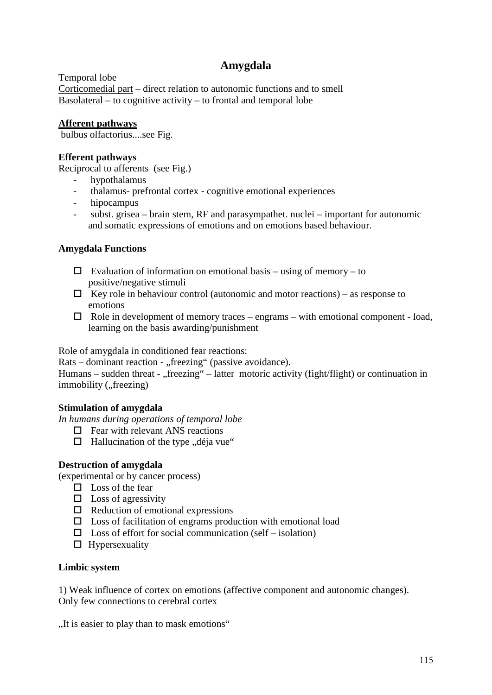# **Amygdala**

Temporal lobe Corticomedial part – direct relation to autonomic functions and to smell Basolateral – to cognitive activity – to frontal and temporal lobe

### **Afferent pathways**

bulbus olfactorius....see Fig.

# **Efferent pathways**

Reciprocal to afferents (see Fig.)

- hypothalamus
- thalamus- prefrontal cortex cognitive emotional experiences
- hipocampus
- subst. grisea brain stem, RF and parasympathet. nuclei important for autonomic and somatic expressions of emotions and on emotions based behaviour.

### **Amygdala Functions**

- $\Box$  Evaluation of information on emotional basis using of memory to positive/negative stimuli
- $\Box$  Key role in behaviour control (autonomic and motor reactions) as response to emotions
- $\Box$  Role in development of memory traces engrams with emotional component load, learning on the basis awarding/punishment

Role of amygdala in conditioned fear reactions:

Rats – dominant reaction - "freezing" (passive avoidance).

Humans – sudden threat - "freezing" – latter motoric activity (fight/flight) or continuation in immobility ("freezing)

### **Stimulation of amygdala**

*In humans during operations of temporal lobe*

- $\Box$  Fear with relevant ANS reactions
- $\Box$  Hallucination of the type "déja vue"

### **Destruction of amygdala**

(experimental or by cancer process)

- $\square$  Loss of the fear
- $\square$  Loss of agressivity
- $\Box$  Reduction of emotional expressions
- $\square$  Loss of facilitation of engrams production with emotional load
- $\square$  Loss of effort for social communication (self isolation)
- $\Box$  Hypersexuality

### **Limbic system**

1) Weak influence of cortex on emotions (affective component and autonomic changes). Only few connections to cerebral cortex

"It is easier to play than to mask emotions"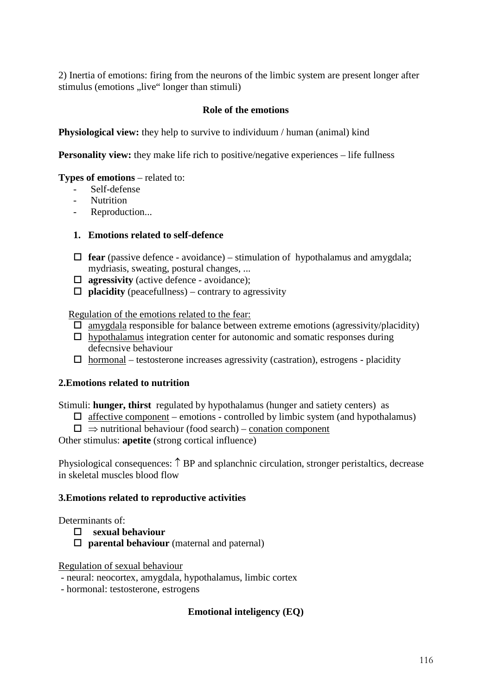2) Inertia of emotions: firing from the neurons of the limbic system are present longer after stimulus (emotions "live" longer than stimuli)

### **Role of the emotions**

**Physiological view:** they help to survive to individuum / human (animal) kind

**Personality view:** they make life rich to positive/negative experiences – life fullness

#### **Types of emotions** – related to:

- Self-defense
- **Nutrition**
- Reproduction...

#### **1. Emotions related to self-defence**

- $\Box$  **fear** (passive defence avoidance) stimulation of hypothalamus and amygdala; mydriasis, sweating, postural changes, ...
- **agressivity** (active defence avoidance);
- $\Box$  **placidity** (peacefullness) contrary to agressivity

Regulation of the emotions related to the fear:

- $\square$  amygdala responsible for balance between extreme emotions (agressivity/placidity)
- $\Box$  hypothalamus integration center for autonomic and somatic responses during defecnsive behaviour
- $\Box$  hormonal testosterone increases agressivity (castration), estrogens placidity

### **2.Emotions related to nutrition**

Stimuli: **hunger, thirst** regulated by hypothalamus (hunger and satiety centers) as

- $\Box$  affective component emotions controlled by limbic system (and hypothalamus)
- $\Box \Rightarrow$  nutritional behaviour (food search) conation component

Other stimulus: **apetite** (strong cortical influence)

Physiological consequences: ↑ BP and splanchnic circulation, stronger peristaltics, decrease in skeletal muscles blood flow

#### **3.Emotions related to reproductive activities**

### Determinants of

- **sexual behaviour**
	- **parental behaviour** (maternal and paternal)

Regulation of sexual behaviour

- neural: neocortex, amygdala, hypothalamus, limbic cortex
- hormonal: testosterone, estrogens

### **Emotional inteligency (EQ)**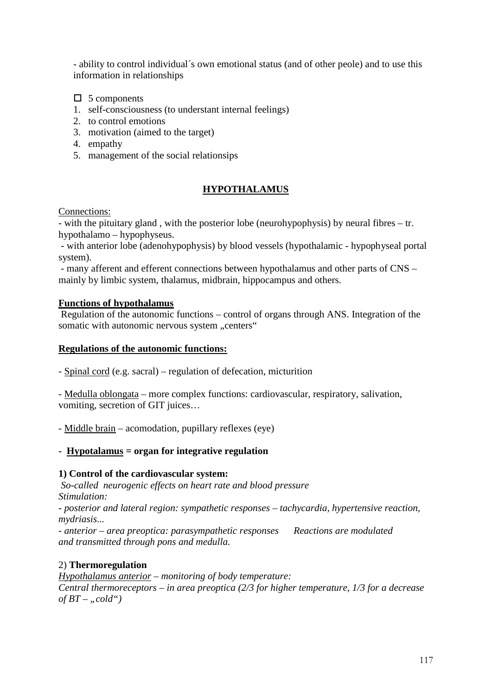- ability to control individual´s own emotional status (and of other peole) and to use this information in relationships

 $\Box$  5 components

- 1. self-consciousness (to understant internal feelings)
- 2. to control emotions
- 3. motivation (aimed to the target)
- 4. empathy
- 5. management of the social relationsips

# **HYPOTHALAMUS**

Connections:

- with the pituitary gland , with the posterior lobe (neurohypophysis) by neural fibres – tr. hypothalamo – hypophyseus.

- with anterior lobe (adenohypophysis) by blood vessels (hypothalamic - hypophyseal portal system).

- many afferent and efferent connections between hypothalamus and other parts of CNS – mainly by limbic system, thalamus, midbrain, hippocampus and others.

### **Functions of hypothalamus**

Regulation of the autonomic functions – control of organs through ANS. Integration of the somatic with autonomic nervous system "centers"

### **Regulations of the autonomic functions:**

- Spinal cord (e.g. sacral) – regulation of defecation, micturition

- Medulla oblongata – more complex functions: cardiovascular, respiratory, salivation, vomiting, secretion of GIT juices…

- Middle brain – acomodation, pupillary reflexes (eye)

### **- Hypotalamus = organ for integrative regulation**

### **1) Control of the cardiovascular system:**

*So-called neurogenic effects on heart rate and blood pressure Stimulation:* 

*- posterior and lateral region: sympathetic responses – tachycardia, hypertensive reaction, mydriasis...*

*- anterior – area preoptica: parasympathetic responses Reactions are modulated and transmitted through pons and medulla.*

### 2) **Thermoregulation**

*Hypothalamus anterior – monitoring of body temperature: Central thermoreceptors – in area preoptica (2/3 for higher temperature, 1/3 for a decrease*   $of BT -$  "*cold*")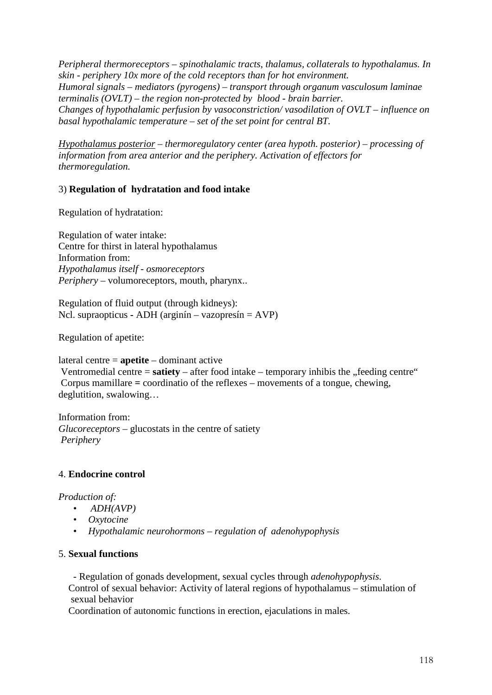*Peripheral thermoreceptors – spinothalamic tracts, thalamus, collaterals to hypothalamus. In skin - periphery 10x more of the cold receptors than for hot environment. Humoral signals – mediators (pyrogens) – transport through organum vasculosum laminae terminalis (OVLT) – the region non-protected by blood - brain barrier. Changes of hypothalamic perfusion by vasoconstriction/ vasodilation of OVLT – influence on basal hypothalamic temperature – set of the set point for central BT.*

*Hypothalamus posterior – thermoregulatory center (area hypoth. posterior) – processing of information from area anterior and the periphery. Activation of effectors for thermoregulation.*

# 3) **Regulation of hydratation and food intake**

Regulation of hydratation:

Regulation of water intake: Centre for thirst in lateral hypothalamus Information from: *Hypothalamus itself - osmoreceptors Periphery* – volumoreceptors, mouth, pharynx..

Regulation of fluid output (through kidneys): Ncl. supraopticus **-** ADH (arginín – vazopresín = AVP)

Regulation of apetite:

lateral centre = **apetite** – dominant active

Ventromedial centre =  $s \text{atity}$  – after food intake – temporary inhibis the "feeding centre" Corpus mamillare **=** coordinatio of the reflexes – movements of a tongue, chewing, deglutition, swalowing…

Information from: *Glucoreceptors* – glucostats in the centre of satiety *Periphery*

### 4. **Endocrine control**

*Production of:*

- *ADH(AVP)*
- *Oxytocine*
- *Hypothalamic neurohormons – regulation of adenohypophysis*

### 5. **Sexual functions**

 - Regulation of gonads development, sexual cycles through *adenohypophysis.* Control of sexual behavior: Activity of lateral regions of hypothalamus – stimulation of sexual behavior

Coordination of autonomic functions in erection, ejaculations in males.